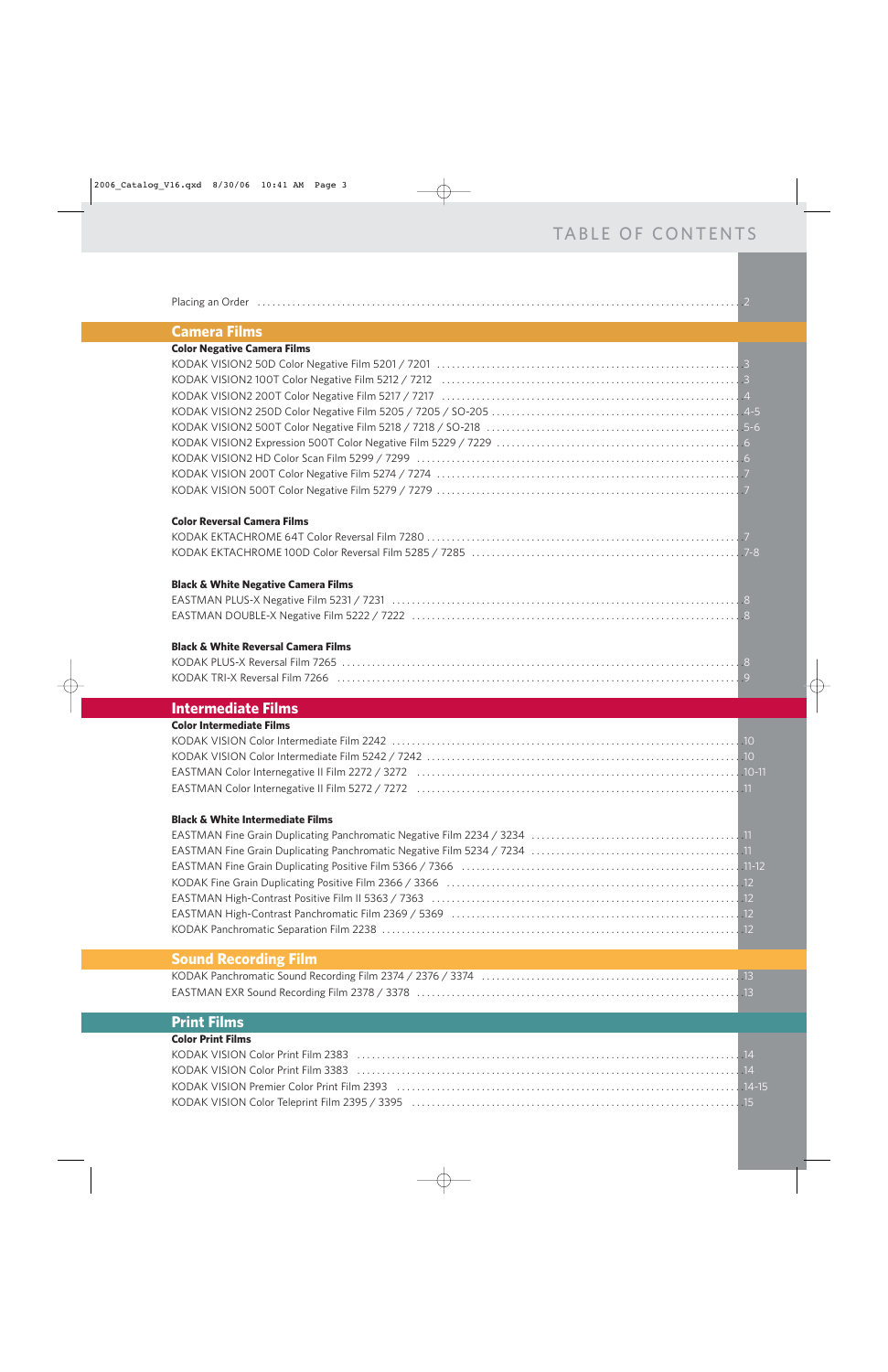| Placing an Order |  |
|------------------|--|
|                  |  |

### **Camera Films**

| <b>Color Negative Camera Films</b> |  |
|------------------------------------|--|
|                                    |  |
|                                    |  |
|                                    |  |
|                                    |  |
|                                    |  |
|                                    |  |
|                                    |  |
|                                    |  |
|                                    |  |
|                                    |  |

#### **Color Reversal Camera Films**

### **Black & White Negative Camera Films**

### **Black & White Reversal Camera Films**

### **Intermediate Films**

| <b>Color Intermediate Films</b> |  |
|---------------------------------|--|
|                                 |  |
|                                 |  |
|                                 |  |
|                                 |  |

#### **Black & White Intermediate Films**

### **Sound Recording Film**

### **Print Films**

### **Color Print Films**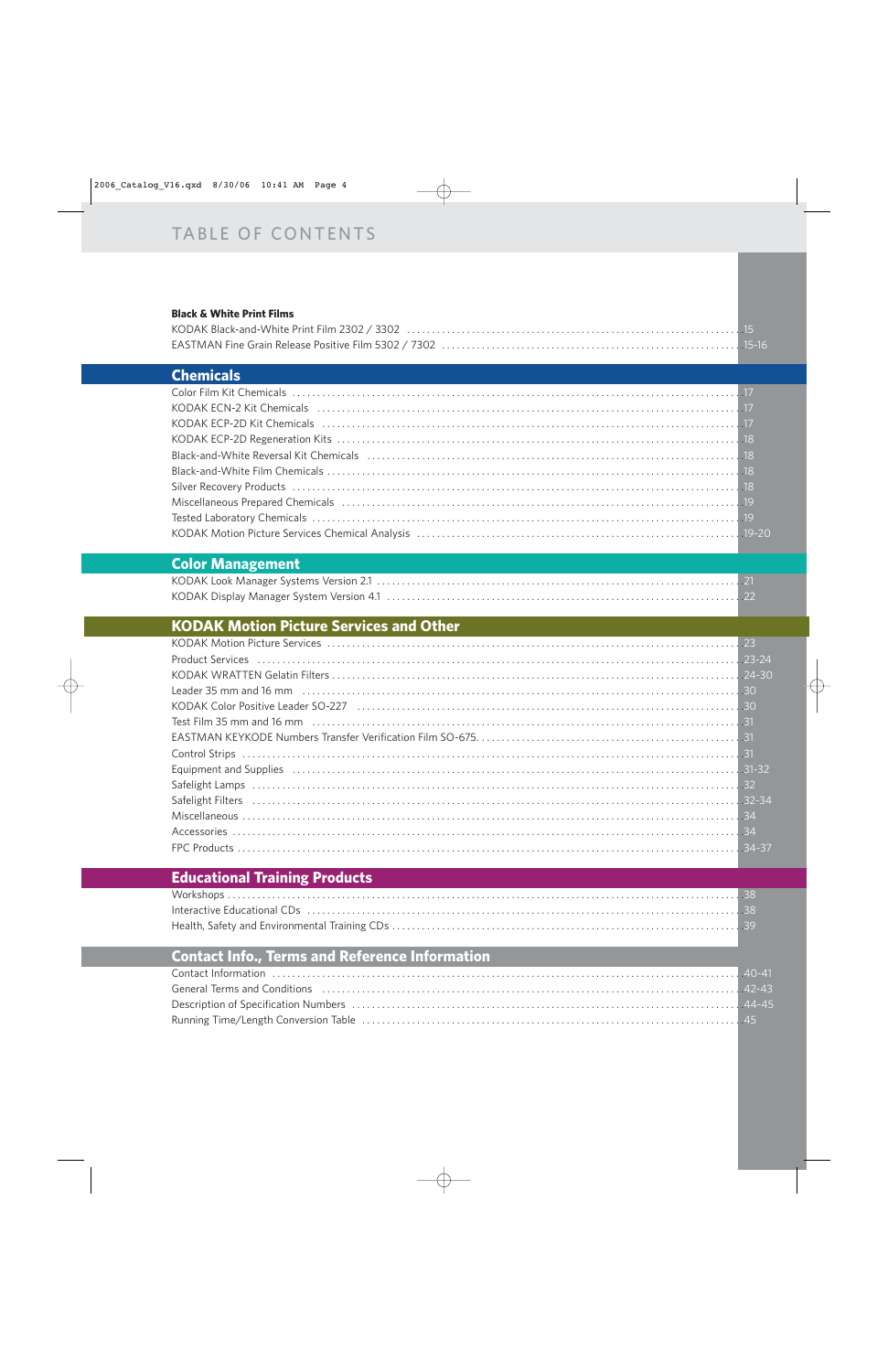#### **Black & White Print Films**

### **Chemicals**

## **Color Management**

## **KODAK Motion Picture Services and Other**

| Equipment and Supplies (and according to the control of the control of the control of the control of the control of the control of the control of the control of the control of the control of the control of the control of t |
|--------------------------------------------------------------------------------------------------------------------------------------------------------------------------------------------------------------------------------|
|                                                                                                                                                                                                                                |
|                                                                                                                                                                                                                                |
|                                                                                                                                                                                                                                |
|                                                                                                                                                                                                                                |
|                                                                                                                                                                                                                                |

# **Educational Training Products**

## **Contact Info., Terms and Reference Information**

| 10-41 AD-41                                                                                                             |  |
|-------------------------------------------------------------------------------------------------------------------------|--|
| General Terms and Conditions (and according to the control of the control of the conditions) and the conditions (42-43) |  |
|                                                                                                                         |  |
|                                                                                                                         |  |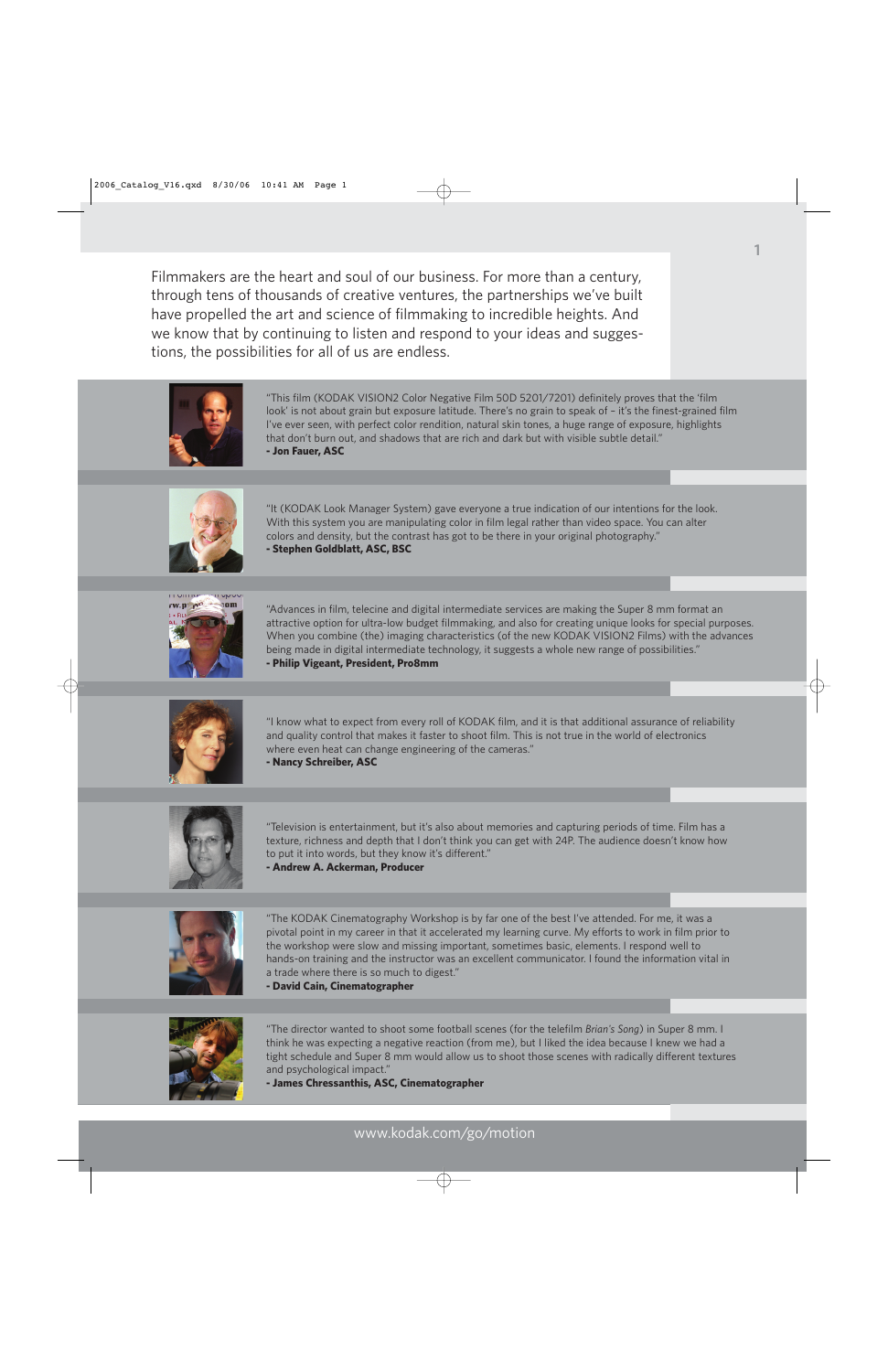Filmmakers are the heart and soul of our business. For more than a century, through tens of thousands of creative ventures, the partnerships we've built have propelled the art and science of filmmaking to incredible heights. And we know that by continuing to listen and respond to your ideas and suggestions, the possibilities for all of us are endless.



"This film (KODAK VISION2 Color Negative Film 50D 5201/7201) definitely proves that the 'film look' is not about grain but exposure latitude. There's no grain to speak of – it's the finest-grained film I've ever seen, with perfect color rendition, natural skin tones, a huge range of exposure, highlights that don't burn out, and shadows that are rich and dark but with visible subtle detail." **- Jon Fauer, ASC**



"It (KODAK Look Manager System) gave everyone a true indication of our intentions for the look. With this system you are manipulating color in film legal rather than video space. You can alter colors and density, but the contrast has got to be there in your original photography." **- Stephen Goldblatt, ASC, BSC**



"Advances in film, telecine and digital intermediate services are making the Super 8 mm format an attractive option for ultra-low budget filmmaking, and also for creating unique looks for special purposes. When you combine (the) imaging characteristics (of the new KODAK VISION2 Films) with the advances being made in digital intermediate technology, it suggests a whole new range of possibilities." **- Philip Vigeant, President, Pro8mm** 



"I know what to expect from every roll of KODAK film, and it is that additional assurance of reliability and quality control that makes it faster to shoot film. This is not true in the world of electronics where even heat can change engineering of the cameras." **- Nancy Schreiber, ASC** 



"Television is entertainment, but it's also about memories and capturing periods of time. Film has a texture, richness and depth that I don't think you can get with 24P. The audience doesn't know how to put it into words, but they know it's different."





"The KODAK Cinematography Workshop is by far one of the best I've attended. For me, it was a pivotal point in my career in that it accelerated my learning curve. My efforts to work in film prior to the workshop were slow and missing important, sometimes basic, elements. I respond well to hands-on training and the instructor was an excellent communicator. I found the information vital in a trade where there is so much to digest."

**- David Cain, Cinematographer** 



"The director wanted to shoot some football scenes (for the telefilm *Brian's Song*) in Super 8 mm. I think he was expecting a negative reaction (from me), but I liked the idea because I knew we had a tight schedule and Super 8 mm would allow us to shoot those scenes with radically different textures and psychological impact."

**- James Chressanthis, ASC, Cinematographer**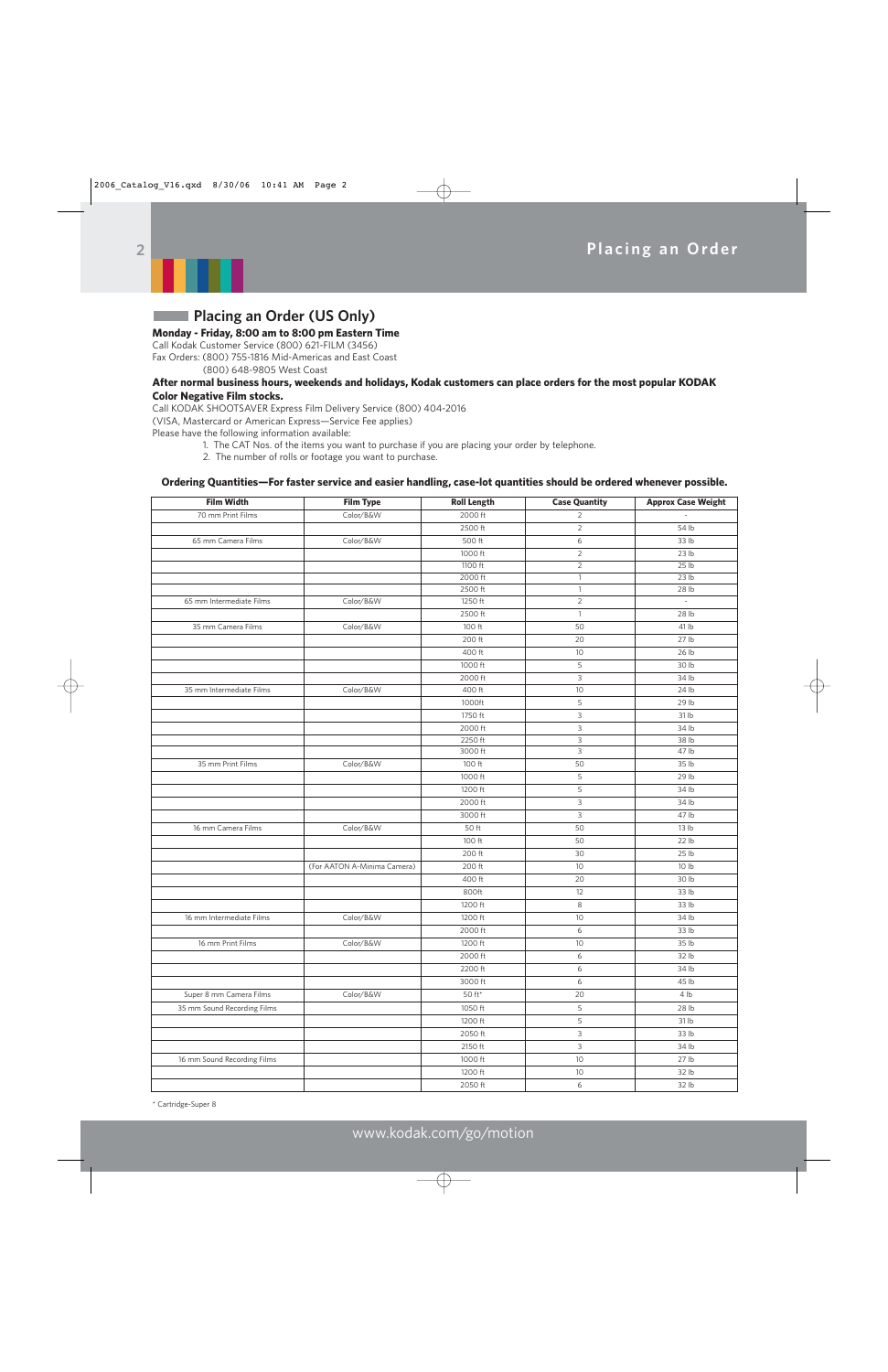

## **Placing an Order (US Only)**

### **Monday - Friday, 8:00 am to 8:00 pm Eastern Time**

Call Kodak Customer Service (800) 621-FILM (3456) Fax Orders: (800) 755-1816 Mid-Americas and East Coast (800) 648-9805 West Coast

#### **After normal business hours, weekends and holidays, Kodak customers can place orders for the most popular KODAK Color Negative Film stocks.**

Call KODAK SHOOTSAVER Express Film Delivery Service (800) 404-2016

(VISA, Mastercard or American Express—Service Fee applies)

Please have the following information available:

- 1. The CAT Nos. of the items you want to purchase if you are placing your order by telephone.
	- 2. The number of rolls or footage you want to purchase.

### **Ordering Quantities—For faster service and easier handling, case-lot quantities should be ordered whenever possible.**

| <b>Film Width</b>           | <b>Film Type</b>            | <b>Roll Length</b>       | <b>Case Quantity</b> | <b>Approx Case Weight</b> |
|-----------------------------|-----------------------------|--------------------------|----------------------|---------------------------|
| 70 mm Print Films           | Color/B&W                   | 2000 ft                  | 2                    |                           |
|                             |                             | 2500 ft                  | $\overline{c}$       | 54 lb                     |
| 65 mm Camera Films          | Color/B&W                   | 500 ft                   | 6                    | 33 lb                     |
|                             |                             | 1000 ft                  | $\overline{c}$       | 23 lb                     |
|                             |                             | 1100 ft                  | $\overline{c}$       | 25 lb                     |
|                             |                             | 2000 ft                  | $\mathbf{1}$         | 23 lb                     |
|                             |                             | 2500 ft                  | $\mathbf{1}$         | 28 lb                     |
| 65 mm Intermediate Films    | Color/B&W                   | 1250 ft                  | $\overline{c}$       | $\overline{\phantom{a}}$  |
|                             |                             | 2500 ft                  | $\mathbf{1}$         | 28 lb                     |
| 35 mm Camera Films          | Color/B&W                   | 100 ft                   | 50                   | 41 lb                     |
|                             |                             | 200 ft                   | 20                   | 27 lb                     |
|                             |                             | 400 ft                   | 10                   | 26 lb                     |
|                             |                             | 1000 ft                  | 5                    | 30 lb                     |
|                             |                             | 2000 ft                  | 3                    | 34 lb                     |
| 35 mm Intermediate Films    | Color/B&W                   | 400 ft                   | 10                   | 24 lb                     |
|                             |                             | 1000ft                   | 5                    | 29 lb                     |
|                             |                             | 1750 ft                  | 3                    | 31 lb                     |
|                             |                             | 2000 ft                  | 3                    | 34 lb                     |
|                             |                             | 2250 ft                  | 3                    | 38 lb                     |
|                             |                             | 3000 ft                  | 3                    | 47 lb                     |
| 35 mm Print Films           | Color/B&W                   | 100 ft                   | 50                   | 35 lb                     |
|                             |                             | 1000 ft                  | 5                    | 29 lb                     |
|                             |                             | 1200 ft                  | 5                    | 34 lb                     |
|                             |                             | 2000 ft                  | 3                    | 34 lb                     |
|                             |                             | 3000 ft                  | 3                    | 47 lb                     |
| 16 mm Camera Films          | Color/B&W                   | 50 ft                    | 50                   | 13 lb                     |
|                             |                             | 100 ft                   | 50                   | 22 lb                     |
|                             |                             | 200 ft                   | 30                   | 25 lb                     |
|                             | (For AATON A-Minima Camera) | 200 ft                   | 10                   | 10 lb                     |
|                             |                             | 400 ft                   | 20                   | 30 lb                     |
|                             |                             | 800ft                    | 12                   | 33 lb                     |
|                             |                             | 1200 ft                  | 8                    | 33 lb                     |
| 16 mm Intermediate Films    | Color/B&W                   | 1200 ft                  | 10                   | 34 lb                     |
|                             |                             | 2000 ft                  | 6                    | 33 lb                     |
| 16 mm Print Films           | Color/B&W                   | 1200 ft                  | 10                   | 35 lb                     |
|                             |                             | 2000 ft                  | 6                    | 32 lb                     |
|                             |                             | 2200 ft                  | 6                    | 34 lb                     |
|                             |                             | 3000 ft                  | 6                    | 45 lb                     |
| Super 8 mm Camera Films     | Color/B&W                   | $50~\mathrm{ft}^{\star}$ | 20                   | 4 <sub>lb</sub>           |
| 35 mm Sound Recording Films |                             | 1050 ft                  | 5                    | 28 lb                     |
|                             |                             | 1200 ft                  | 5                    | 31 lb                     |
|                             |                             | 2050 ft                  | 3                    | 33 <sub>lb</sub>          |
|                             |                             | 2150 ft                  | $\mathsf 3$          | 34 lb                     |
| 16 mm Sound Recording Films |                             | 1000 ft                  | $10$                 | 27 lb                     |
|                             |                             |                          |                      |                           |
|                             |                             | 1200 ft                  | $10$                 | 32 <sub>lb</sub>          |
|                             |                             | 2050 ft                  | 6                    | 32 lb                     |

\* Cartridge-Super 8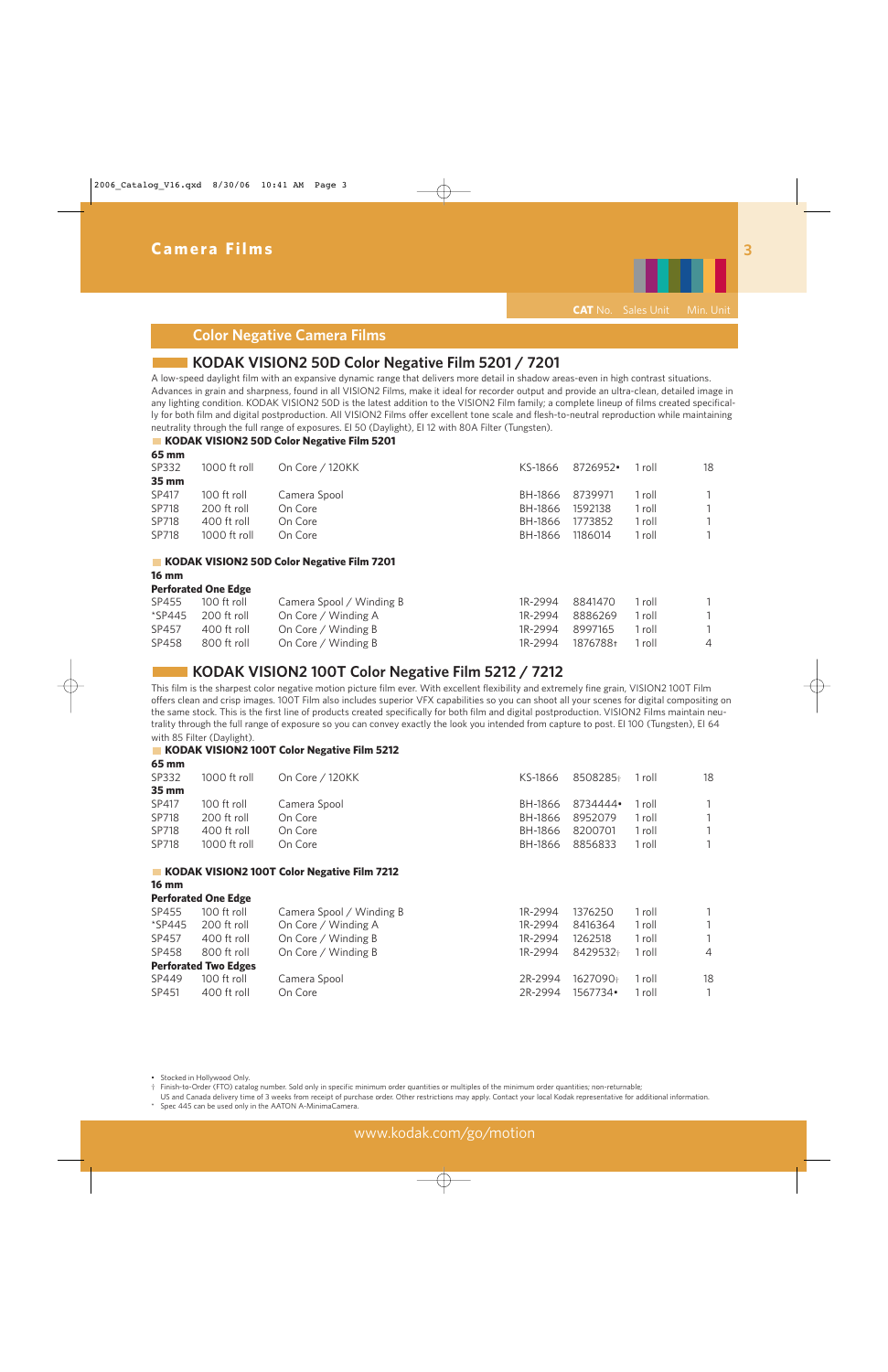

## **Color Negative Camera Films**

## **KODAK VISION2 50D Color Negative Film 5201 / 7201**

A low-speed daylight film with an expansive dynamic range that delivers more detail in shadow areas-even in high contrast situations. Advances in grain and sharpness, found in all VISION2 Films, make it ideal for recorder output and provide an ultra-clean, detailed image in any lighting condition. KODAK VISION2 50D is the latest addition to the VISION2 Film family; a complete lineup of films created specifically for both film and digital postproduction. All VISION2 Films offer excellent tone scale and flesh-to-neutral reproduction while maintaining neutrality through the full range of exposures. EI 50 (Daylight), EI 12 with 80A Filter (Tungsten).

### **KODAK VISION2 50D Color Negative Film 5201**

| 65 mm             |              |                 |         |                 |        |    |
|-------------------|--------------|-----------------|---------|-----------------|--------|----|
| SP332             | 1000 ft roll | On Core / 120KK | KS-1866 | 8726952•        | 1 roll | 18 |
| $35 \, \text{mm}$ |              |                 |         |                 |        |    |
| SP417             | 100 ft roll  | Camera Spool    |         | BH-1866 8739971 | 1 roll |    |
| SP718             | 200 ft roll  | On Core         | BH-1866 | 1592138         | 1 roll |    |
| SP718             | 400 ft roll  | On Core         | BH-1866 | 1773852         | 1 roll |    |
| SP718             | 1000 ft roll | On Core         | BH-1866 | 1186014         | 1 roll |    |
|                   |              |                 |         |                 |        |    |

#### **KODAK VISION2 50D Color Negative Film 7201**

**16 mm** 

| <b>Perforated One Edge</b> |  |
|----------------------------|--|
|                            |  |

| SP455 | 100 ft roll                            | Camera Spool / Winding B | 1R-2994 8841470 1 roll |        |                |
|-------|----------------------------------------|--------------------------|------------------------|--------|----------------|
|       | $\text{\textdegree}$ SP445 200 ft roll | On Core / Winding A      | 1R-2994 8886269 1 roll |        |                |
| SP457 | 400 ft roll                            | On Core / Winding B      | 1R-2994 8997165        | 1 roll |                |
| SP458 | 800 ft roll                            | On Core / Winding B      | 1R-2994 1876788t       | 1 roll | $\overline{4}$ |

### **KODAK VISION2 100T Color Negative Film 5212 / 7212**

This film is the sharpest color negative motion picture film ever. With excellent flexibility and extremely fine grain, VISION2 100T Film offers clean and crisp images. 100T Film also includes superior VFX capabilities so you can shoot all your scenes for digital compositing on the same stock. This is the first line of products created specifically for both film and digital postproduction. VISION2 Films maintain neutrality through the full range of exposure so you can convey exactly the look you intended from capture to post. EI 100 (Tungsten), EI 64 with 85 Filter (Daylight).

#### **KODAK VISION2 100T Color Negative Film 5212**

| 65 mm |              |                 |         |                         |        |              |
|-------|--------------|-----------------|---------|-------------------------|--------|--------------|
| SP332 | 1000 ft roll | On Core / 120KK |         | KS-1866 8508285+ 1 roll |        | 18           |
| 35 mm |              |                 |         |                         |        |              |
| SP417 | 100 ft roll  | Camera Spool    |         | BH-1866 8734444•        | 1 roll | 1            |
| SP718 | 200 ft roll  | On Core         | BH-1866 | 8952079                 | 1 roll | $\mathbf{1}$ |
| SP718 | 400 ft roll  | On Core         |         | BH-1866 8200701         | 1 roll | $\mathbf{1}$ |
| SP718 | 1000 ft roll | On Core         |         | BH-1866 8856833         | 1 roll | $\mathbf{1}$ |
|       |              |                 |         |                         |        |              |

#### **KODAK VISION2 100T Color Negative Film 7212 16 mm**

**Perforated One Edge**

| SP455  | 100 ft roll                 | Camera Spool / Winding B | 1R-2994 | 1376250  | 1 roll |                |
|--------|-----------------------------|--------------------------|---------|----------|--------|----------------|
| *SP445 | 200 ft roll                 | On Core / Winding A      | 1R-2994 | 8416364  | 1 roll |                |
| SP457  | 400 ft roll                 | On Core / Winding B      | 1R-2994 | 1262518  | 1 roll |                |
| SP458  | 800 ft roll                 | On Core / Winding B      | 1R-2994 | 8429532+ | 1 roll | $\overline{4}$ |
|        | <b>Perforated Two Edges</b> |                          |         |          |        |                |
| SP449  | 100 ft roll                 | Camera Spool             | 2R-2994 | 1627090+ | 1 roll | 18             |
| SP451  | 400 ft roll                 | On Core                  | 2R-2994 | 1567734• | 1 roll |                |
|        |                             |                          |         |          |        |                |

• Stocked in Hollywood Only.

† Finish-to-Order (FTO) catalog number. Sold only in specific minimum order quantities or multiples of the minimum order quantities; non-returnable;

US and Canada delivery time of 3 weeks from receipt of purchase order. Other restrictions may apply. Contact your local Kodak representative for additional information. Spec 445 can be used only in the AATON A-MinimaCamera.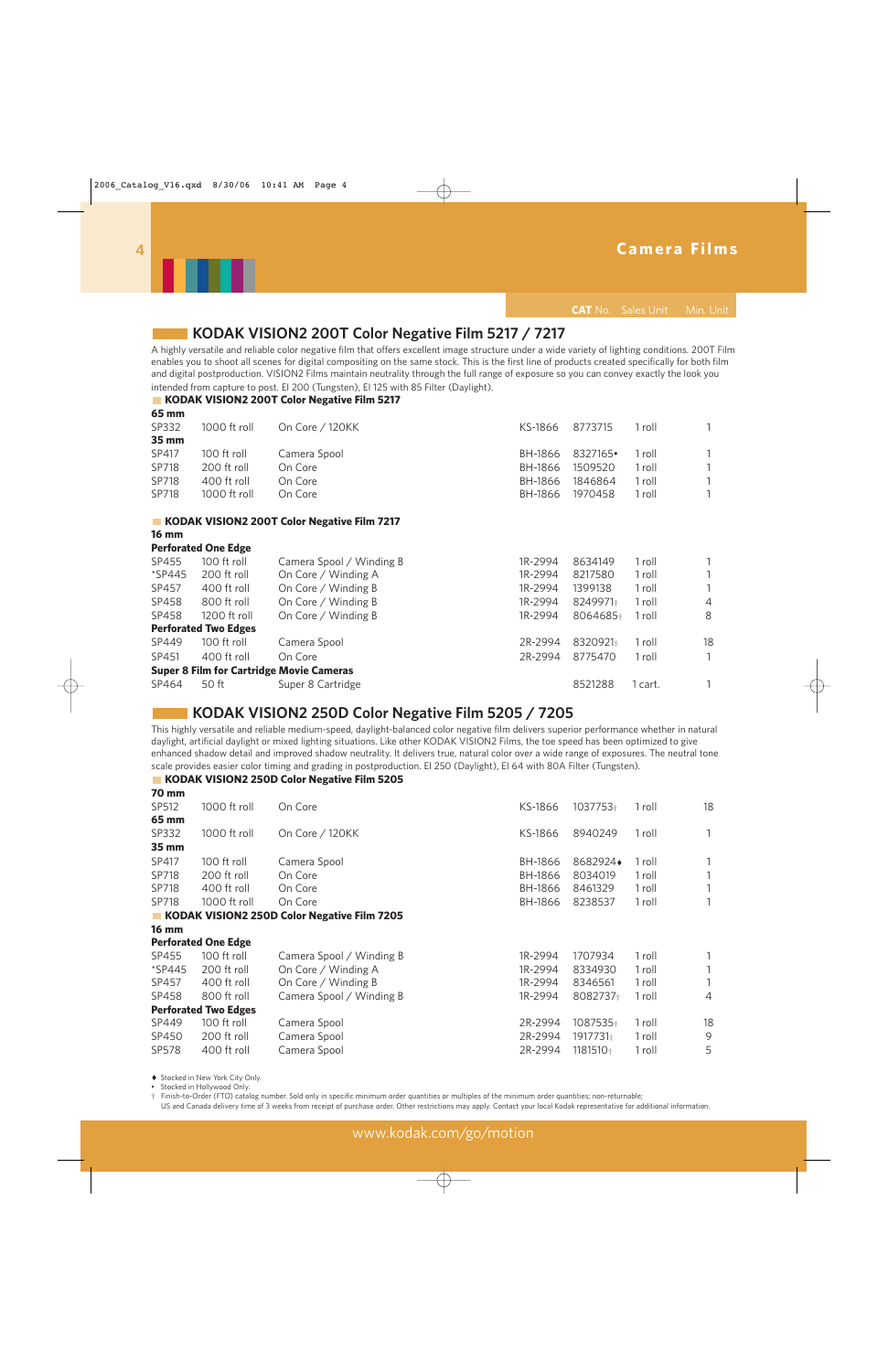

**CAT** No. Sales Unit Min. Unit

### **KODAK VISION2 200T Color Negative Film 5217 / 7217**

A highly versatile and reliable color negative film that offers excellent image structure under a wide variety of lighting conditions. 200T Film enables you to shoot all scenes for digital compositing on the same stock. This is the first line of products created specifically for both film and digital postproduction. VISION2 Films maintain neutrality through the full range of exposure so you can convey exactly the look you intended from capture to post. EI 200 (Tungsten), EI 125 with 85 Filter (Daylight).

#### **KODAK VISION2 200T Color Negative Film 5217**

| 65 mm        |                             |                                                 |         |          |         |                |
|--------------|-----------------------------|-------------------------------------------------|---------|----------|---------|----------------|
| SP332        | 1000 ft roll                | On Core / 120KK                                 | KS-1866 | 8773715  | 1 roll  | 1              |
| 35 mm        |                             |                                                 |         |          |         |                |
| SP417        | 100 ft roll                 | Camera Spool                                    | BH-1866 | 8327165• | 1 roll  |                |
| SP718        | 200 ft roll                 | On Core                                         | BH-1866 | 1509520  | 1 roll  |                |
| SP718        | 400 ft roll                 | On Core                                         | BH-1866 | 1846864  | 1 roll  |                |
| SP718        | 1000 ft roll                | On Core                                         | BH-1866 | 1970458  | 1 roll  |                |
|              |                             | KODAK VISION2 200T Color Negative Film 7217     |         |          |         |                |
| <b>16 mm</b> |                             |                                                 |         |          |         |                |
|              | <b>Perforated One Edge</b>  |                                                 |         |          |         |                |
| SP455        | 100 ft roll                 | Camera Spool / Winding B                        | 1R-2994 | 8634149  | 1 roll  |                |
| *SP445       | 200 ft roll                 | On Core / Winding A                             | 1R-2994 | 8217580  | 1 roll  |                |
| SP457        | 400 ft roll                 | On Core / Winding B                             | 1R-2994 | 1399138  | 1 roll  |                |
| SP458        | 800 ft roll                 | On Core / Winding B                             | 1R-2994 | 8249971+ | 1 roll  | $\overline{4}$ |
| SP458        | 1200 ft roll                | On Core / Winding B                             | 1R-2994 | 8064685+ | 1 roll  | 8              |
|              | <b>Perforated Two Edges</b> |                                                 |         |          |         |                |
| SP449        | 100 ft roll                 | Camera Spool                                    | 2R-2994 | 8320921  | 1 roll  | 18             |
| SP451        | 400 ft roll                 | On Core                                         | 2R-2994 | 8775470  | 1 roll  |                |
|              |                             | <b>Super 8 Film for Cartridge Movie Cameras</b> |         |          |         |                |
| SP464        | 50 ft                       | Super 8 Cartridge                               |         | 8521288  | 1 cart. |                |

### **KODAK VISION2 250D Color Negative Film 5205 / 7205**

This highly versatile and reliable medium-speed, daylight-balanced color negative film delivers superior performance whether in natural daylight, artificial daylight or mixed lighting situations. Like other KODAK VISION2 Films, the toe speed has been optimized to give enhanced shadow detail and improved shadow neutrality. It delivers true, natural color over a wide range of exposures. The neutral tone scale provides easier color timing and grading in postproduction. EI 250 (Daylight), EI 64 with 80A Filter (Tungsten).

#### **KODAK VISION2 250D Color Negative Film 5205**

| <b>70 mm</b> |                             |                                             |         |          |        |               |
|--------------|-----------------------------|---------------------------------------------|---------|----------|--------|---------------|
| SP512        | 1000 ft roll                | On Core                                     | KS-1866 | 1037753+ | 1 roll | 18            |
| 65 mm        |                             |                                             |         |          |        |               |
| SP332        | 1000 ft roll                | On Core / 120KK                             | KS-1866 | 8940249  | 1 roll |               |
| 35 mm        |                             |                                             |         |          |        |               |
| SP417        | 100 ft roll                 | Camera Spool                                | BH-1866 | 8682924+ | 1 roll |               |
| SP718        | 200 ft roll                 | On Core                                     | BH-1866 | 8034019  | 1 roll |               |
| SP718        | 400 ft roll                 | On Core                                     | BH-1866 | 8461329  | 1 roll |               |
| SP718        | 1000 ft roll                | On Core                                     | BH-1866 | 8238537  | 1 roll |               |
|              |                             | KODAK VISION2 250D Color Negative Film 7205 |         |          |        |               |
| <b>16 mm</b> |                             |                                             |         |          |        |               |
|              | <b>Perforated One Edge</b>  |                                             |         |          |        |               |
| SP455        | 100 ft roll                 | Camera Spool / Winding B                    | 1R-2994 | 1707934  | 1 roll |               |
| *SP445       | 200 ft roll                 | On Core / Winding A                         | 1R-2994 | 8334930  | 1 roll |               |
| SP457        | 400 ft roll                 | On Core / Winding B                         | 1R-2994 | 8346561  | 1 roll |               |
| SP458        | 800 ft roll                 | Camera Spool / Winding B                    | 1R-2994 | 8082737+ | 1 roll | 4             |
|              | <b>Perforated Two Edges</b> |                                             |         |          |        |               |
| SP449        | 100 ft roll                 | Camera Spool                                | 2R-2994 | 1087535+ | 1 roll | 18            |
| SP450        | 200 ft roll                 | Camera Spool                                | 2R-2994 | 1917731+ | 1 roll | $\mathcal{G}$ |
| SP578        | 400 ft roll                 | Camera Spool                                | 2R-2994 | 1181510+ | 1 roll | 5             |
|              |                             |                                             |         |          |        |               |

♦ Stocked in New York City Only.

• Stocked in Hollywood Only.<br>† Finish-to-Order (FTO) catal

† Finish-to-Order (FTO) catalog number. Sold only in specific minimum order quantities or multiples of the minimum order quantities; non-returnable;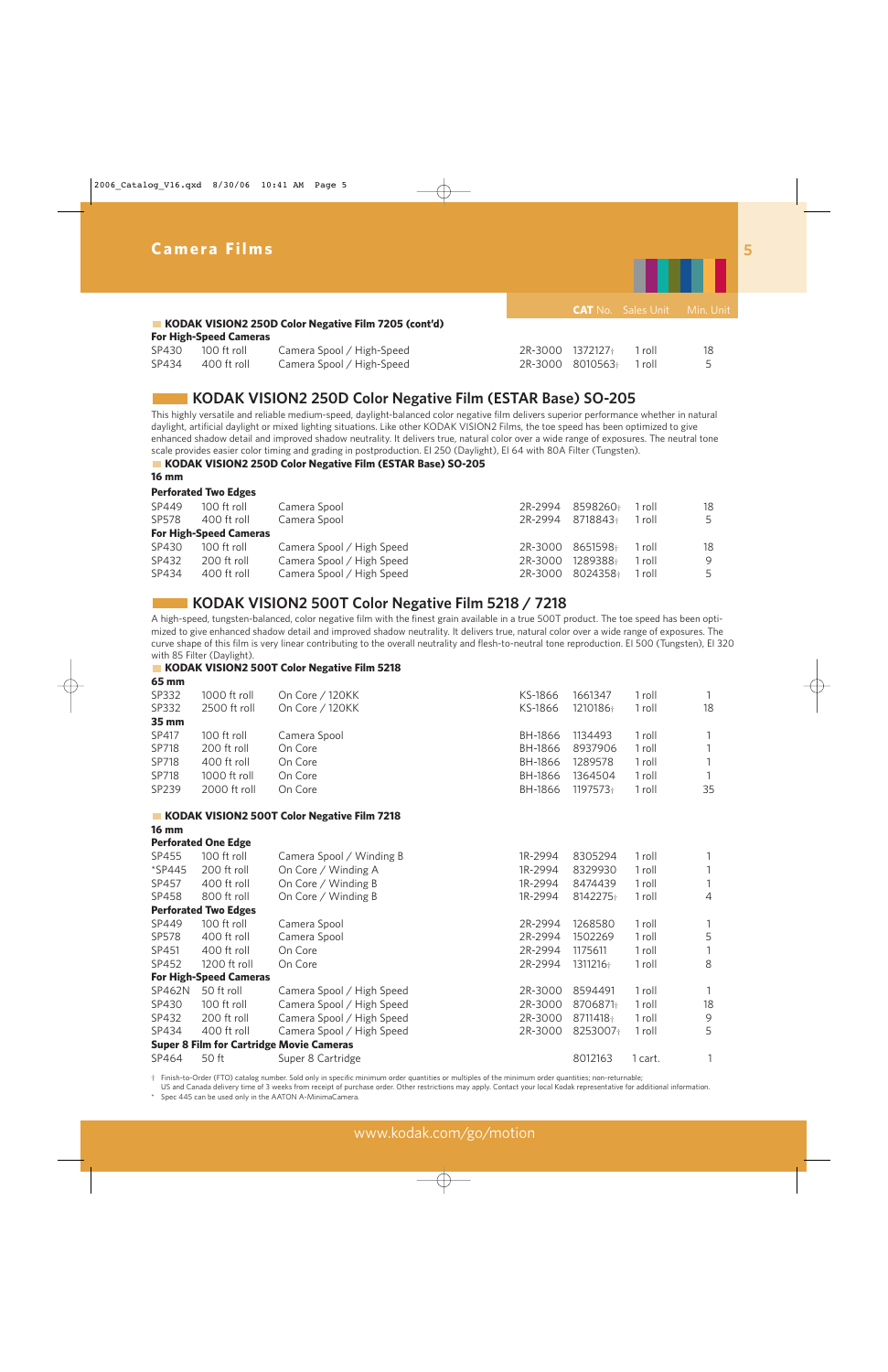

### **KODAK VISION2 250D Color Negative Film 7205 (cont'd)**

#### **For High-Speed Cameras**

|       | SP430 100 ft roll | Camera Spool / High-Speed | 2R-3000 1372127 <sup>+</sup> 1 roll | 18 |
|-------|-------------------|---------------------------|-------------------------------------|----|
| SP434 | 400 ft roll       | Camera Spool / High-Speed | 2R-3000 8010563+ 1 roll             |    |

### **KODAK VISION2 250D Color Negative Film (ESTAR Base) SO-205**

This highly versatile and reliable medium-speed, daylight-balanced color negative film delivers superior performance whether in natural daylight, artificial daylight or mixed lighting situations. Like other KODAK VISION2 Films, the toe speed has been optimized to give enhanced shadow detail and improved shadow neutrality. It delivers true, natural color over a wide range of exposures. The neutral tone scale provides easier color timing and grading in postproduction. EI 250 (Daylight), EI 64 with 80A Filter (Tungsten).

#### **KODAK VISION2 250D Color Negative Film (ESTAR Base) SO-205**

#### **16 mm**

**Perforated Two Edges**

| SP449 | 100 ft roll                   | Camera Spool              | 2R-2994 8598260+ | 1 roll | 18 |
|-------|-------------------------------|---------------------------|------------------|--------|----|
| SP578 | 400 ft roll                   | Camera Spool              | 2R-2994 8718843+ | 1 roll | 5  |
|       | <b>For High-Speed Cameras</b> |                           |                  |        |    |
| SP430 | 100 ft roll                   | Camera Spool / High Speed | 2R-3000 8651598+ | 1 roll | 18 |
| SP432 | 200 ft roll                   | Camera Spool / High Speed | 2R-3000 1289388+ | 1 roll | 9  |
| SP434 | 400 ft roll                   | Camera Spool / High Speed | 2R-3000 8024358+ | 1 roll | 5  |
|       |                               |                           |                  |        |    |

### **KODAK VISION2 500T Color Negative Film 5218 / 7218**

A high-speed, tungsten-balanced, color negative film with the finest grain available in a true 500T product. The toe speed has been optimized to give enhanced shadow detail and improved shadow neutrality. It delivers true, natural color over a wide range of exposures. The curve shape of this film is very linear contributing to the overall neutrality and flesh-to-neutral tone reproduction. EI 500 (Tungsten), EI 320 with 85 Filter (Daylight).

#### **KODAK VISION2 500T Color Negative Film 5218 65 mm**

| 1000 ft roll                | On Core / 120KK           | KS-1866                                                                      | 1661347  | 1 roll |    |
|-----------------------------|---------------------------|------------------------------------------------------------------------------|----------|--------|----|
| 2500 ft roll                | On Core / 120KK           | KS-1866                                                                      | 1210186+ | 1 roll | 18 |
|                             |                           |                                                                              |          |        |    |
| 100 ft roll                 | Camera Spool              | <b>BH-1866</b>                                                               | 1134493  | 1 roll |    |
| 200 ft roll                 | On Core                   | BH-1866                                                                      | 8937906  | 1 roll |    |
| 400 ft roll                 | On Core                   | BH-1866                                                                      | 1289578  | 1 roll |    |
| 1000 ft roll                | On Core                   | BH-1866                                                                      | 1364504  | 1 roll |    |
| 2000 ft roll                | On Core                   | BH-1866                                                                      | 1197573+ | 1 roll | 35 |
|                             |                           |                                                                              |          |        |    |
|                             |                           |                                                                              |          |        |    |
| <b>Perforated One Edge</b>  |                           |                                                                              |          |        |    |
| 100 ft roll                 | Camera Spool / Winding B  | 1R-2994                                                                      | 8305294  | 1 roll | 1  |
| 200 ft roll                 | On Core / Winding A       | 1R-2994                                                                      | 8329930  | 1 roll |    |
| 400 ft roll                 | On Core / Winding B       | 1R-2994                                                                      | 8474439  | 1 roll |    |
| 800 ft roll                 | On Core / Winding B       | 1R-2994                                                                      | 8142275+ | 1 roll | 4  |
| <b>Perforated Two Edges</b> |                           |                                                                              |          |        |    |
| 100 ft roll                 | Camera Spool              | 2R-2994                                                                      | 1268580  | 1 roll | 1  |
| 400 ft roll                 | Camera Spool              | 2R-2994                                                                      | 1502269  | 1 roll | 5  |
| 400 ft roll                 | On Core                   | 2R-2994                                                                      | 1175611  | 1 roll |    |
| 1200 ft roll                | On Core                   | 2R-2994                                                                      | 1311216+ | 1 roll | 8  |
|                             |                           |                                                                              |          |        |    |
| 50 ft roll                  | Camera Spool / High Speed | 2R-3000                                                                      | 8594491  | 1 roll | 1  |
|                             |                           | KODAK VISION2 500T Color Negative Film 7218<br><b>For High-Speed Cameras</b> |          |        |    |

SP430 100 ft roll Camera Spool / High Speed 2R-3000 8706871<sup>+</sup> 1 roll 18  $SPA32$  200 ft roll Camera Spool / High Speed 2R-3000 8711418 $\frac{1}{10}$  1 roll 9  $SPA34$  400 ft roll Camera Spool / High Speed 2R-3000 8253007 $\pm$  1 roll 5 **Super 8 Film for Cartridge Movie Cameras**  SP464 50 ft Super 8 Cartridge 80 and 1 and 1 and 1 and 1 and 1 and 1 and 1 and 1 and 1 and 1 and 1 and 1 and 1

† Finish-to-Order (FTO) catalog number. Sold only in specific minimum order quantities or multiples of the minimum order quantities; non-returnable;

US and Canada delivery time of 3 weeks from receipt of purchase order. Other restrictions may apply. Contact your local Kodak representative for additional information. Spec 445 can be used only in the AATON A-MinimaCamera.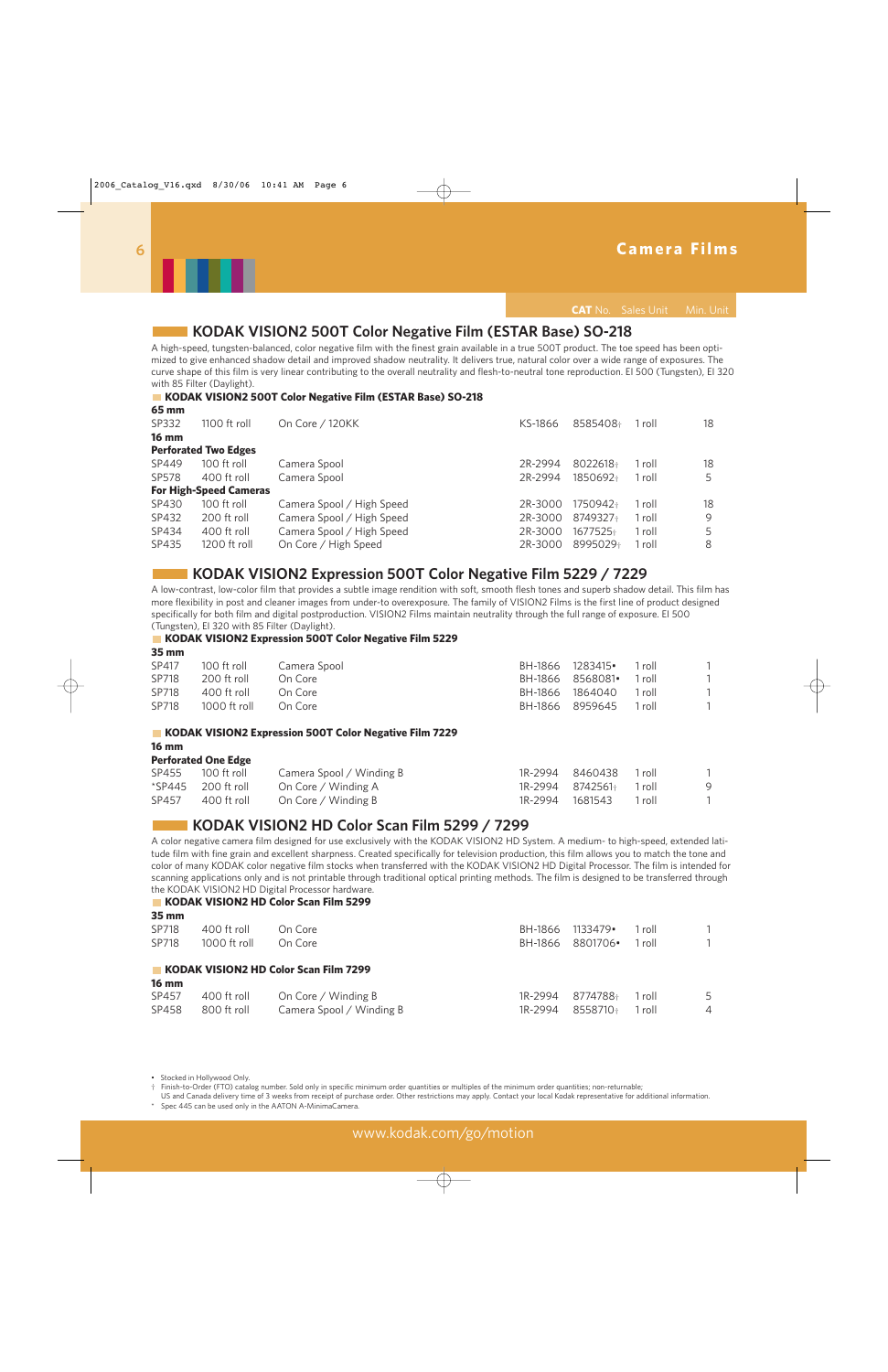

**CAT** No. Sales Unit Min. Unit

### **KODAK VISION2 500T Color Negative Film (ESTAR Base) SO-218**

A high-speed, tungsten-balanced, color negative film with the finest grain available in a true 500T product. The toe speed has been optimized to give enhanced shadow detail and improved shadow neutrality. It delivers true, natural color over a wide range of exposures. The curve shape of this film is very linear contributing to the overall neutrality and flesh-to-neutral tone reproduction. EI 500 (Tungsten), EI 320 with 85 Filter (Daylight).

#### **KODAK VISION2 500T Color Negative Film (ESTAR Base) SO-218**

| mm כס        |                               |                           |         |          |        |    |
|--------------|-------------------------------|---------------------------|---------|----------|--------|----|
| SP332        | 1100 ft roll                  | On Core / 120KK           | KS-1866 | 8585408+ | 1 roll | 18 |
| <b>16 mm</b> |                               |                           |         |          |        |    |
|              | <b>Perforated Two Edges</b>   |                           |         |          |        |    |
| SP449        | 100 ft roll                   | Camera Spool              | 2R-2994 | 8022618+ | 1 roll | 18 |
| SP578        | 400 ft roll                   | Camera Spool              | 2R-2994 | 1850692+ | 1 roll | 5  |
|              | <b>For High-Speed Cameras</b> |                           |         |          |        |    |
| SP430        | 100 ft roll                   | Camera Spool / High Speed | 2R-3000 | 1750942+ | 1 roll | 18 |
| SP432        | 200 ft roll                   | Camera Spool / High Speed | 2R-3000 | 8749327+ | 1 roll | 9  |
| SP434        | 400 ft roll                   | Camera Spool / High Speed | 2R-3000 | 1677525+ | 1 roll |    |
| SP435        | 1200 ft roll                  | On Core / High Speed      | 2R-3000 | 8995029+ | 1 roll | 8  |
|              |                               |                           |         |          |        |    |

### **KODAK VISION2 Expression 500T Color Negative Film 5229 / 7229**

A low-contrast, low-color film that provides a subtle image rendition with soft, smooth flesh tones and superb shadow detail. This film has more flexibility in post and cleaner images from under-to overexposure. The family of VISION2 Films is the first line of product designed specifically for both film and digital postproduction. VISION2 Films maintain neutrality through the full range of exposure. EI 500 (Tungsten), EI 320 with 85 Filter (Daylight).

#### **KODAK VISION2 Expression 500T Color Negative Film 5229**

| $35 \, \mathrm{mm}$ |                |              |                  |                  |        |  |
|---------------------|----------------|--------------|------------------|------------------|--------|--|
| SP417               | 100 ft roll    | Camera Spool | BH-1866 1283415. |                  | 1 roll |  |
| SP718               | 200 ft roll    | On Core      |                  | BH-1866 8568081• | 1 roll |  |
| SP718               | 400 ft roll    | On Core      |                  | BH-1866 1864040  | 1 roll |  |
| SP718               | $1000$ ft roll | On Core      |                  | BH-1866 8959645  | 1 roll |  |

#### **KODAK VISION2 Expression 500T Color Negative Film 7229**

#### **16 mm**

| <b>Perforated One Edge</b> |  |  |
|----------------------------|--|--|
|----------------------------|--|--|

| SP455 100 ft roll    | Camera Spool / Winding B | 1R-2994 8460438 1 roll       |     |
|----------------------|--------------------------|------------------------------|-----|
| $*SP445$ 200 ft roll | On Core / Winding A      | $1R-2994$ $8742561$ $1$ roll | - 9 |
| SP457 400 ft roll    | On Core / Winding B      | 1R-2994 1681543 1 roll       |     |

### **KODAK VISION2 HD Color Scan Film 5299 / 7299**

A color negative camera film designed for use exclusively with the KODAK VISION2 HD System. A medium- to high-speed, extended latitude film with fine grain and excellent sharpness. Created specifically for television production, this film allows you to match the tone and color of many KODAK color negative film stocks when transferred with the KODAK VISION2 HD Digital Processor. The film is intended for scanning applications only and is not printable through traditional optical printing methods. The film is designed to be transferred through the KODAK VISION2 HD Digital Processor hardware.

#### **KODAK VISION2 HD Color Scan Film 5299**

| $35 \, \text{mm}$ |              |                                       |         |          |        |                |
|-------------------|--------------|---------------------------------------|---------|----------|--------|----------------|
| SP718             | 400 ft roll  | On Core                               | BH-1866 | 1133479• | 1 roll | $\mathbf{1}$   |
| SP718             | 1000 ft roll | On Core                               | BH-1866 | 8801706• | 1 roll |                |
|                   |              | KODAK VISION2 HD Color Scan Film 7299 |         |          |        |                |
| <b>16 mm</b>      |              |                                       |         |          |        |                |
| SP457             | 400 ft roll  | On Core / Winding B                   | 1R-2994 | 8774788+ | 1 roll | 5              |
| SP458             | 800 ft roll  | Camera Spool / Winding B              | 1R-2994 | 8558710+ | 1 roll | $\overline{4}$ |

• Stocked in Hollywood Only.

† Finish-to-Order (FTO) catalog number. Sold only in specific minimum order quantities or multiples of the minimum order quantities; non-returnable;

US and Canada delivery time of 3 weeks from receipt of purchase order. Other restrictions may apply. Contact your local Kodak representative for additional information. Spec 445 can be used only in the AATON A-MinimaCamera.

**65 mm**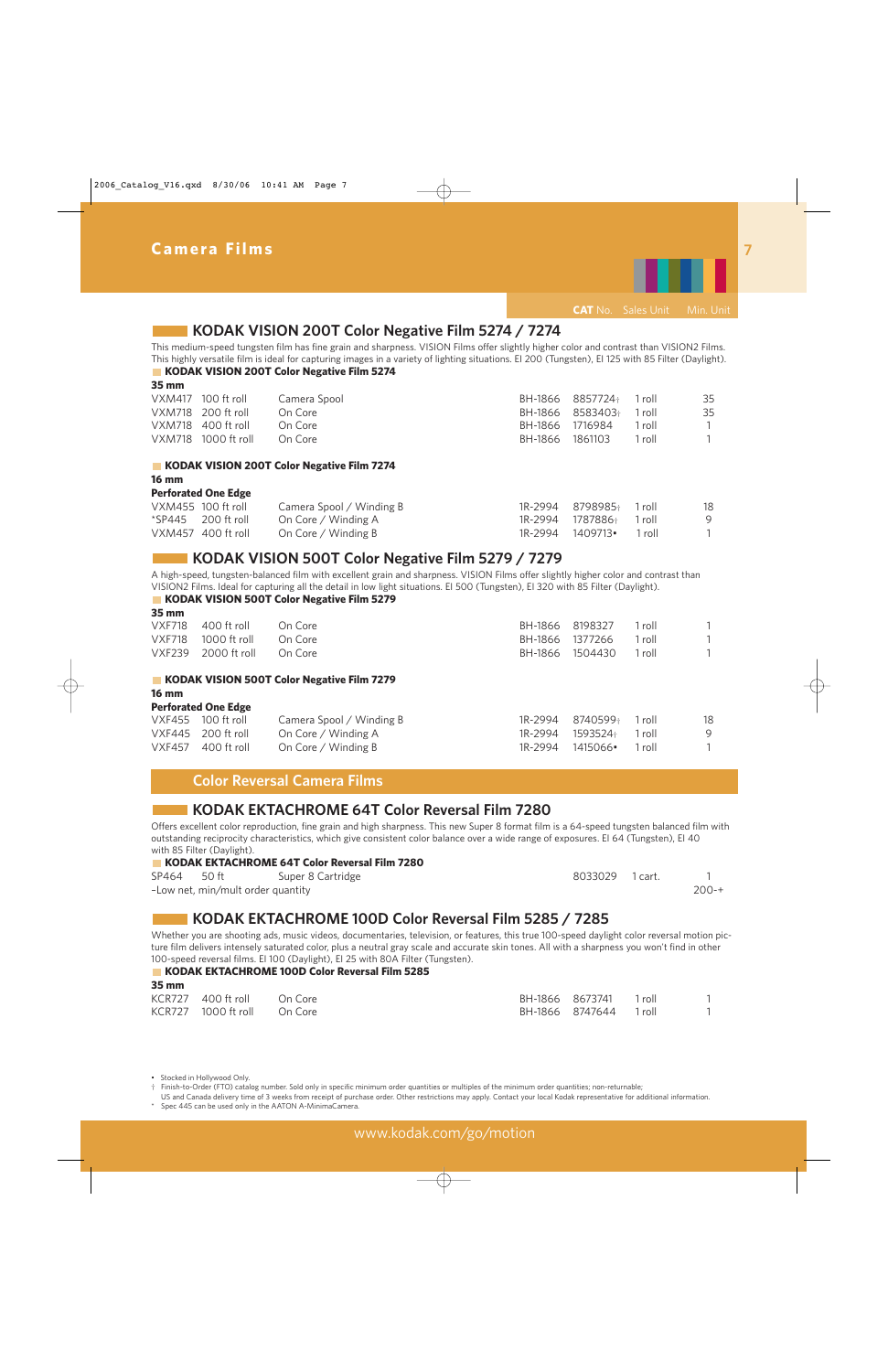

### **KODAK VISION 200T Color Negative Film 5274 / 7274**

This medium-speed tungsten film has fine grain and sharpness. VISION Films offer slightly higher color and contrast than VISION2 Films. This highly versatile film is ideal for capturing images in a variety of lighting situations. EI 200 (Tungsten), EI 125 with 85 Filter (Daylight). **KODAK VISION 200T Color Negative Film 5274** 

**35 mm** 

| VXM417 100 ft roll  | Camera Spool |                 | BH-1866 8857724+ 1 roll |        | 35 |
|---------------------|--------------|-----------------|-------------------------|--------|----|
| VXM718 200 ft roll  | On Core      |                 | BH-1866 8583403+ 1 roll |        | 35 |
| VXM718 400 ft roll  | On Core      |                 | BH-1866 1716984         | 1 roll |    |
| VXM718 1000 ft roll | On Core      | BH-1866 1861103 |                         | 1 roll |    |

#### **KODAK VISION 200T Color Negative Film 7274**

#### **16 mm**

#### **Perforated One Edge**

| VXM455 100 ft roll   | Camera Spool / Winding B | 1R-2994 8798985+ 1 roll | 18  |
|----------------------|--------------------------|-------------------------|-----|
| $*SP445$ 200 ft roll | On Core / Winding A      | 1R-2994 1787886+ 1 roll | - 9 |
| VXM457 400 ft roll   | On Core / Winding B      | 1R-2994 1409713• 1 roll |     |

### **KODAK VISION 500T Color Negative Film 5279 / 7279**

A high-speed, tungsten-balanced film with excellent grain and sharpness. VISION Films offer slightly higher color and contrast than VISION2 Films. Ideal for capturing all the detail in low light situations. EI 500 (Tungsten), EI 320 with 85 Filter (Daylight).

### **KODAK VISION 500T Color Negative Film 5279**

| $35 \, \mathrm{mm}$ |                     |                                            |         |                 |        |   |
|---------------------|---------------------|--------------------------------------------|---------|-----------------|--------|---|
| <b>VXF718</b>       | 400 ft roll         | On Core                                    | BH-1866 | 8198327         | 1 roll | 1 |
| <b>VXF718</b>       | 1000 ft roll        | On Core                                    | BH-1866 | 1377266         | 1 roll | 1 |
|                     | VXF239 2000 ft roll | On Core                                    |         | BH-1866 1504430 | 1 roll |   |
|                     |                     | KODAK VISION 500T Color Negative Film 7279 |         |                 |        |   |
| <b>16 mm</b>        |                     |                                            |         |                 |        |   |

#### **Perforated One Edge**

| VXF455 100 ft roll   | Camera Spool / Winding B | 1R-2994 8740599 <sup>+</sup> 1 roll | 18  |
|----------------------|--------------------------|-------------------------------------|-----|
| $VXF445$ 200 ft roll | On Core / Winding A      | 1R-2994 1593524+ 1 roll             | - 9 |
| $VXF457$ 400 ft roll | On Core / Winding B      | 1R-2994 1415066• 1 roll             |     |
|                      |                          |                                     |     |

### **Color Reversal Camera Films**

### **KODAK EKTACHROME 64T Color Reversal Film 7280**

Offers excellent color reproduction, fine grain and high sharpness. This new Super 8 format film is a 64-speed tungsten balanced film with outstanding reciprocity characteristics, which give consistent color balance over a wide range of exposures. EI 64 (Tungsten), EI 40 with 85 Filter (Daylight).

#### **KODAK EKTACHROME 64T Color Reversal Film 7280**

| SP464 50 ft |                                   | Super 8 Cartridge | 8033029 1 cart. |       |
|-------------|-----------------------------------|-------------------|-----------------|-------|
|             | -Low net, min/mult order quantity |                   |                 | 200-+ |

### **KODAK EKTACHROME 100D Color Reversal Film 5285 / 7285**

Whether you are shooting ads, music videos, documentaries, television, or features, this true 100-speed daylight color reversal motion picture film delivers intensely saturated color, plus a neutral gray scale and accurate skin tones. All with a sharpness you won't find in other 100-speed reversal films. EI 100 (Daylight), EI 25 with 80A Filter (Tungsten).

#### **KODAK EKTACHROME 100D Color Reversal Film 5285 35 mm**

| ээ шш |                             |  |                        |  |
|-------|-----------------------------|--|------------------------|--|
|       | KCR727 400 ft roll On Core  |  | BH-1866 8673741 1 roll |  |
|       | KCR727 1000 ft roll On Core |  | BH-1866 8747644 1 roll |  |

• Stocked in Hollywood Only.

† Finish-to-Order (FTO) catalog number. Sold only in specific minimum order quantities or multiples of the minimum order quantities; non-returnable;

US and Canada delivery time of 3 weeks from receipt of purchase order. Other restrictions may apply. Contact your local Kodak representative for additional information.

Spec 445 can be used only in the AATON A-MinimaCamera.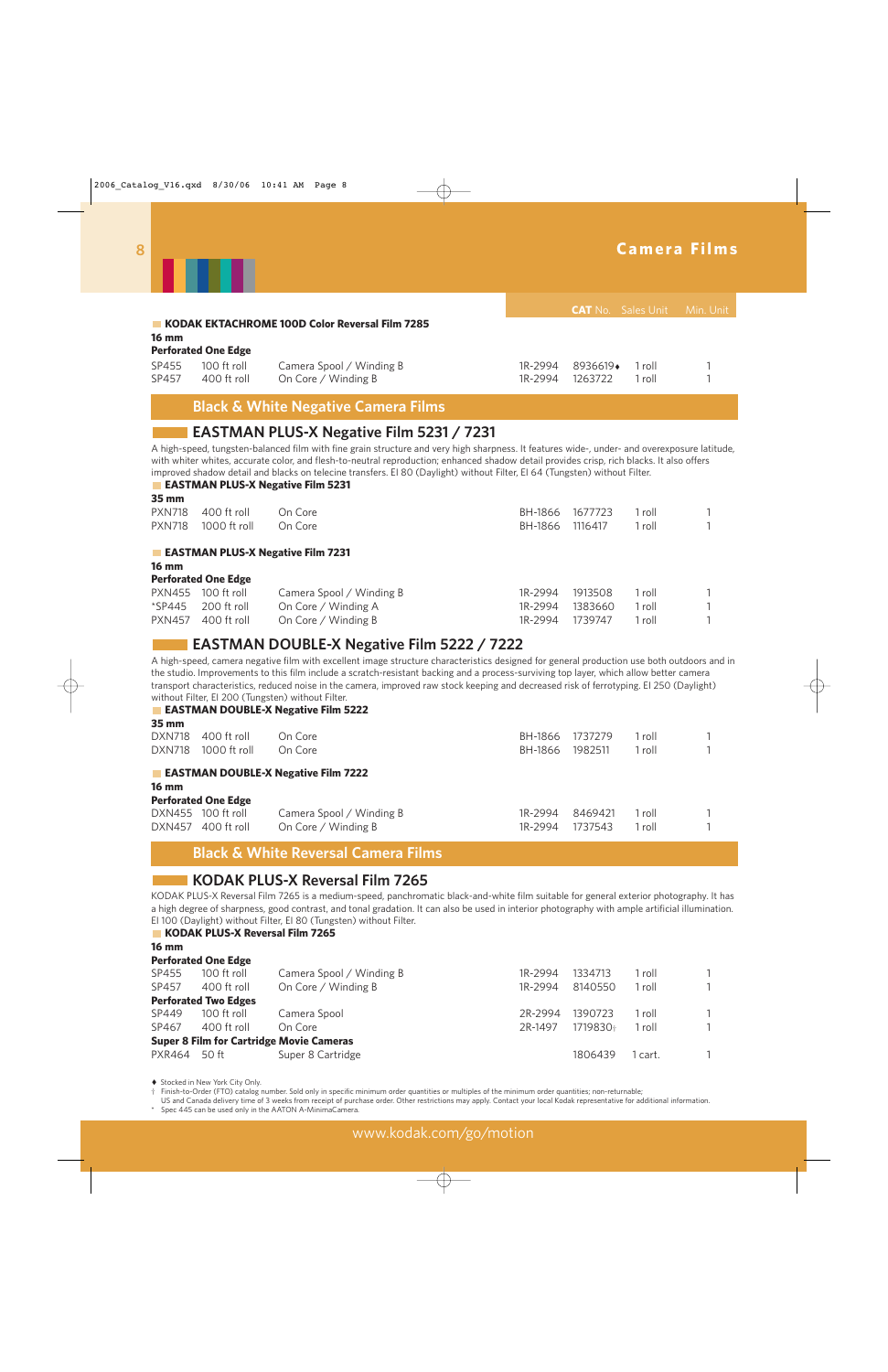|                        |                                                                                                                                                                                                                                                                                                                                                                                                                                                                                                                        |                                                 |                    | <b>CAT</b> No. Sales Unit |                  | Min. Unit |  |  |
|------------------------|------------------------------------------------------------------------------------------------------------------------------------------------------------------------------------------------------------------------------------------------------------------------------------------------------------------------------------------------------------------------------------------------------------------------------------------------------------------------------------------------------------------------|-------------------------------------------------|--------------------|---------------------------|------------------|-----------|--|--|
| $16 \text{ mm}$        | <b>KODAK EKTACHROME 100D Color Reversal Film 7285</b>                                                                                                                                                                                                                                                                                                                                                                                                                                                                  |                                                 |                    |                           |                  |           |  |  |
|                        | <b>Perforated One Edge</b>                                                                                                                                                                                                                                                                                                                                                                                                                                                                                             |                                                 |                    |                           |                  |           |  |  |
| SP455<br>SP457         | 100 ft roll<br>400 ft roll                                                                                                                                                                                                                                                                                                                                                                                                                                                                                             | Camera Spool / Winding B<br>On Core / Winding B | 1R-2994<br>1R-2994 | 8936619+<br>1263722       | 1 roll<br>1 roll |           |  |  |
|                        | <b>Black &amp; White Negative Camera Films</b>                                                                                                                                                                                                                                                                                                                                                                                                                                                                         |                                                 |                    |                           |                  |           |  |  |
|                        | <b>EASTMAN PLUS-X Negative Film 5231 / 7231</b><br>A high-speed, tungsten-balanced film with fine grain structure and very high sharpness. It features wide-, under- and overexposure latitude,<br>with whiter whites, accurate color, and flesh-to-neutral reproduction; enhanced shadow detail provides crisp, rich blacks. It also offers<br>improved shadow detail and blacks on telecine transfers. El 80 (Daylight) without Filter, El 64 (Tungsten) without Filter.<br><b>EASTMAN PLUS-X Negative Film 5231</b> |                                                 |                    |                           |                  |           |  |  |
| 35 mm<br><b>PXN718</b> | 400 ft roll                                                                                                                                                                                                                                                                                                                                                                                                                                                                                                            | On Core                                         | BH-1866            | 1677723                   | 1 roll           |           |  |  |
| <b>PXN718</b>          | 1000 ft roll                                                                                                                                                                                                                                                                                                                                                                                                                                                                                                           | On Core                                         | BH-1866            | 1116417                   | 1 roll           |           |  |  |
| <b>16 mm</b>           |                                                                                                                                                                                                                                                                                                                                                                                                                                                                                                                        | <b>EASTMAN PLUS-X Negative Film 7231</b>        |                    |                           |                  |           |  |  |

#### **Perforated One Edge**

| PXN455 100 ft roll                     | Camera Spool / Winding B | 1R-2994 1913508        | 1 roll |  |
|----------------------------------------|--------------------------|------------------------|--------|--|
| $\text{\textdegree}$ SP445 200 ft roll | On Core / Winding A      | 1R-2994 1383660 1 roll |        |  |
| PXN457 400 ft roll                     | On Core / Winding B      | 1R-2994 1739747        | 1 roll |  |

### **EASTMAN DOUBLE-X Negative Film 5222 / 7222**

A high-speed, camera negative film with excellent image structure characteristics designed for general production use both outdoors and in the studio. Improvements to this film include a scratch-resistant backing and a process-surviving top layer, which allow better camera transport characteristics, reduced noise in the camera, improved raw stock keeping and decreased risk of ferrotyping. EI 250 (Daylight) without Filter, EI 200 (Tungsten) without Filter. **EASTMAN DOUBLE-X Negative Film 5222** 

| 35 mm           |                                                |                          |         |         |        |  |  |  |
|-----------------|------------------------------------------------|--------------------------|---------|---------|--------|--|--|--|
| <b>DXN718</b>   | 400 ft roll                                    | On Core                  | BH-1866 | 1737279 | 1 roll |  |  |  |
| <b>DXN718</b>   | 1000 ft roll                                   | On Core                  | BH-1866 | 1982511 | 1 roll |  |  |  |
|                 | <b>EASTMAN DOUBLE-X Negative Film 7222</b>     |                          |         |         |        |  |  |  |
| $16 \text{ mm}$ |                                                |                          |         |         |        |  |  |  |
|                 | <b>Perforated One Edge</b>                     |                          |         |         |        |  |  |  |
|                 | DXN455 100 ft roll                             | Camera Spool / Winding B | 1R-2994 | 8469421 | 1 roll |  |  |  |
| DXN457          | 400 ft roll                                    | On Core / Winding B      | 1R-2994 | 1737543 | 1 roll |  |  |  |
|                 | <b>Black &amp; White Reversal Camera Films</b> |                          |         |         |        |  |  |  |

### **KODAK PLUS-X Reversal Film 7265**

KODAK PLUS-X Reversal Film 7265 is a medium-speed, panchromatic black-and-white film suitable for general exterior photography. It has a high degree of sharpness, good contrast, and tonal gradation. It can also be used in interior photography with ample artificial illumination. EI 100 (Daylight) without Filter, EI 80 (Tungsten) without Filter.

#### **KODAK PLUS-X Reversal Film 7265**

**16 mm** 

| <b>Perforated One Edge</b>  |                          |                                                 |          |         |              |
|-----------------------------|--------------------------|-------------------------------------------------|----------|---------|--------------|
| 100 ft roll                 | Camera Spool / Winding B | 1R-2994                                         | 1334713  | 1 roll  | $\mathbf{1}$ |
| 400 ft roll                 | On Core / Winding B      | 1R-2994                                         | 8140550  | l roll  |              |
| <b>Perforated Two Edges</b> |                          |                                                 |          |         |              |
| 100 ft roll                 | Camera Spool             | 2R-2994                                         | 1390723  | 1 roll  | $\mathbf{1}$ |
| 400 ft roll                 | On Core                  | 2R-1497                                         | 1719830+ | 1 roll  |              |
|                             |                          |                                                 |          |         |              |
| PXR464 50 ft                | Super 8 Cartridge        |                                                 | 1806439  | l cart. |              |
|                             |                          | <b>Super 8 Film for Cartridge Movie Cameras</b> |          |         |              |

◆ Stocked in New York City Only.<br>† Finish-to-Order (FTO) catalog r

† Finish-to-Order (FTO) catalog number. Sold only in specific minimum order quantities or multiples of the minimum order quantities; non-returnable;

US and Canada delivery time of 3 weeks from receipt of purchase order. Other restrictions may apply. Contact your local Kodak representative for additional information.

\* Spec 445 can be used only in the AATON A-MinimaCamera.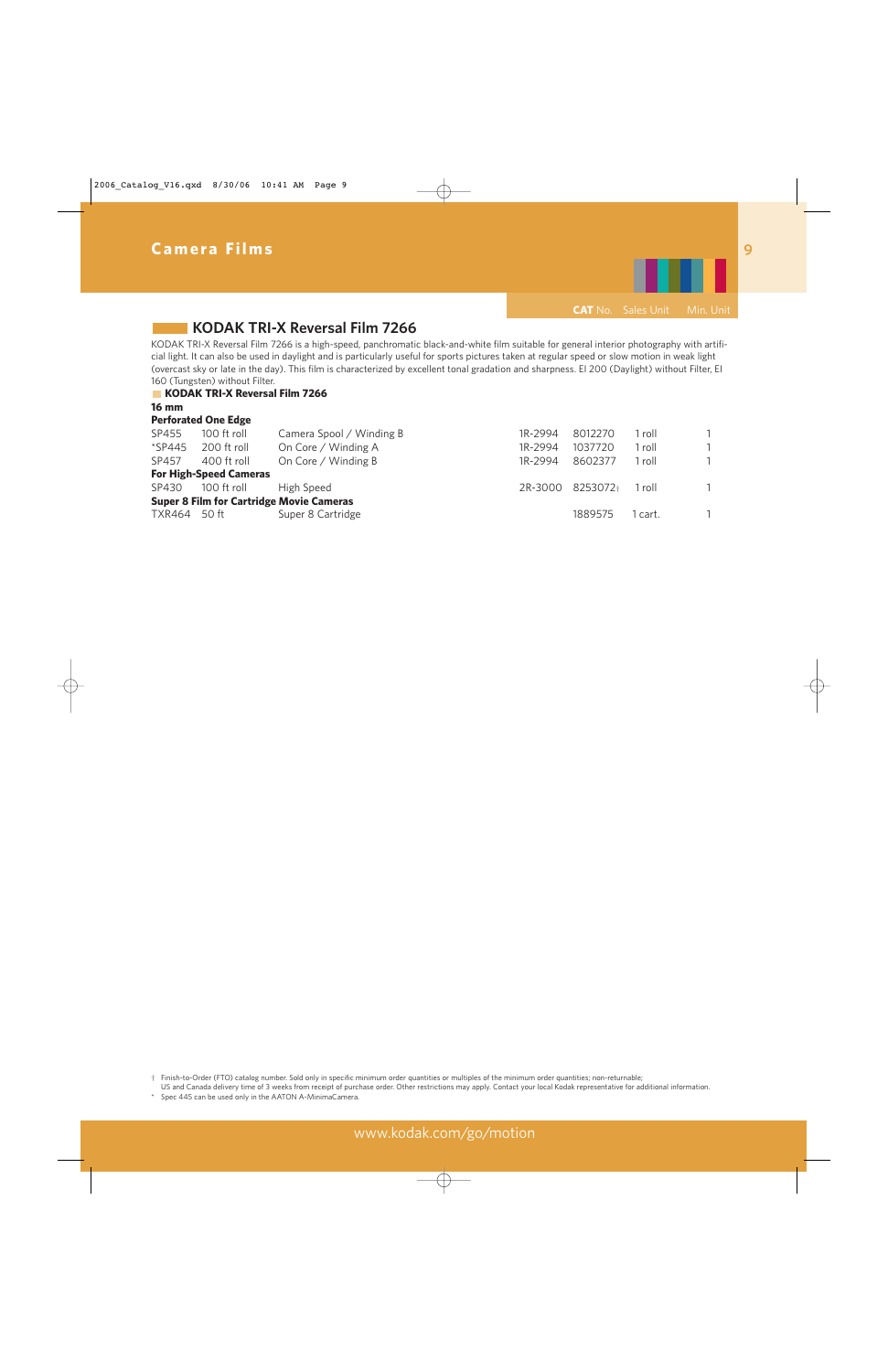

## **KODAK TRI-X Reversal Film 7266**

KODAK TRI-X Reversal Film 7266 is a high-speed, panchromatic black-and-white film suitable for general interior photography with artificial light. It can also be used in daylight and is particularly useful for sports pictures taken at regular speed or slow motion in weak light (overcast sky or late in the day). This film is characterized by excellent tonal gradation and sharpness. EI 200 (Daylight) without Filter, EI 160 (Tungsten) without Filter.

#### **KODAK TRI-X Reversal Film 7266**

**16 mm** 

|              | <b>Perforated One Edge</b>                      |                          |         |                              |         |              |  |
|--------------|-------------------------------------------------|--------------------------|---------|------------------------------|---------|--------------|--|
| SP455        | $100$ ft roll                                   | Camera Spool / Winding B | 1R-2994 | 8012270                      | roll    | $\mathbf{1}$ |  |
| $*$ SP445    | 200 ft roll                                     | On Core / Winding A      | 1R-2994 | 1037720                      | 1 roll  | $\mathbf{1}$ |  |
| SP457        | 400 ft roll                                     | On Core / Winding B      | 1R-2994 | 8602377                      | 1 roll  |              |  |
|              | <b>For High-Speed Cameras</b>                   |                          |         |                              |         |              |  |
| SP430        | 100 ft roll                                     | High Speed               |         | 2R-3000 8253072 <sup>+</sup> | 1 roll  | $\mathbf{1}$ |  |
|              | <b>Super 8 Film for Cartridge Movie Cameras</b> |                          |         |                              |         |              |  |
| TXR464 50 ft |                                                 | Super 8 Cartridge        |         | 1889575                      | 1 cart. |              |  |

† Finish-to-Order (FTO) catalog number. Sold only in specific minimum order quantities or multiples of the minimum order quantities; non-returnable;

US and Canada delivery time of 3 weeks from receipt of purchase order. Other restrictions may apply. Contact your local Kodak representative for additional information.

Spec 445 can be used only in the AATON A-MinimaCamera.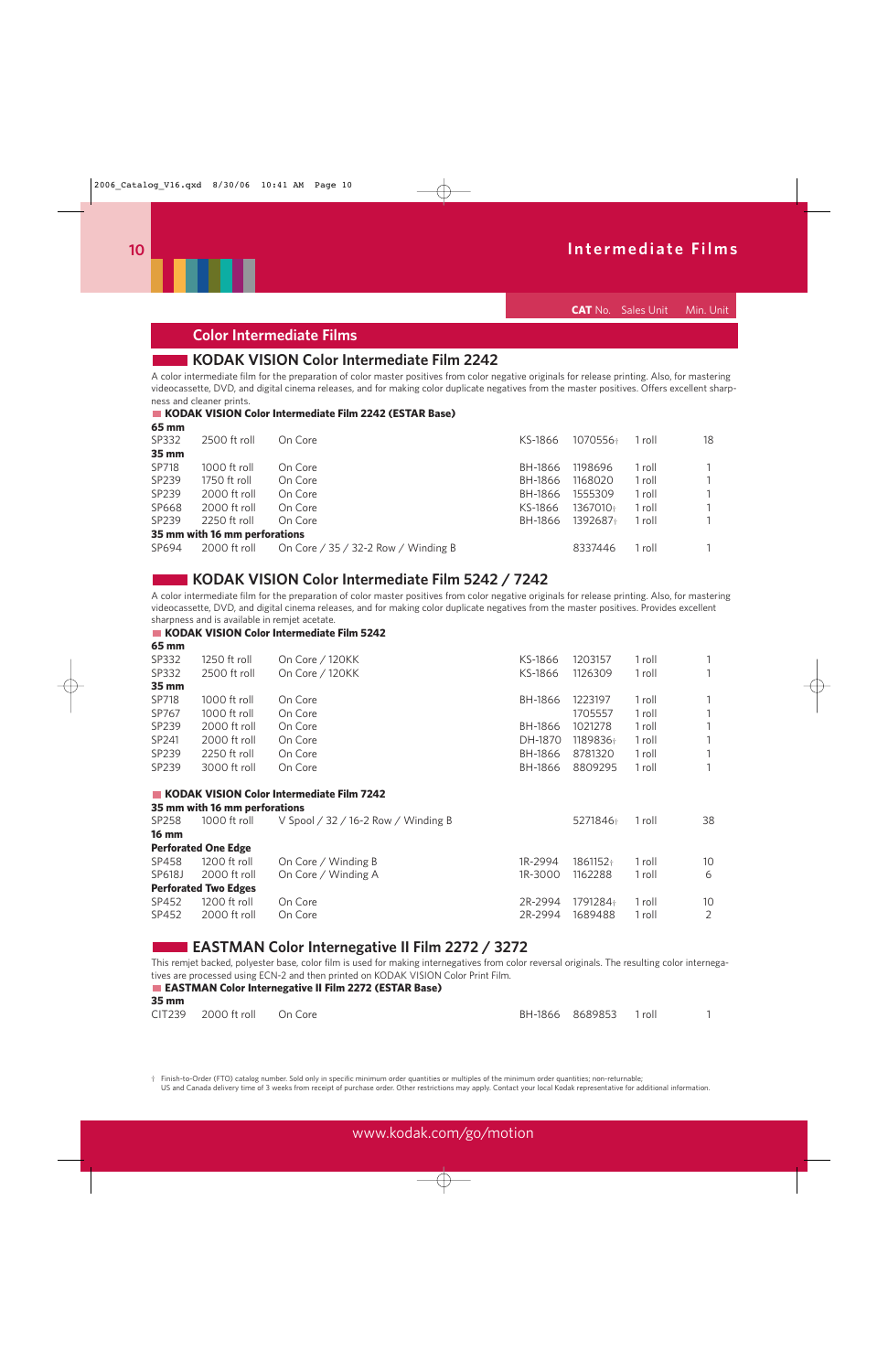

**CAT** No. Sales Unit Min. Unit

### **Color Intermediate Films**

### **KODAK VISION Color Intermediate Film 2242**

A color intermediate film for the preparation of color master positives from color negative originals for release printing. Also, for mastering videocassette, DVD, and digital cinema releases, and for making color duplicate negatives from the master positives. Offers excellent sharpness and cleaner prints.

#### **KODAK VISION Color Intermediate Film 2242 (ESTAR Base)**

| 2500 ft roll | On Core | KS-1866                                                                    | 1070556+ | 1 roll | 18 |
|--------------|---------|----------------------------------------------------------------------------|----------|--------|----|
|              |         |                                                                            |          |        |    |
| 1000 ft roll | On Core | BH-1866                                                                    | 1198696  | 1 roll |    |
| 1750 ft roll | On Core | BH-1866                                                                    | 1168020  | 1 roll |    |
| 2000 ft roll | On Core | BH-1866                                                                    | 1555309  | 1 roll |    |
| 2000 ft roll | On Core | KS-1866                                                                    | 1367010+ | 1 roll |    |
| 2250 ft roll | On Core | BH-1866                                                                    | 1392687+ | 1 roll |    |
|              |         |                                                                            |          |        |    |
| 2000 ft roll |         |                                                                            | 8337446  | 1 roll |    |
|              |         | 35 mm with 16 mm perforations<br>On Core $/$ 35 $/$ 32-2 Row $/$ Winding B |          |        |    |

### **KODAK VISION Color Intermediate Film 5242 / 7242**

A color intermediate film for the preparation of color master positives from color negative originals for release printing. Also, for mastering videocassette, DVD, and digital cinema releases, and for making color duplicate negatives from the master positives. Provides excellent sharpness and is available in remjet acetate.

#### **KODAK VISION Color Intermediate Film 5242**

**65 mm**

| SP332             | 1250 ft roll   | On Core / 120KK | KS-1866 | 1203157  | l roll | $\mathbf{1}$ |
|-------------------|----------------|-----------------|---------|----------|--------|--------------|
| SP332             | 2500 ft roll   | On Core / 120KK | KS-1866 | 1126309  | l roll | $\mathbf{1}$ |
| $35 \, \text{mm}$ |                |                 |         |          |        |              |
| SP718             | $1000$ ft roll | On Core         | BH-1866 | 1223197  | 1 roll | $\mathbf{1}$ |
| SP767             | $1000$ ft roll | On Core         |         | 1705557  | l roll | $\mathbf{1}$ |
| SP239             | $2000$ ft roll | On Core         | BH-1866 | 1021278  | 1 roll | $\mathbf{1}$ |
| SP241             | 2000 ft roll   | On Core         | DH-1870 | 1189836+ | roll   | $\mathbf{1}$ |
| SP239             | 2250 ft roll   | On Core         | BH-1866 | 8781320  | l roll | $\mathbf{1}$ |
| SP239             | 3000 ft roll   | On Core         | BH-1866 | 8809295  | l roll | $\mathbf{1}$ |
|                   |                |                 |         |          |        |              |

#### **KODAK VISION Color Intermediate Film 7242 35 mm with 16 mm perforations**

|              | <b>33 MIN WILL TO MIN DEFIORATIONS</b> |                                     |         |          |        |                 |
|--------------|----------------------------------------|-------------------------------------|---------|----------|--------|-----------------|
| SP258        | 1000 ft roll                           | V Spool / 32 / 16-2 Row / Winding B |         | 5271846+ | 1 roll | 38              |
| <b>16 mm</b> |                                        |                                     |         |          |        |                 |
|              | <b>Perforated One Edge</b>             |                                     |         |          |        |                 |
| SP458        | 1200 ft roll                           | On Core / Winding B                 | 1R-2994 | 1861152+ | 1 roll | 10              |
| SP618J       | 2000 ft roll                           | On Core / Winding A                 | 1R-3000 | 1162288  | 1 roll | 6               |
|              | <b>Perforated Two Edges</b>            |                                     |         |          |        |                 |
| SP452        | 1200 ft roll                           | On Core                             | 2R-2994 | 1791284+ | 1 roll | 10 <sup>°</sup> |
| SP452        | 2000 ft roll                           | On Core                             | 2R-2994 | 1689488  | 1 roll |                 |
|              |                                        |                                     |         |          |        |                 |

### **EASTMAN Color Internegative II Film 2272 / 3272**

This remjet backed, polyester base, color film is used for making internegatives from color reversal originals. The resulting color internegatives are processed using ECN-2 and then printed on KODAK VISION Color Print Film.

#### **EASTMAN Color Internegative II Film 2272 (ESTAR Base) 35 mm**

| ээ шш |                             |  |                        |  |
|-------|-----------------------------|--|------------------------|--|
|       | CIT239 2000 ft roll On Core |  | BH-1866 8689853 1 roll |  |

† Finish-to-Order (FTO) catalog number. Sold only in specific minimum order quantities or multiples of the minimum order quantities; non-returnable;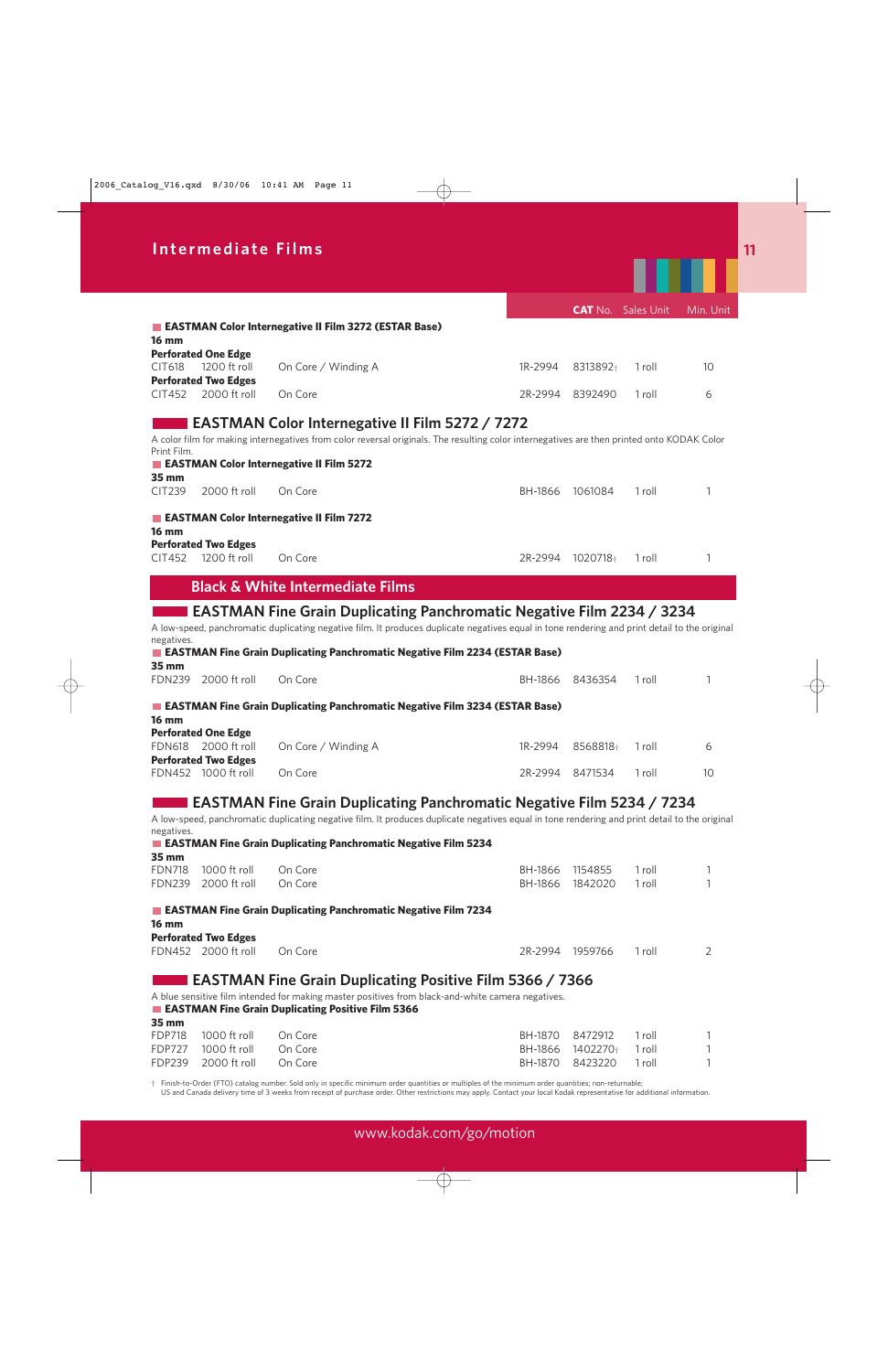|                                | Intermediate Films                                 |                                                                                                                                                        |                    |                     |                           |           |
|--------------------------------|----------------------------------------------------|--------------------------------------------------------------------------------------------------------------------------------------------------------|--------------------|---------------------|---------------------------|-----------|
|                                |                                                    |                                                                                                                                                        |                    |                     |                           |           |
|                                |                                                    |                                                                                                                                                        |                    |                     | <b>CAT</b> No. Sales Unit | Min. Unit |
|                                |                                                    | EASTMAN Color Internegative II Film 3272 (ESTAR Base)                                                                                                  |                    |                     |                           |           |
| <b>16 mm</b>                   | <b>Perforated One Edge</b>                         |                                                                                                                                                        |                    |                     |                           |           |
| CIT618                         | 1200 ft roll<br><b>Perforated Two Edges</b>        | On Core / Winding A                                                                                                                                    | 1R-2994            | 8313892             | 1 roll                    | 10        |
| CIT452                         | 2000 ft roll                                       | On Core                                                                                                                                                | 2R-2994            | 8392490             | 1 roll                    | 6         |
|                                |                                                    | <b>EASTMAN Color Internegative II Film 5272 / 7272</b>                                                                                                 |                    |                     |                           |           |
| Print Film.                    |                                                    | A color film for making internegatives from color reversal originals. The resulting color internegatives are then printed onto KODAK Color             |                    |                     |                           |           |
| 35 mm                          |                                                    | EASTMAN Color Internegative II Film 5272                                                                                                               |                    |                     |                           |           |
| <b>CIT239</b>                  | 2000 ft roll                                       | On Core                                                                                                                                                | BH-1866            | 1061084             | 1 roll                    | 1         |
| <b>16 mm</b>                   |                                                    | EASTMAN Color Internegative II Film 7272                                                                                                               |                    |                     |                           |           |
|                                | <b>Perforated Two Edges</b>                        |                                                                                                                                                        |                    |                     |                           |           |
| CIT452                         | 1200 ft roll                                       | On Core                                                                                                                                                | 2R-2994            | 1020718†            | 1 roll                    | 1         |
|                                |                                                    | <b>Black &amp; White Intermediate Films</b>                                                                                                            |                    |                     |                           |           |
|                                |                                                    | <b>EASTMAN Fine Grain Duplicating Panchromatic Negative Film 2234 / 3234</b>                                                                           |                    |                     |                           |           |
|                                |                                                    | A low-speed, panchromatic duplicating negative film. It produces duplicate negatives equal in tone rendering and print detail to the original          |                    |                     |                           |           |
| negatives.                     |                                                    | <b>EASTMAN Fine Grain Duplicating Panchromatic Negative Film 2234 (ESTAR Base)</b>                                                                     |                    |                     |                           |           |
| 35 mm                          | FDN239 2000 ft roll                                |                                                                                                                                                        |                    | 8436354             | 1 roll                    | 1         |
|                                |                                                    | On Core                                                                                                                                                | BH-1866            |                     |                           |           |
| <b>16 mm</b>                   |                                                    | <b>EXECUTE EASTMAN Fine Grain Duplicating Panchromatic Negative Film 3234 (ESTAR Base)</b>                                                             |                    |                     |                           |           |
|                                | <b>Perforated One Edge</b>                         |                                                                                                                                                        |                    |                     |                           |           |
| <b>FDN618</b>                  | 2000 ft roll                                       | On Core / Winding A                                                                                                                                    | 1R-2994            | 8568818+            | 1 roll                    | 6         |
|                                | <b>Perforated Two Edges</b><br>FDN452 1000 ft roll | On Core                                                                                                                                                | 2R-2994            | 8471534             | 1 roll                    | 10        |
|                                |                                                    |                                                                                                                                                        |                    |                     |                           |           |
|                                |                                                    | <b>EASTMAN Fine Grain Duplicating Panchromatic Negative Film 5234 / 7234</b>                                                                           |                    |                     |                           |           |
| negatives.                     |                                                    | A low-speed, panchromatic duplicating negative film. It produces duplicate negatives equal in tone rendering and print detail to the original          |                    |                     |                           |           |
|                                |                                                    | EASTMAN Fine Grain Duplicating Panchromatic Negative Film 5234                                                                                         |                    |                     |                           |           |
| 35 mm<br><b>FDN718</b>         |                                                    | On Core                                                                                                                                                |                    | 1154855             |                           |           |
| <b>FDN239</b>                  | 1000 ft roll<br>2000 ft roll                       | On Core                                                                                                                                                | BH-1866<br>BH-1866 | 1842020             | 1 roll<br>1 roll          | 1<br>1    |
|                                |                                                    | <b>EXECUTE:</b> EASTMAN Fine Grain Duplicating Panchromatic Negative Film 7234                                                                         |                    |                     |                           |           |
| <b>16 mm</b>                   |                                                    |                                                                                                                                                        |                    |                     |                           |           |
|                                | <b>Perforated Two Edges</b><br>FDN452 2000 ft roll | On Core                                                                                                                                                | 2R-2994            | 1959766             | 1 roll                    | 2         |
|                                |                                                    |                                                                                                                                                        |                    |                     |                           |           |
|                                |                                                    | <b>EASTMAN Fine Grain Duplicating Positive Film 5366 / 7366</b>                                                                                        |                    |                     |                           |           |
|                                |                                                    | A blue sensitive film intended for making master positives from black-and-white camera negatives.<br>EASTMAN Fine Grain Duplicating Positive Film 5366 |                    |                     |                           |           |
| 35 mm                          |                                                    |                                                                                                                                                        |                    |                     |                           |           |
| <b>FDP718</b>                  | 1000 ft roll                                       | On Core                                                                                                                                                | BH-1870            | 8472912             | 1 roll                    | 1         |
| <b>FDP727</b><br><b>FDP239</b> | 1000 ft roll<br>2000 ft roll                       | On Core<br>On Core                                                                                                                                     | BH-1866<br>BH-1870 | 1402270+<br>8423220 | 1 roll<br>1 roll          | 1<br>1    |
|                                |                                                    |                                                                                                                                                        |                    |                     |                           |           |

† Finish-to-Order (FTO) catalog number. Sold only in specific minimum order quantities or multiples of the minimum order quantities; non-returnable;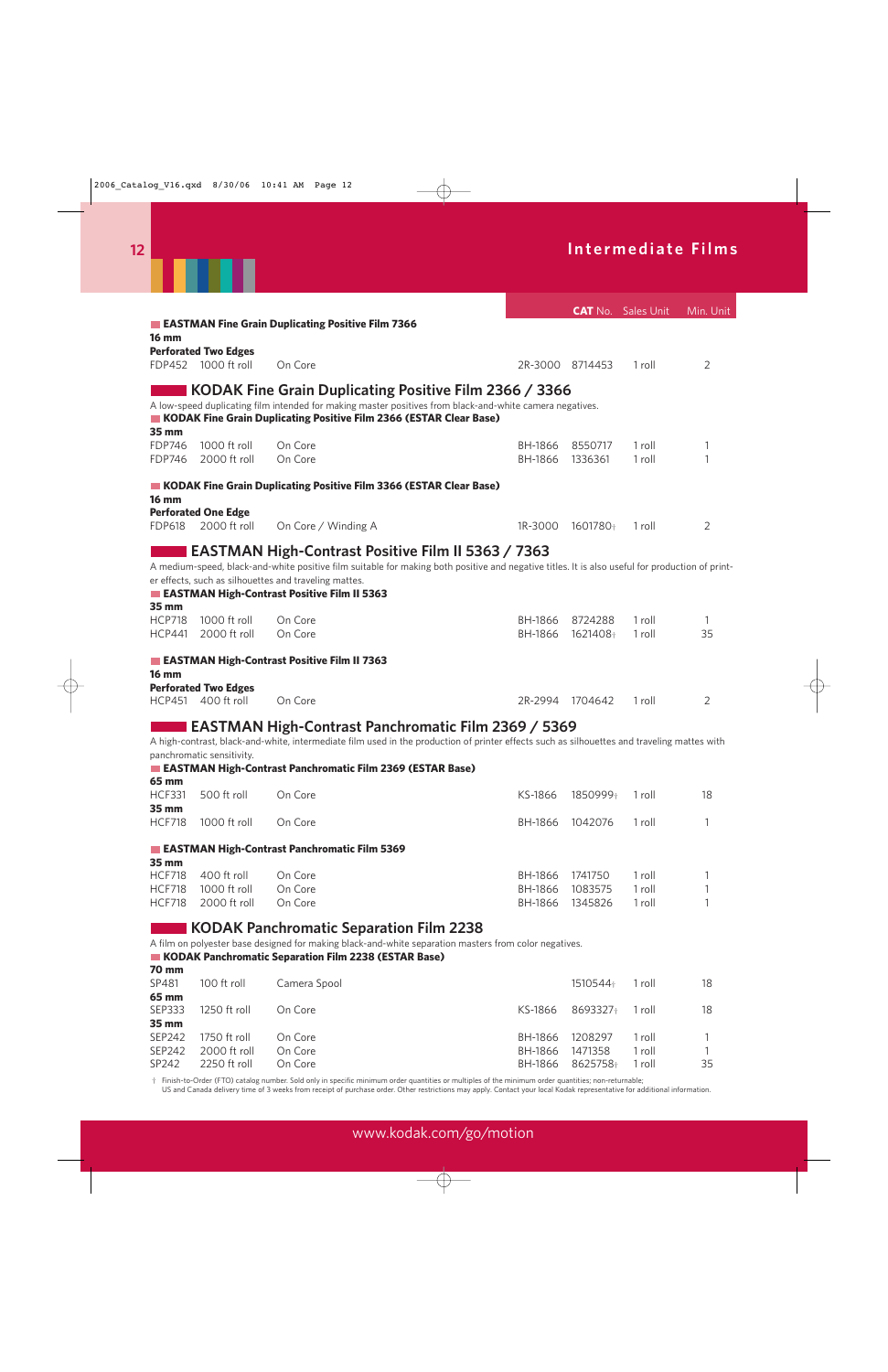

|               |                             |                                                                                                                                                 |         |                 | <b>CAT</b> No. Sales Unit | Min. Unit |
|---------------|-----------------------------|-------------------------------------------------------------------------------------------------------------------------------------------------|---------|-----------------|---------------------------|-----------|
|               |                             | EASTMAN Fine Grain Duplicating Positive Film 7366                                                                                               |         |                 |                           |           |
| <b>16 mm</b>  |                             |                                                                                                                                                 |         |                 |                           |           |
|               | <b>Perforated Two Edges</b> |                                                                                                                                                 |         |                 |                           |           |
| <b>FDP452</b> | 1000 ft roll                | On Core                                                                                                                                         |         | 2R-3000 8714453 | 1 roll                    | 2         |
|               |                             |                                                                                                                                                 |         |                 |                           |           |
|               |                             | KODAK Fine Grain Duplicating Positive Film 2366 / 3366                                                                                          |         |                 |                           |           |
|               |                             | A low-speed duplicating film intended for making master positives from black-and-white camera negatives.                                        |         |                 |                           |           |
| 35 mm         |                             | KODAK Fine Grain Duplicating Positive Film 2366 (ESTAR Clear Base)                                                                              |         |                 |                           |           |
| <b>FDP746</b> | 1000 ft roll                | On Core                                                                                                                                         | BH-1866 | 8550717         | 1 roll                    | 1         |
| <b>FDP746</b> | 2000 ft roll                | On Core                                                                                                                                         | BH-1866 | 1336361         | 1 roll                    | 1         |
|               |                             |                                                                                                                                                 |         |                 |                           |           |
|               |                             | KODAK Fine Grain Duplicating Positive Film 3366 (ESTAR Clear Base)                                                                              |         |                 |                           |           |
| <b>16 mm</b>  |                             |                                                                                                                                                 |         |                 |                           |           |
|               | <b>Perforated One Edge</b>  |                                                                                                                                                 |         |                 |                           |           |
| <b>FDP618</b> | 2000 ft roll                | On Core / Winding A                                                                                                                             | 1R-3000 | 1601780+        | 1 roll                    | 2         |
|               |                             |                                                                                                                                                 |         |                 |                           |           |
|               |                             | EASTMAN High-Contrast Positive Film II 5363 / 7363                                                                                              |         |                 |                           |           |
|               |                             | A medium-speed, black-and-white positive film suitable for making both positive and negative titles. It is also useful for production of print- |         |                 |                           |           |
|               |                             | er effects, such as silhouettes and traveling mattes.                                                                                           |         |                 |                           |           |
|               |                             | EASTMAN High-Contrast Positive Film II 5363                                                                                                     |         |                 |                           |           |
| 35 mm         |                             |                                                                                                                                                 |         |                 |                           |           |
| <b>HCP718</b> | 1000 ft roll                | On Core                                                                                                                                         | BH-1866 | 8724288         | 1 roll                    | 1         |
| <b>HCP441</b> | 2000 ft roll                | On Core                                                                                                                                         | BH-1866 | 1621408         | 1 roll                    | 35        |
|               |                             |                                                                                                                                                 |         |                 |                           |           |
| <b>16 mm</b>  |                             | EASTMAN High-Contrast Positive Film II 7363                                                                                                     |         |                 |                           |           |
|               | <b>Perforated Two Edges</b> |                                                                                                                                                 |         |                 |                           |           |
| <b>HCP451</b> | 400 ft roll                 | On Core                                                                                                                                         | 2R-2994 | 1704642         | 1 roll                    | 2         |
|               |                             |                                                                                                                                                 |         |                 |                           |           |
|               |                             | EASTMAN High-Contrast Panchromatic Film 2369 / 5369                                                                                             |         |                 |                           |           |
|               |                             | A high-contrast, black-and-white, intermediate film used in the production of printer effects such as silhouettes and traveling mattes with     |         |                 |                           |           |
|               | panchromatic sensitivity.   |                                                                                                                                                 |         |                 |                           |           |
|               |                             | EASTMAN High-Contrast Panchromatic Film 2369 (ESTAR Base)                                                                                       |         |                 |                           |           |
| 65 mm         |                             |                                                                                                                                                 |         |                 |                           |           |
| <b>HCF331</b> | 500 ft roll                 | On Core                                                                                                                                         | KS-1866 | 1850999+        | 1 roll                    | 18        |
| 35 mm         |                             |                                                                                                                                                 |         |                 |                           |           |
| <b>HCF718</b> | 1000 ft roll                | On Core                                                                                                                                         | BH-1866 | 1042076         | 1 roll                    | 1         |
|               |                             |                                                                                                                                                 |         |                 |                           |           |
|               |                             | EASTMAN High-Contrast Panchromatic Film 5369                                                                                                    |         |                 |                           |           |
| 35 mm         |                             |                                                                                                                                                 |         |                 |                           |           |
| <b>HCF718</b> | 400 ft roll                 | On Core                                                                                                                                         | BH-1866 | 1741750         | 1 roll                    | 1         |
| <b>HCF718</b> | 1000 ft roll                | On Core                                                                                                                                         | BH-1866 | 1083575         | 1 roll                    | 1         |
| <b>HCF718</b> | 2000 ft roll                | On Core                                                                                                                                         | BH-1866 | 1345826         | 1 roll                    | 1         |
|               |                             |                                                                                                                                                 |         |                 |                           |           |
|               |                             | <b>KODAK Panchromatic Separation Film 2238</b>                                                                                                  |         |                 |                           |           |
|               |                             | A film on polyester base designed for making black-and-white separation masters from color negatives.                                           |         |                 |                           |           |
| <b>70 mm</b>  |                             | KODAK Panchromatic Separation Film 2238 (ESTAR Base)                                                                                            |         |                 |                           |           |
| SP481         | 100 ft roll                 |                                                                                                                                                 |         |                 |                           |           |
| 65 mm         |                             | Camera Spool                                                                                                                                    |         | 1510544         | 1 roll                    | 18        |
| <b>SEP333</b> | 1250 ft roll                | On Core                                                                                                                                         | KS-1866 | 8693327+        | 1 roll                    | 18        |
| 35 mm         |                             |                                                                                                                                                 |         |                 |                           |           |
| <b>SEP242</b> | 1750 ft roll                | On Core                                                                                                                                         | BH-1866 | 1208297         | 1 roll                    | 1         |
| <b>SEP242</b> | 2000 ft roll                | On Core                                                                                                                                         | BH-1866 | 1471358         | 1 roll                    | 1         |
| SP242         | 2250 ft roll                | On Core                                                                                                                                         | BH-1866 | 8625758         | 1 roll                    | 35        |

† Finish-to-Order (FTO) catalog number. Sold only in specific minimum order quantities or multiples of the minimum order quantities; non-returnable;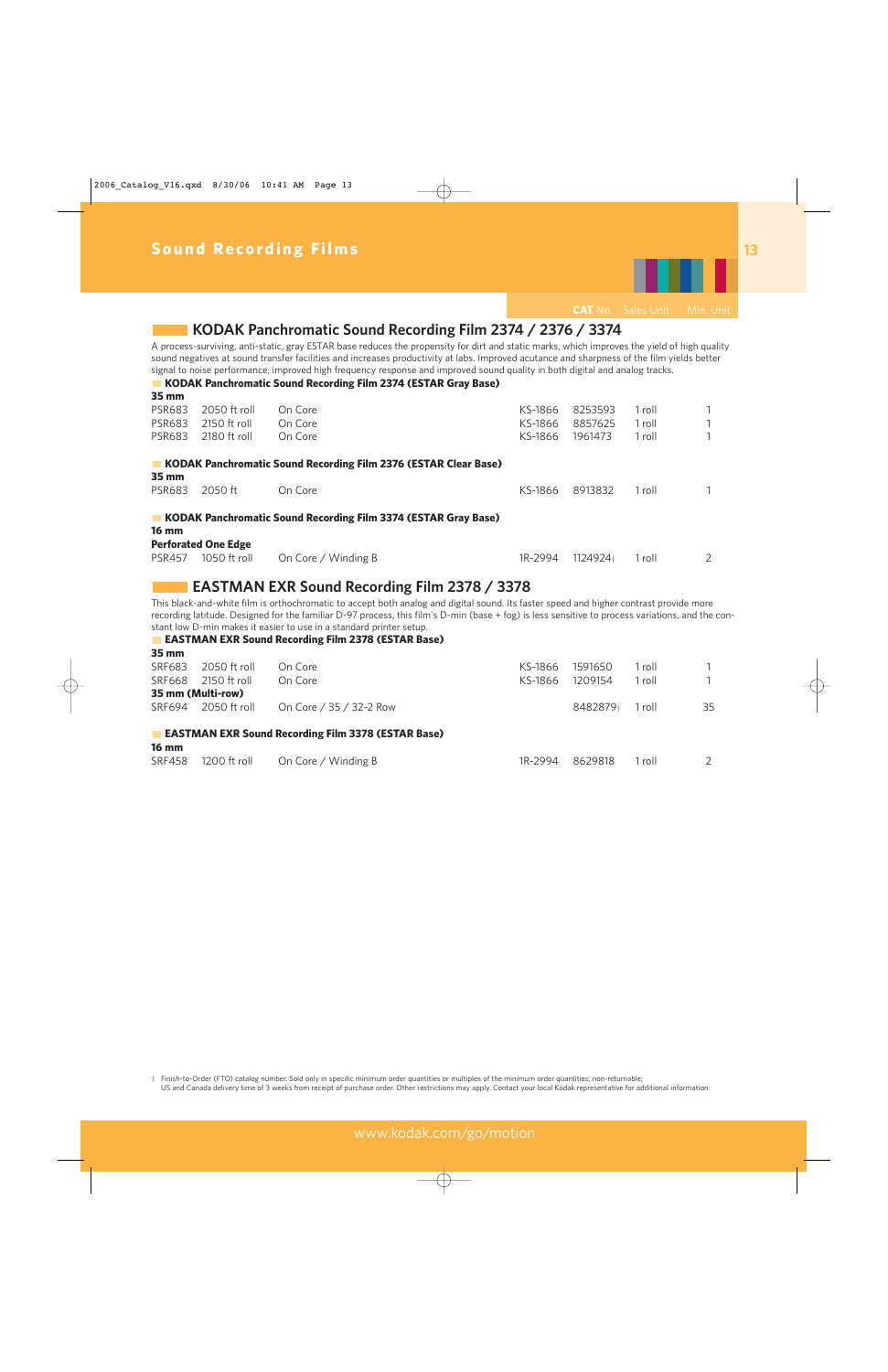

### **KODAK Panchromatic Sound Recording Film 2374 / 2376 / 3374**

A process-surviving, anti-static, gray ESTAR base reduces the propensity for dirt and static marks, which improves the yield of high quality sound negatives at sound transfer facilities and increases productivity at labs. Improved acutance and sharpness of the film yields better signal to noise performance, improved high frequency response and improved sound quality in both digital and analog tracks.

**KODAK Panchromatic Sound Recording Film 2374 (ESTAR Gray Base)** 

| 35 mm               |                            |                                                                        |         |          |        |   |
|---------------------|----------------------------|------------------------------------------------------------------------|---------|----------|--------|---|
| <b>PSR683</b>       | 2050 ft roll               | On Core                                                                | KS-1866 | 8253593  | 1 roll |   |
| <b>PSR683</b>       | 2150 ft roll               | On Core                                                                | KS-1866 | 8857625  | 1 roll |   |
| <b>PSR683</b>       | 2180 ft roll               | On Core                                                                | KS-1866 | 1961473  | 1 roll |   |
|                     |                            | <b>KODAK Panchromatic Sound Recording Film 2376 (ESTAR Clear Base)</b> |         |          |        |   |
| $35 \, \mathrm{mm}$ |                            |                                                                        |         |          |        |   |
| <b>PSR683</b>       | 2050 ft                    | On Core                                                                | KS-1866 | 8913832  | 1 roll |   |
|                     |                            | KODAK Panchromatic Sound Recording Film 3374 (ESTAR Gray Base)         |         |          |        |   |
| <b>16 mm</b>        |                            |                                                                        |         |          |        |   |
|                     | <b>Perforated One Edge</b> |                                                                        |         |          |        |   |
| <b>PSR457</b>       | 1050 ft roll               | On Core / Winding B                                                    | 1R-2994 | 1124924+ | 1 roll | 2 |

### **EASTMAN EXR Sound Recording Film 2378 / 3378**

This black-and-white film is orthochromatic to accept both analog and digital sound. Its faster speed and higher contrast provide more recording latitude. Designed for the familiar D-97 process, this film's D-min (base + fog) is less sensitive to process variations, and the constant low D-min makes it easier to use in a standard printer setup.

**EASTMAN EXR Sound Recording Film 2378 (ESTAR Base)** 

| $35 \text{ mm}$ |                     |                                                           |         |          |        |    |
|-----------------|---------------------|-----------------------------------------------------------|---------|----------|--------|----|
| SRF683          | 2050 ft roll        | On Core                                                   | KS-1866 | 1591650  | 1 roll |    |
| SRF668          | 2150 ft roll        | On Core                                                   | KS-1866 | 1209154  | 1 roll |    |
|                 | 35 mm (Multi-row)   |                                                           |         |          |        |    |
|                 | SRF694 2050 ft roll | On Core / 35 / 32-2 Row                                   |         | 8482879+ | 1 roll | 35 |
|                 |                     | <b>EASTMAN EXR Sound Recording Film 3378 (ESTAR Base)</b> |         |          |        |    |
| <b>16 mm</b>    |                     |                                                           |         |          |        |    |
| <b>SRF458</b>   | 1200 ft roll        | On Core / Winding B                                       | 1R-2994 | 8629818  | 1 roll |    |
|                 |                     |                                                           |         |          |        |    |

† Finish-to-Order (FTO) catalog number. Sold only in specific minimum order quantities or multiples of the minimum order quantities; non-returnable; US and Canada delivery time of 3 weeks from receipt of purchase order. Other restrictions may apply. Contact your local Kodak representative for additional information.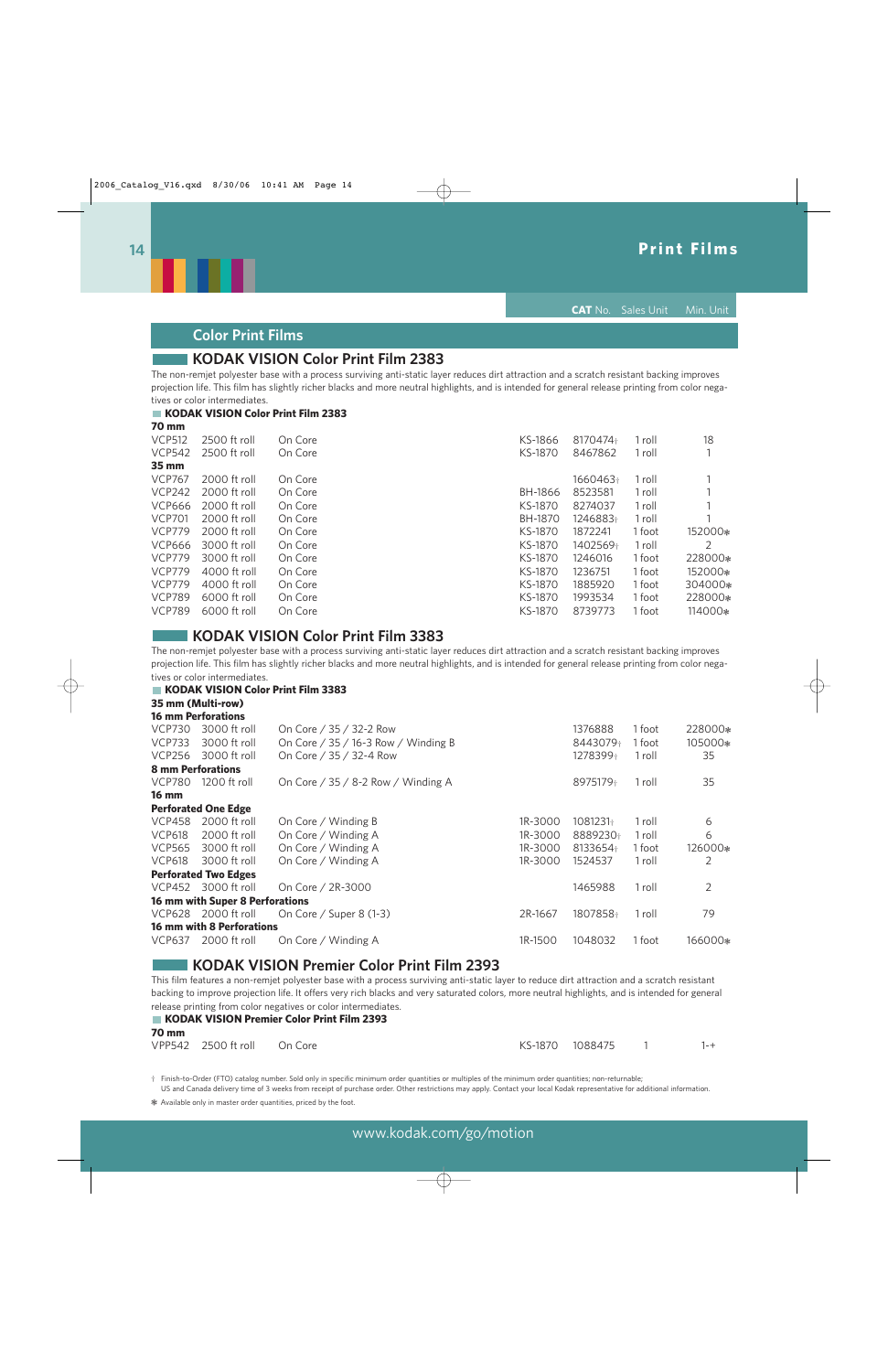

**CAT** No. Sales Unit Min. Unit

### **Color Print Films**

### **KODAK VISION Color Print Film 2383**

The non-remjet polyester base with a process surviving anti-static layer reduces dirt attraction and a scratch resistant backing improves projection life. This film has slightly richer blacks and more neutral highlights, and is intended for general release printing from color negatives or color intermediates.

#### **KODAK VISION Color Print Film 2383 70 mm**

| $\sim$ $\sim$ $\sim$ |              |         |                |          |        |         |
|----------------------|--------------|---------|----------------|----------|--------|---------|
| <b>VCP512</b>        | 2500 ft roll | On Core | KS-1866        | 8170474+ | 1 roll | 18      |
| <b>VCP542</b>        | 2500 ft roll | On Core | KS-1870        | 8467862  | 1 roll |         |
| 35 mm                |              |         |                |          |        |         |
| <b>VCP767</b>        | 2000 ft roll | On Core |                | 1660463+ | 1 roll |         |
| <b>VCP242</b>        | 2000 ft roll | On Core | BH-1866        | 8523581  | 1 roll |         |
| <b>VCP666</b>        | 2000 ft roll | On Core | KS-1870        | 8274037  | 1 roll |         |
| <b>VCP701</b>        | 2000 ft roll | On Core | <b>BH-1870</b> | 1246883+ | 1 roll |         |
| <b>VCP779</b>        | 2000 ft roll | On Core | KS-1870        | 1872241  | 1 foot | 152000* |
| <b>VCP666</b>        | 3000 ft roll | On Core | KS-1870        | 1402569+ | 1 roll | 2       |
| <b>VCP779</b>        | 3000 ft roll | On Core | KS-1870        | 1246016  | 1 foot | 228000* |
| <b>VCP779</b>        | 4000 ft roll | On Core | KS-1870        | 1236751  | 1 foot | 152000* |
| <b>VCP779</b>        | 4000 ft roll | On Core | KS-1870        | 1885920  | 1 foot | 304000* |
| <b>VCP789</b>        | 6000 ft roll | On Core | KS-1870        | 1993534  | 1 foot | 228000* |
| <b>VCP789</b>        | 6000 ft roll | On Core | KS-1870        | 8739773  | 1 foot | 114000* |
|                      |              |         |                |          |        |         |

### **KODAK VISION Color Print Film 3383**

The non-remjet polyester base with a process surviving anti-static layer reduces dirt attraction and a scratch resistant backing improves projection life. This film has slightly richer blacks and more neutral highlights, and is intended for general release printing from color negatives or color intermediates.

#### **KODAK VISION Color Print Film 3383**

**35 mm (Multi-row)** 

|                          | <b>16 mm Perforations</b>        |                                       |         |          |        |         |
|--------------------------|----------------------------------|---------------------------------------|---------|----------|--------|---------|
| <b>VCP730</b>            | 3000 ft roll                     | On Core / 35 / 32-2 Row               |         | 1376888  | 1 foot | 228000* |
| <b>VCP733</b>            | 3000 ft roll                     | On Core / $35$ / 16-3 Row / Winding B |         | 8443079+ | 1 foot | 105000* |
| <b>VCP256</b>            | 3000 ft roll                     | On Core / 35 / 32-4 Row               |         | 1278399+ | 1 roll | 35      |
| <b>8 mm Perforations</b> |                                  |                                       |         |          |        |         |
| <b>VCP780</b>            | 1200 ft roll                     | On Core / 35 / 8-2 Row / Winding A    |         | 8975179+ | 1 roll | 35      |
| <b>16 mm</b>             |                                  |                                       |         |          |        |         |
|                          | <b>Perforated One Edge</b>       |                                       |         |          |        |         |
| <b>VCP458</b>            | 2000 ft roll                     | On Core / Winding B                   | 1R-3000 | 1081231+ | 1 roll | 6       |
| <b>VCP618</b>            | 2000 ft roll                     | On Core / Winding A                   | 1R-3000 | 8889230+ | 1 roll | 6       |
| <b>VCP565</b>            | 3000 ft roll                     | On Core / Winding A                   | 1R-3000 | 8133654+ | 1 foot | 126000* |
| <b>VCP618</b>            | 3000 ft roll                     | On Core / Winding A                   | 1R-3000 | 1524537  | 1 roll | 2       |
|                          | <b>Perforated Two Edges</b>      |                                       |         |          |        |         |
| <b>VCP452</b>            | 3000 ft roll                     | On Core / 2R-3000                     |         | 1465988  | 1 roll | 2       |
|                          | 16 mm with Super 8 Perforations  |                                       |         |          |        |         |
| <b>VCP628</b>            | 2000 ft roll                     | On Core / Super 8 (1-3)               | 2R-1667 | 1807858+ | 1 roll | 79      |
|                          | <b>16 mm with 8 Perforations</b> |                                       |         |          |        |         |
| VCP637                   | 2000 ft roll                     | On Core / Winding A                   | 1R-1500 | 1048032  | 1 foot | 166000* |

### **KODAK VISION Premier Color Print Film 2393**

This film features a non-remjet polyester base with a process surviving anti-static layer to reduce dirt attraction and a scratch resistant backing to improve projection life. It offers very rich blacks and very saturated colors, more neutral highlights, and is intended for general release printing from color negatives or color intermediates.

| <b>70 mm</b> |                             | <b>KODAK VISION Premier Color Print Film 2393</b> |                   |         |
|--------------|-----------------------------|---------------------------------------------------|-------------------|---------|
|              | VPP542 2500 ft roll On Core |                                                   | KS-1870 1088475 1 | $1 - +$ |

† Finish-to-Order (FTO) catalog number. Sold only in specific minimum order quantities or multiples of the minimum order quantities; non-returnable; US and Canada delivery time of 3 weeks from receipt of purchase order. Other restrictions may apply. Contact your local Kodak representative for additional information.

❃ Available only in master order quantities, priced by the foot.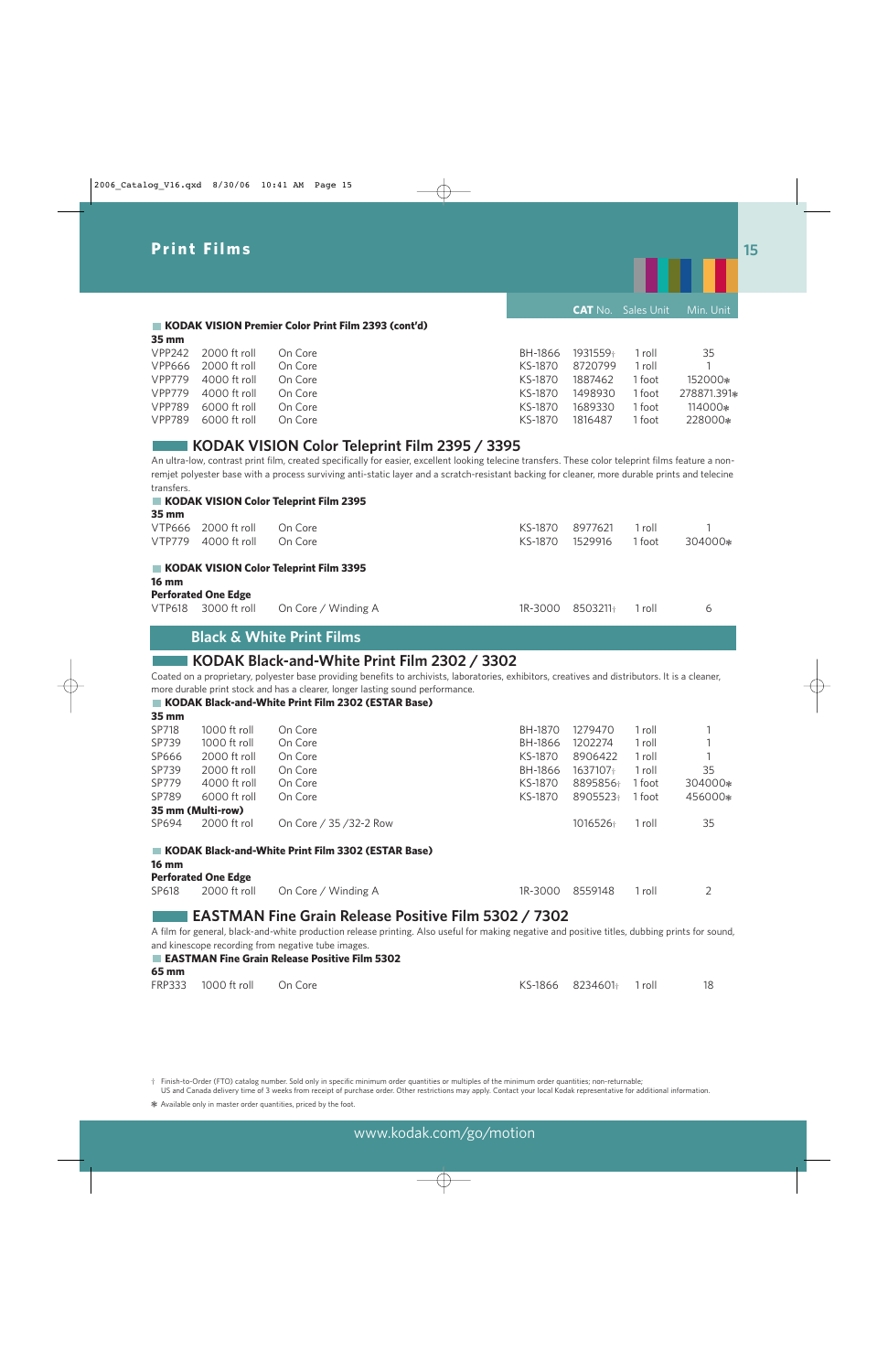

**CAT** No. Sales Unit Min. Unit

#### **KODAK VISION Premier Color Print Film 2393 (cont'd) 35 mm**

| VPP242 2000 ft roll | On Core |         |         | 1 roll            | 35          |
|---------------------|---------|---------|---------|-------------------|-------------|
| VPP666 2000 ft roll | On Core | KS-1870 | 8720799 | 1 roll            |             |
| VPP779 4000 ft roll | On Core | KS-1870 | 1887462 | <sup>1</sup> foot | 152000*     |
| VPP779 4000 ft roll | On Core | KS-1870 | 1498930 | 1 foot            | 278871.391* |
| 6000 ft roll        | On Core | KS-1870 | 1689330 | l foot.           | 114000*     |
| VPP789 6000 ft roll | On Core | KS-1870 | 1816487 | 1 foot            | 228000*     |
|                     |         |         |         | BH-1866 1931559+  |             |

### **KODAK VISION Color Teleprint Film 2395 / 3395**

An ultra-low, contrast print film, created specifically for easier, excellent looking telecine transfers. These color teleprint films feature a nonremjet polyester base with a process surviving anti-static layer and a scratch-resistant backing for cleaner, more durable prints and telecine transfers. **KODAK VISION Color Teleprint Film 2395** 

|                     | KODAK VISION Color Teleprint Film 2395 |  |  |
|---------------------|----------------------------------------|--|--|
| $35 \, \mathrm{mm}$ |                                        |  |  |

|                           |                                            | <b>Black &amp; White Print Films</b>   |         |          |        |         |
|---------------------------|--------------------------------------------|----------------------------------------|---------|----------|--------|---------|
| $16 \text{ mm}$<br>VTP618 | <b>Perforated One Edge</b><br>3000 ft roll | On Core / Winding A                    | 1R-3000 | 8503211+ | 1 roll | 6       |
|                           |                                            | KODAK VISION Color Teleprint Film 3395 |         |          |        |         |
| VTP779                    | 4000 ft roll                               | On Core                                | KS-1870 | 1529916  | 1 foot | 304000* |
| --- -----<br>VTP666       | 2000 ft roll                               | On Core                                | KS-1870 | 8977621  | 1 roll |         |

### **KODAK Black-and-White Print Film 2302 / 3302**

Coated on a proprietary, polyester base providing benefits to archivists, laboratories, exhibitors, creatives and distributors. It is a cleaner, more durable print stock and has a clearer, longer lasting sound performance.

|              |                            | KODAK Black-and-White Print Film 2302 (ESTAR Base) |         |          |        |         |
|--------------|----------------------------|----------------------------------------------------|---------|----------|--------|---------|
| 35 mm        |                            |                                                    |         |          |        |         |
| SP718        | 1000 ft roll               | On Core                                            | BH-1870 | 1279470  | 1 roll |         |
| SP739        | 1000 ft roll               | On Core                                            | BH-1866 | 1202274  | 1 roll |         |
| SP666        | 2000 ft roll               | On Core                                            | KS-1870 | 8906422  | 1 roll |         |
| SP739        | 2000 ft roll               | On Core                                            | BH-1866 | 1637107+ | 1 roll | 35      |
| SP779        | 4000 ft roll               | On Core                                            | KS-1870 | 8895856+ | 1 foot | 304000* |
| SP789        | 6000 ft roll               | On Core                                            | KS-1870 | 8905523+ | 1 foot | 456000* |
|              | 35 mm (Multi-row)          |                                                    |         |          |        |         |
| SP694        | 2000 ft rol                | On Core / 35 / 32-2 Row                            |         | 1016526+ | 1 roll | 35      |
|              |                            | KODAK Black-and-White Print Film 3302 (ESTAR Base) |         |          |        |         |
| <b>16 mm</b> |                            |                                                    |         |          |        |         |
|              | <b>Perforated One Edge</b> |                                                    |         |          |        |         |
| SP618        | 2000 ft roll               | On Core / Winding A                                | 1R-3000 | 8559148  | 1 roll | 2       |

### **EASTMAN Fine Grain Release Positive Film 5302 / 7302**

A film for general, black-and-white production release printing. Also useful for making negative and positive titles, dubbing prints for sound, and kinescope recording from negative tube images.

|       |                             | EASTMAN Fine Grain Release Positive Film 5302 |                         |  |
|-------|-----------------------------|-----------------------------------------------|-------------------------|--|
| 65 mm |                             |                                               |                         |  |
|       | FRP333 1000 ft roll On Core |                                               | KS-1866 8234601+ 1 roll |  |

† Finish-to-Order (FTO) catalog number. Sold only in specific minimum order quantities or multiples of the minimum order quantities; non-returnable; US and Canada delivery time of 3 weeks from receipt of purchase order. Other restrictions may apply. Contact your local Kodak representative for additional information.

❃ Available only in master order quantities, priced by the foot.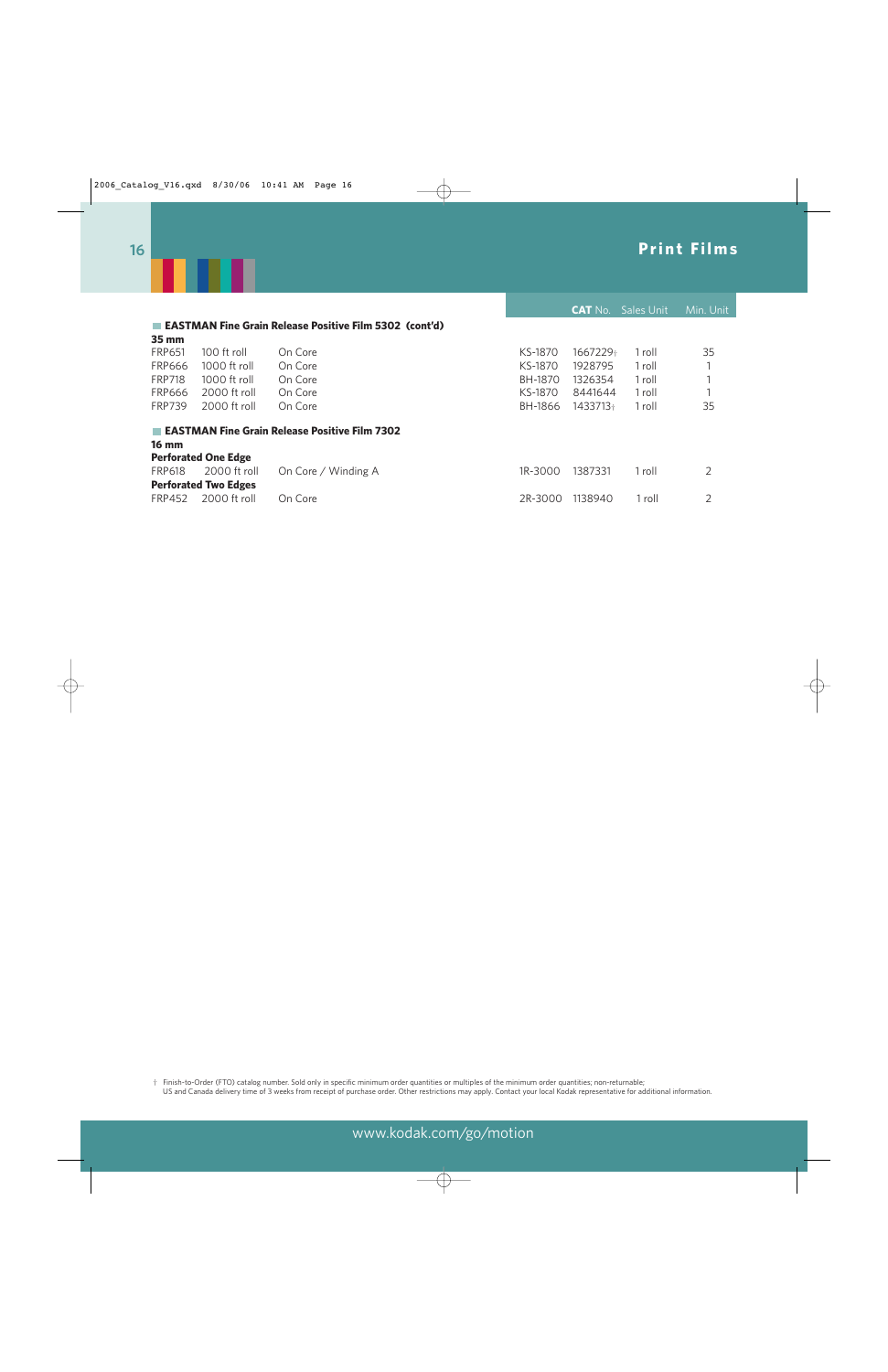

|               |                             |                                                          |         | <b>CAT No.</b> | <b>Sales Unit</b> | Min. Unit |
|---------------|-----------------------------|----------------------------------------------------------|---------|----------------|-------------------|-----------|
|               |                             | ■ EASTMAN Fine Grain Release Positive Film 5302 (cont'd) |         |                |                   |           |
| 35 mm         |                             |                                                          |         |                |                   |           |
| <b>FRP651</b> | 100 ft roll                 | On Core                                                  | KS-1870 | 1667229+       | 1 roll            | 35        |
| <b>FRP666</b> | 1000 ft roll                | On Core                                                  | KS-1870 | 1928795        | 1 roll            |           |
| <b>FRP718</b> | 1000 ft roll                | On Core                                                  | BH-1870 | 1326354        | 1 roll            |           |
| <b>FRP666</b> | 2000 ft roll                | On Core                                                  | KS-1870 | 8441644        | 1 roll            |           |
| <b>FRP739</b> | 2000 ft roll                | On Core                                                  | BH-1866 | 1433713+       | 1 roll            | 35        |
|               |                             | <b>EASTMAN Fine Grain Release Positive Film 7302</b>     |         |                |                   |           |
| <b>16 mm</b>  |                             |                                                          |         |                |                   |           |
|               | <b>Perforated One Edge</b>  |                                                          |         |                |                   |           |
| <b>FRP618</b> | 2000 ft roll                | On Core / Winding A                                      | 1R-3000 | 1387331        | 1 roll            | 2         |
|               | <b>Perforated Two Edges</b> |                                                          |         |                |                   |           |
| <b>FRP452</b> | 2000 ft roll                | On Core                                                  | 2R-3000 | 1138940        | 1 roll            | 2         |

† Finish-to-Order (FTO) catalog number. Sold only in specific minimum order quantities or multiples of the minimum order quantities; non-returnable; US and Canada delivery time of 3 weeks from receipt of purchase order. Other restrictions may apply. Contact your local Kodak representative for additional information.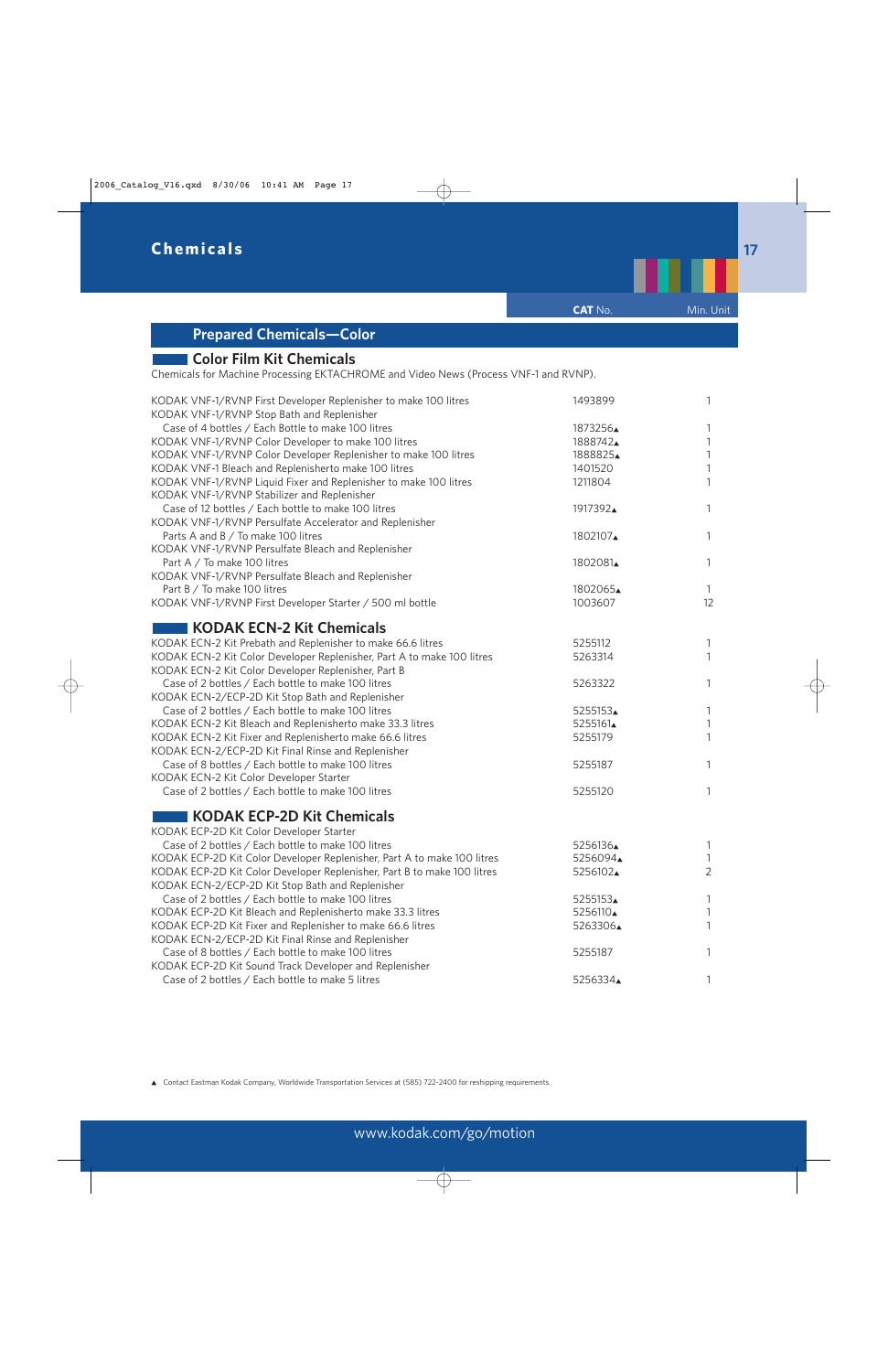

▲ Contact Eastman Kodak Company, Worldwide Transportation Services at (585) 722-2400 for reshipping requirements.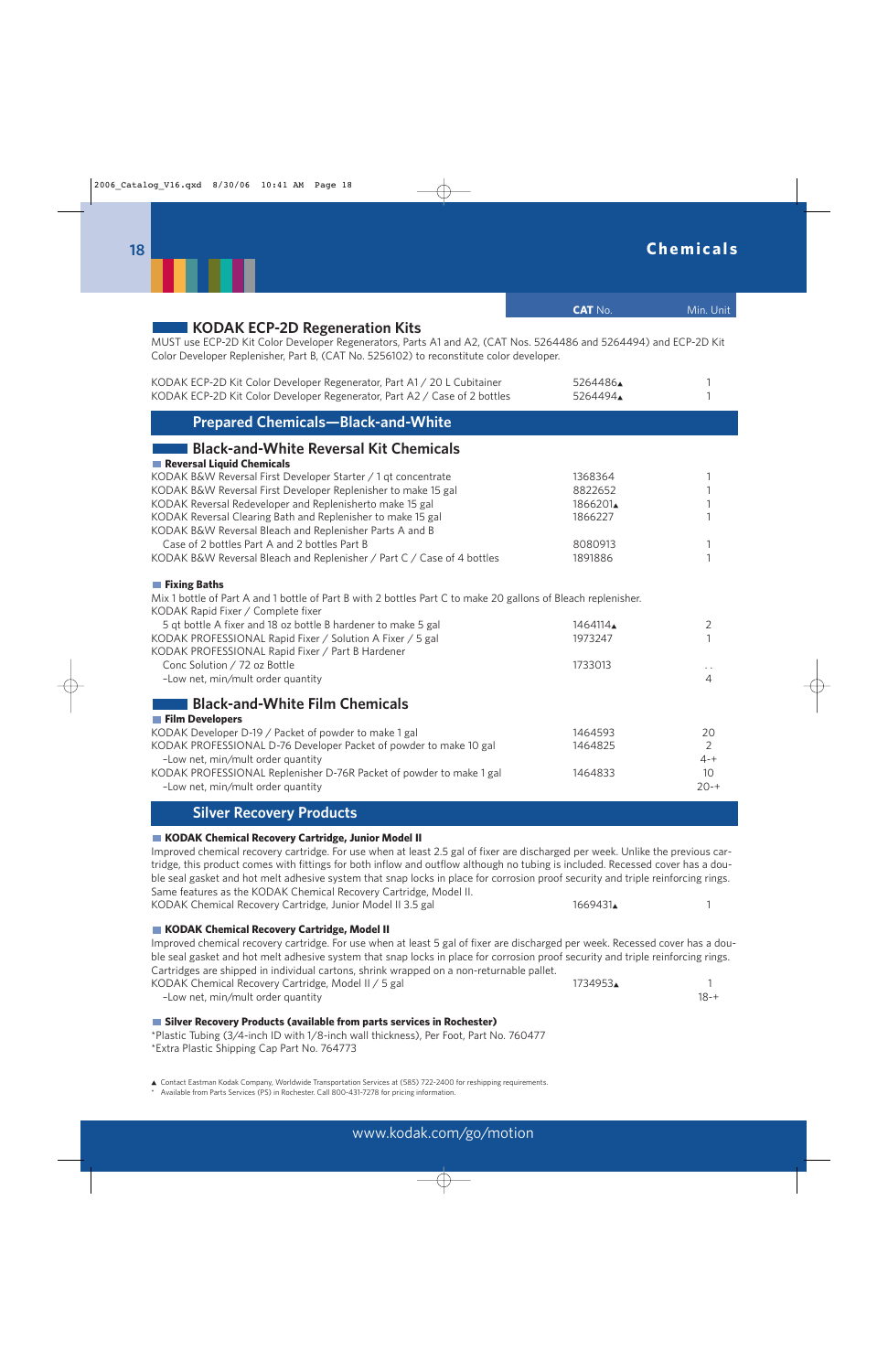|                                                                                                                                                                                                                                                                                                                                                                                                                                                                                                                                                                                               | <b>CAT No.</b>                                                 | Min. Unit                                         |
|-----------------------------------------------------------------------------------------------------------------------------------------------------------------------------------------------------------------------------------------------------------------------------------------------------------------------------------------------------------------------------------------------------------------------------------------------------------------------------------------------------------------------------------------------------------------------------------------------|----------------------------------------------------------------|---------------------------------------------------|
| KODAK ECP-2D Regeneration Kits<br>MUST use ECP-2D Kit Color Developer Regenerators, Parts A1 and A2, (CAT Nos. 5264486 and 5264494) and ECP-2D Kit<br>Color Developer Replenisher, Part B, (CAT No. 5256102) to reconstitute color developer.                                                                                                                                                                                                                                                                                                                                                 |                                                                |                                                   |
| KODAK ECP-2D Kit Color Developer Regenerator, Part A1 / 20 L Cubitainer<br>KODAK ECP-2D Kit Color Developer Regenerator, Part A2 / Case of 2 bottles                                                                                                                                                                                                                                                                                                                                                                                                                                          | 5264486<br>5264494                                             | 1<br>1                                            |
| <b>Prepared Chemicals-Black-and-White</b>                                                                                                                                                                                                                                                                                                                                                                                                                                                                                                                                                     |                                                                |                                                   |
| <b>Black-and-White Reversal Kit Chemicals</b>                                                                                                                                                                                                                                                                                                                                                                                                                                                                                                                                                 |                                                                |                                                   |
| Reversal Liquid Chemicals<br>KODAK B&W Reversal First Developer Starter / 1 qt concentrate<br>KODAK B&W Reversal First Developer Replenisher to make 15 gal<br>KODAK Reversal Redeveloper and Replenisherto make 15 gal<br>KODAK Reversal Clearing Bath and Replenisher to make 15 gal<br>KODAK B&W Reversal Bleach and Replenisher Parts A and B<br>Case of 2 bottles Part A and 2 bottles Part B<br>KODAK B&W Reversal Bleach and Replenisher / Part C / Case of 4 bottles                                                                                                                  | 1368364<br>8822652<br>1866201<br>1866227<br>8080913<br>1891886 | 1<br>1<br>1<br>1<br>1<br>1                        |
|                                                                                                                                                                                                                                                                                                                                                                                                                                                                                                                                                                                               |                                                                |                                                   |
| <b>Fixing Baths</b><br>Mix 1 bottle of Part A and 1 bottle of Part B with 2 bottles Part C to make 20 gallons of Bleach replenisher.<br>KODAK Rapid Fixer / Complete fixer                                                                                                                                                                                                                                                                                                                                                                                                                    |                                                                |                                                   |
| 5 qt bottle A fixer and 18 oz bottle B hardener to make 5 gal<br>KODAK PROFESSIONAL Rapid Fixer / Solution A Fixer / 5 gal<br>KODAK PROFESSIONAL Rapid Fixer / Part B Hardener                                                                                                                                                                                                                                                                                                                                                                                                                | 1464114<br>1973247                                             | 2<br>1                                            |
| Conc Solution / 72 oz Bottle<br>-Low net, min/mult order quantity                                                                                                                                                                                                                                                                                                                                                                                                                                                                                                                             | 1733013                                                        | ò,<br>4                                           |
| <b>Black-and-White Film Chemicals</b>                                                                                                                                                                                                                                                                                                                                                                                                                                                                                                                                                         |                                                                |                                                   |
| <b>Film Developers</b><br>KODAK Developer D-19 / Packet of powder to make 1 gal<br>KODAK PROFESSIONAL D-76 Developer Packet of powder to make 10 gal<br>-Low net, min/mult order quantity<br>KODAK PROFESSIONAL Replenisher D-76R Packet of powder to make 1 gal<br>-Low net, min/mult order quantity                                                                                                                                                                                                                                                                                         | 1464593<br>1464825<br>1464833                                  | 20<br>$\overline{2}$<br>$4 - +$<br>10<br>$20 - +$ |
| <b>Silver Recovery Products</b>                                                                                                                                                                                                                                                                                                                                                                                                                                                                                                                                                               |                                                                |                                                   |
| KODAK Chemical Recovery Cartridge, Junior Model II<br>Improved chemical recovery cartridge. For use when at least 2.5 gal of fixer are discharged per week. Unlike the previous car-<br>tridge, this product comes with fittings for both inflow and outflow although no tubing is included. Recessed cover has a dou-<br>ble seal gasket and hot melt adhesive system that snap locks in place for corrosion proof security and triple reinforcing rings.<br>Same features as the KODAK Chemical Recovery Cartridge, Model II.<br>KODAK Chemical Recovery Cartridge, Junior Model II 3.5 gal | 1669431                                                        | 1                                                 |
| KODAK Chemical Recovery Cartridge, Model II                                                                                                                                                                                                                                                                                                                                                                                                                                                                                                                                                   |                                                                |                                                   |
| Improved chemical recovery cartridge. For use when at least 5 gal of fixer are discharged per week. Recessed cover has a dou-<br>ble seal gasket and hot melt adhesive system that snap locks in place for corrosion proof security and triple reinforcing rings.<br>Cartridges are shipped in individual cartons, shrink wrapped on a non-returnable pallet.                                                                                                                                                                                                                                 |                                                                |                                                   |
| KODAK Chemical Recovery Cartridge, Model II / 5 gal<br>-Low net, min/mult order quantity                                                                                                                                                                                                                                                                                                                                                                                                                                                                                                      | 1734953▲                                                       | 1<br>$18 - +$                                     |
| Silver Recovery Products (available from parts services in Rochester)<br>*Plastic Tubing (3/4-inch ID with 1/8-inch wall thickness) Per Foot Part No. 760477                                                                                                                                                                                                                                                                                                                                                                                                                                  |                                                                |                                                   |

\*Plastic Tubing (3/4-inch ID with 1/8-inch wall thickness), Per Foot, Part No. 760477 \*Extra Plastic Shipping Cap Part No. 764773

▲ Contact Eastman Kodak Company, Worldwide Transportation Services at (585) 722-2400 for reshipping requirements. \* Available from Parts Services (PS) in Rochester. Call 800-431-7278 for pricing information.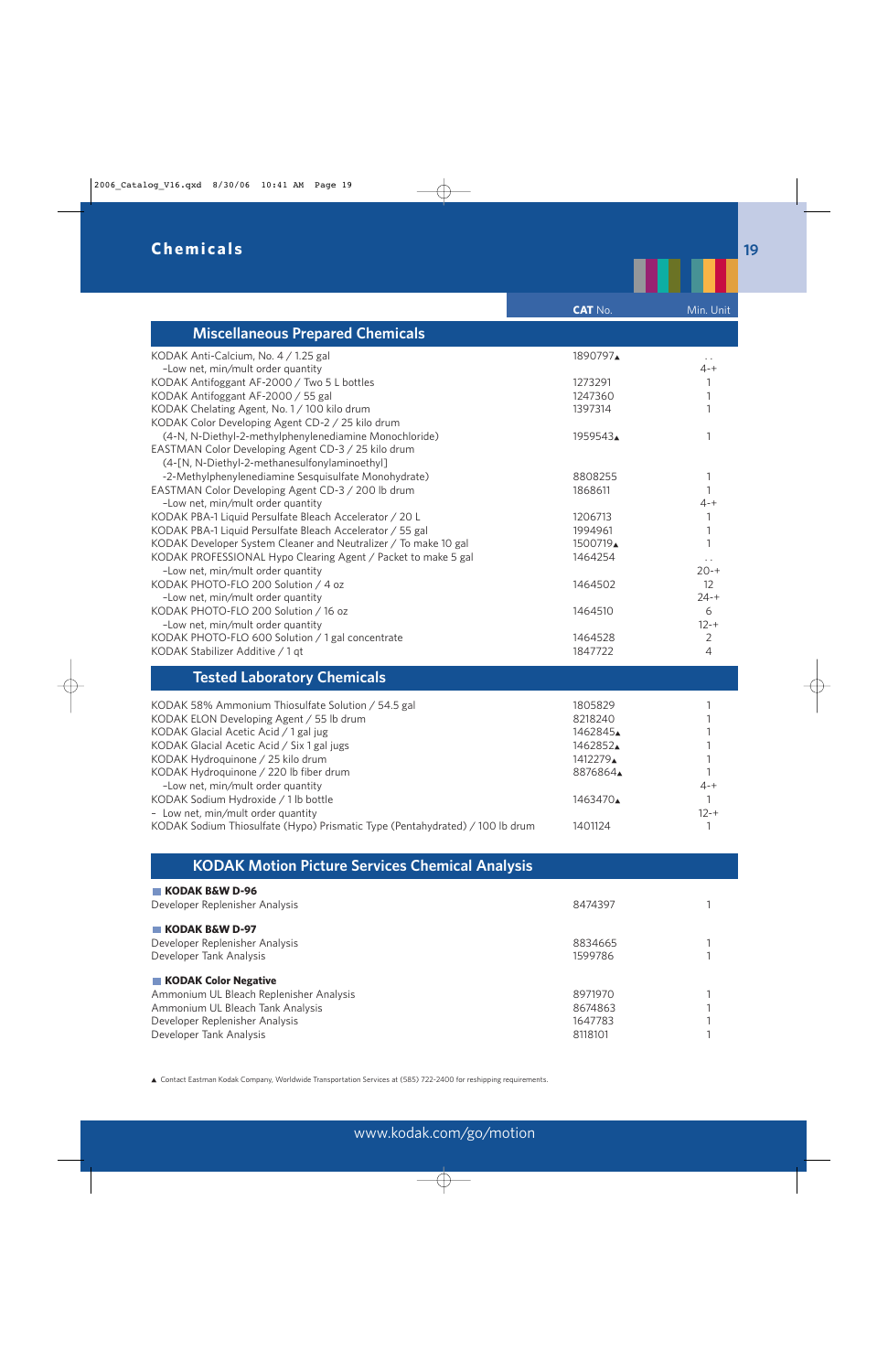|                                                                                                    | <b>CAT No.</b>      | Min. Unit                        |
|----------------------------------------------------------------------------------------------------|---------------------|----------------------------------|
| <b>Miscellaneous Prepared Chemicals</b>                                                            |                     |                                  |
| KODAK Anti-Calcium, No. 4 / 1.25 gal<br>-Low net, min/mult order quantity                          | 1890797▲            | $\sim$ $\sim$<br>$4 - +$         |
| KODAK Antifoggant AF-2000 / Two 5 L bottles                                                        | 1273291             | 1                                |
| KODAK Antifoggant AF-2000 / 55 gal                                                                 | 1247360             | 1                                |
| KODAK Chelating Agent, No. 1 / 100 kilo drum                                                       | 1397314             | 1                                |
| KODAK Color Developing Agent CD-2 / 25 kilo drum                                                   |                     |                                  |
| (4-N, N-Diethyl-2-methylphenylenediamine Monochloride)                                             | 1959543             | 1                                |
| EASTMAN Color Developing Agent CD-3 / 25 kilo drum                                                 |                     |                                  |
| (4-[N, N-Diethyl-2-methanesulfonylaminoethyl]                                                      |                     |                                  |
| -2-Methylphenylenediamine Sesquisulfate Monohydrate)                                               | 8808255             | 1                                |
| EASTMAN Color Developing Agent CD-3 / 200 lb drum                                                  | 1868611             | 1                                |
| -Low net, min/mult order quantity                                                                  |                     | $4 - +$                          |
| KODAK PBA-1 Liquid Persulfate Bleach Accelerator / 20 L                                            | 1206713             | 1                                |
| KODAK PBA-1 Liquid Persulfate Bleach Accelerator / 55 gal                                          | 1994961             | 1                                |
| KODAK Developer System Cleaner and Neutralizer / To make 10 gal                                    | 1500719▲<br>1464254 | 1                                |
| KODAK PROFESSIONAL Hypo Clearing Agent / Packet to make 5 gal<br>-Low net, min/mult order quantity |                     | $\ddot{\phantom{0}}$<br>$20 - +$ |
| KODAK PHOTO-FLO 200 Solution / 4 oz                                                                | 1464502             | 12                               |
| -Low net, min/mult order quantity                                                                  |                     | $24 - +$                         |
| KODAK PHOTO-FLO 200 Solution / 16 oz                                                               | 1464510             | 6                                |
| -Low net, min/mult order quantity                                                                  |                     | $12 - +$                         |
| KODAK PHOTO-FLO 600 Solution / 1 gal concentrate                                                   | 1464528             | $\overline{2}$                   |
| KODAK Stabilizer Additive / 1 qt                                                                   | 1847722             | 4                                |
| <b>Tested Laboratory Chemicals</b>                                                                 |                     |                                  |
| KODAK 58% Ammonium Thiosulfate Solution / 54.5 gal                                                 | 1805829             | 1                                |
| KODAK ELON Developing Agent / 55 lb drum                                                           | 8218240             | 1                                |
| KODAK Glacial Acetic Acid / 1 gal jug                                                              | 1462845             |                                  |
| KODAK Glacial Acetic Acid / Six 1 gal jugs                                                         | 1462852             | 1                                |
| KODAK Hydroquinone / 25 kilo drum                                                                  | 1412279             | 1                                |
| KODAK Hydroquinone / 220 lb fiber drum                                                             | 8876864             | 1                                |
| -Low net, min/mult order quantity                                                                  |                     | $4 - +$                          |
| KODAK Sodium Hydroxide / 1 lb bottle                                                               | 1463470             | $\mathbf{1}$                     |
| - Low net, min/mult order quantity                                                                 |                     | $12 - +$                         |
| KODAK Sodium Thiosulfate (Hypo) Prismatic Type (Pentahydrated) / 100 lb drum                       | 1401124             | 1                                |

## **KODAK Motion Picture Services Chemical Analysis**

| 8474397 |  |
|---------|--|
|         |  |
| 8834665 |  |
| 1599786 |  |
|         |  |
| 8971970 |  |
| 8674863 |  |
| 1647783 |  |
| 8118101 |  |
|         |  |

▲ Contact Eastman Kodak Company, Worldwide Transportation Services at (585) 722-2400 for reshipping requirements.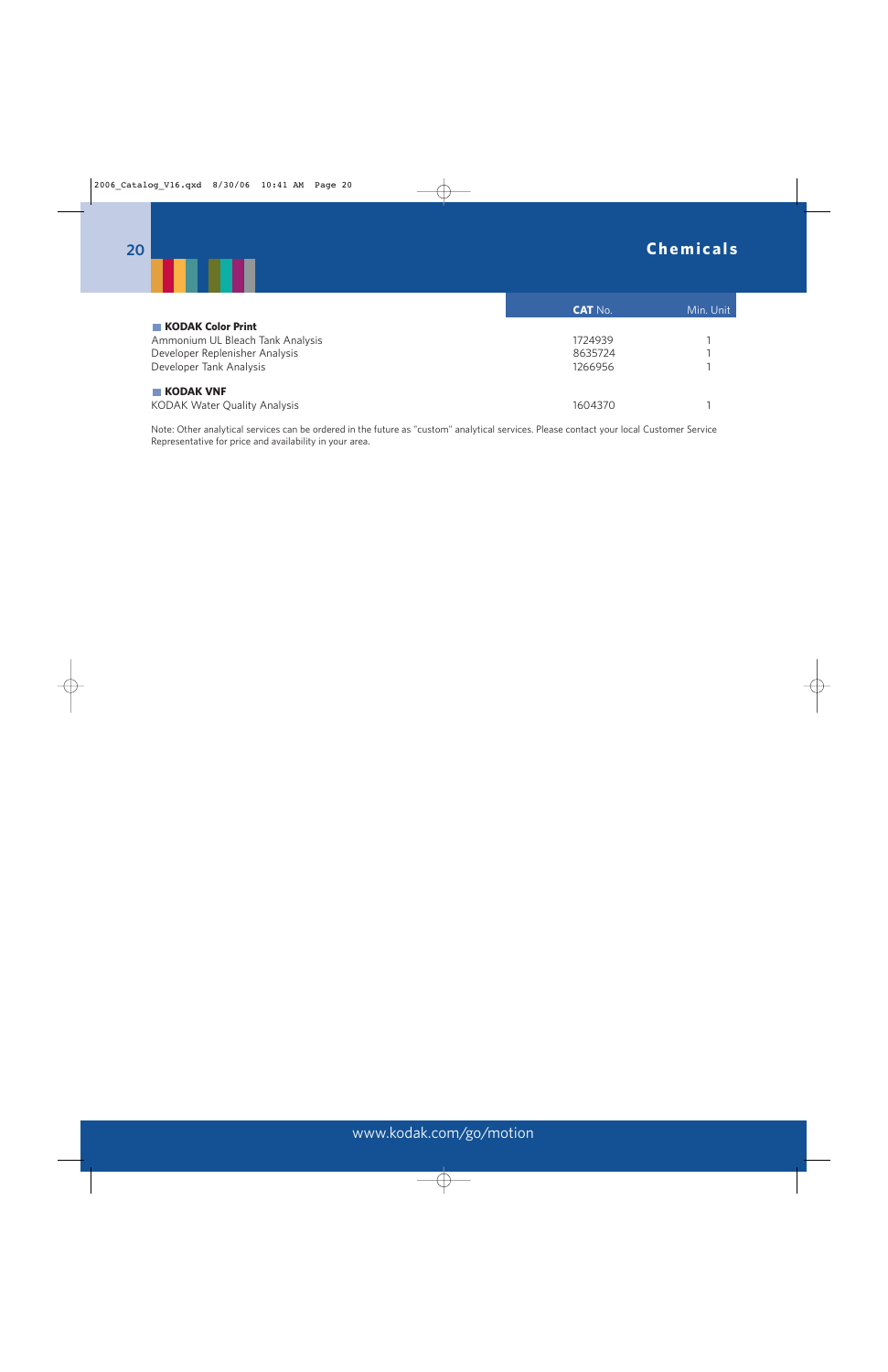

|                                                  | <b>CAT No.</b> | Min. Unit |
|--------------------------------------------------|----------------|-----------|
| <b>KODAK Color Print</b>                         |                |           |
| Ammonium UL Bleach Tank Analysis                 | 1724939        |           |
| Developer Replenisher Analysis                   | 8635724        |           |
| Developer Tank Analysis                          | 1266956        |           |
| <b>KODAK VNF</b><br>KODAK Water Quality Analysis | 1604370        |           |

Note: Other analytical services can be ordered in the future as "custom" analytical services. Please contact your local Customer Service Representative for price and availability in your area.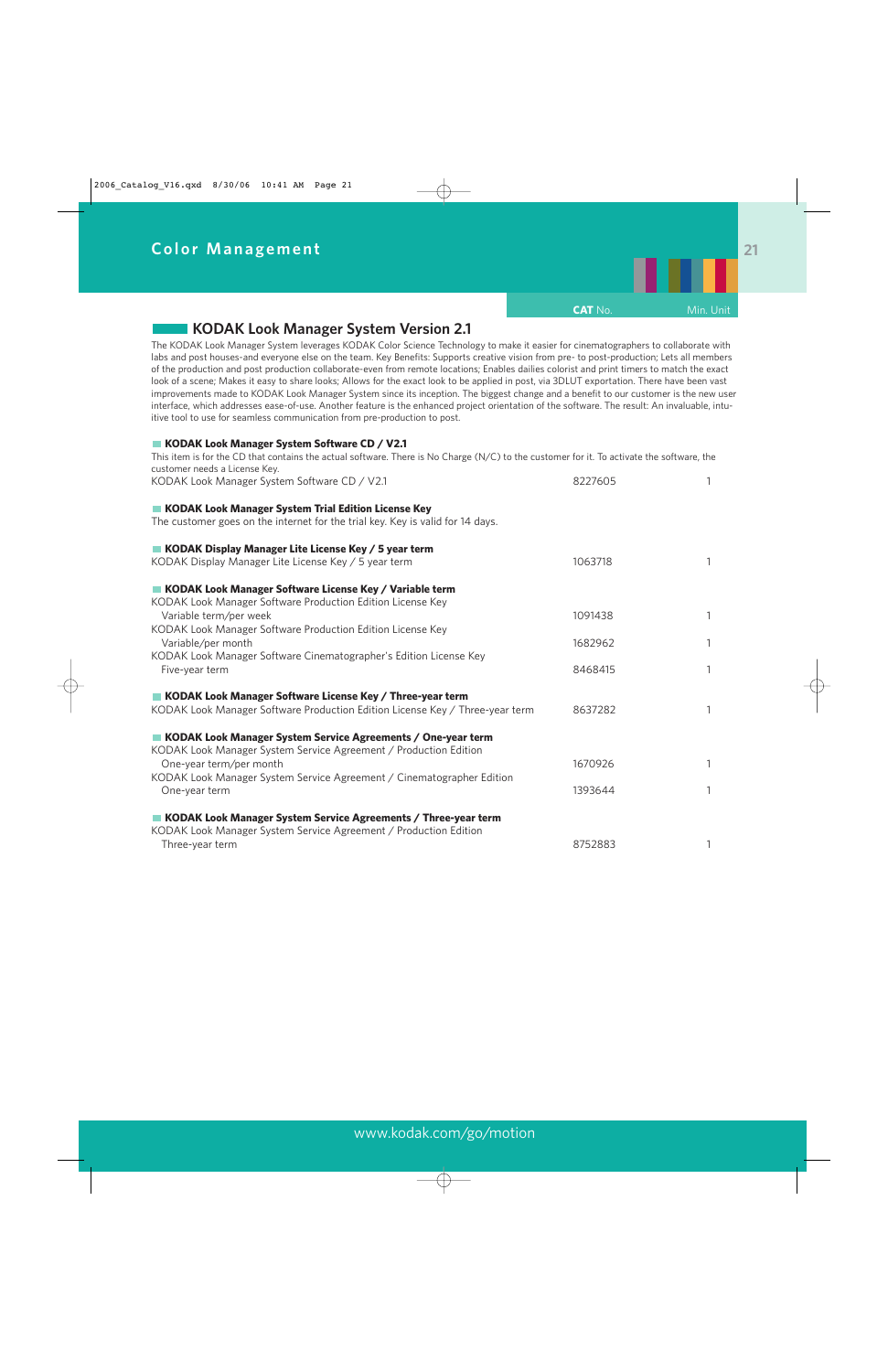

### **KODAK Look Manager System Version 2.1**

The KODAK Look Manager System leverages KODAK Color Science Technology to make it easier for cinematographers to collaborate with labs and post houses-and everyone else on the team. Key Benefits: Supports creative vision from pre- to post-production; Lets all members of the production and post production collaborate-even from remote locations; Enables dailies colorist and print timers to match the exact look of a scene; Makes it easy to share looks; Allows for the exact look to be applied in post, via 3DLUT exportation. There have been vast improvements made to KODAK Look Manager System since its inception. The biggest change and a benefit to our customer is the new user interface, which addresses ease-of-use. Another feature is the enhanced project orientation of the software. The result: An invaluable, intuitive tool to use for seamless communication from pre-production to post.

#### ■ KODAK Look Manager System Software CD / V2.1

This item is for the CD that contains the actual software. There is No Charge (N/C) to the customer for it. To activate the software, the customer needs a License Key.<br>KODAK Look Manager System

| KODAK Look Manager System Software CD / V2.1                                                                                          | 8227605 | 1 |
|---------------------------------------------------------------------------------------------------------------------------------------|---------|---|
| KODAK Look Manager System Trial Edition License Key<br>The customer goes on the internet for the trial key. Key is valid for 14 days. |         |   |
| KODAK Display Manager Lite License Key / 5 year term<br>KODAK Display Manager Lite License Key / 5 year term                          | 1063718 | 1 |
| KODAK Look Manager Software License Key / Variable term<br>KODAK Look Manager Software Production Edition License Key                 |         |   |
| Variable term/per week                                                                                                                | 1091438 | 1 |
| KODAK Look Manager Software Production Edition License Key<br>Variable/per month                                                      | 1682962 | 1 |
| KODAK Look Manager Software Cinematographer's Edition License Key<br>Five-year term                                                   | 8468415 | 1 |
| KODAK Look Manager Software License Key / Three-year term                                                                             |         |   |
| KODAK Look Manager Software Production Edition License Key / Three-year term                                                          | 8637282 | 1 |
| KODAK Look Manager System Service Agreements / One-year term<br>KODAK Look Manager System Service Agreement / Production Edition      |         |   |
| One-year term/per month                                                                                                               | 1670926 | 1 |
| KODAK Look Manager System Service Agreement / Cinematographer Edition<br>One-year term                                                | 1393644 | 1 |
| KODAK Look Manager System Service Agreements / Three-year term<br>KODAK Look Manager System Service Agreement / Production Edition    |         |   |
| Three-year term                                                                                                                       | 8752883 | 1 |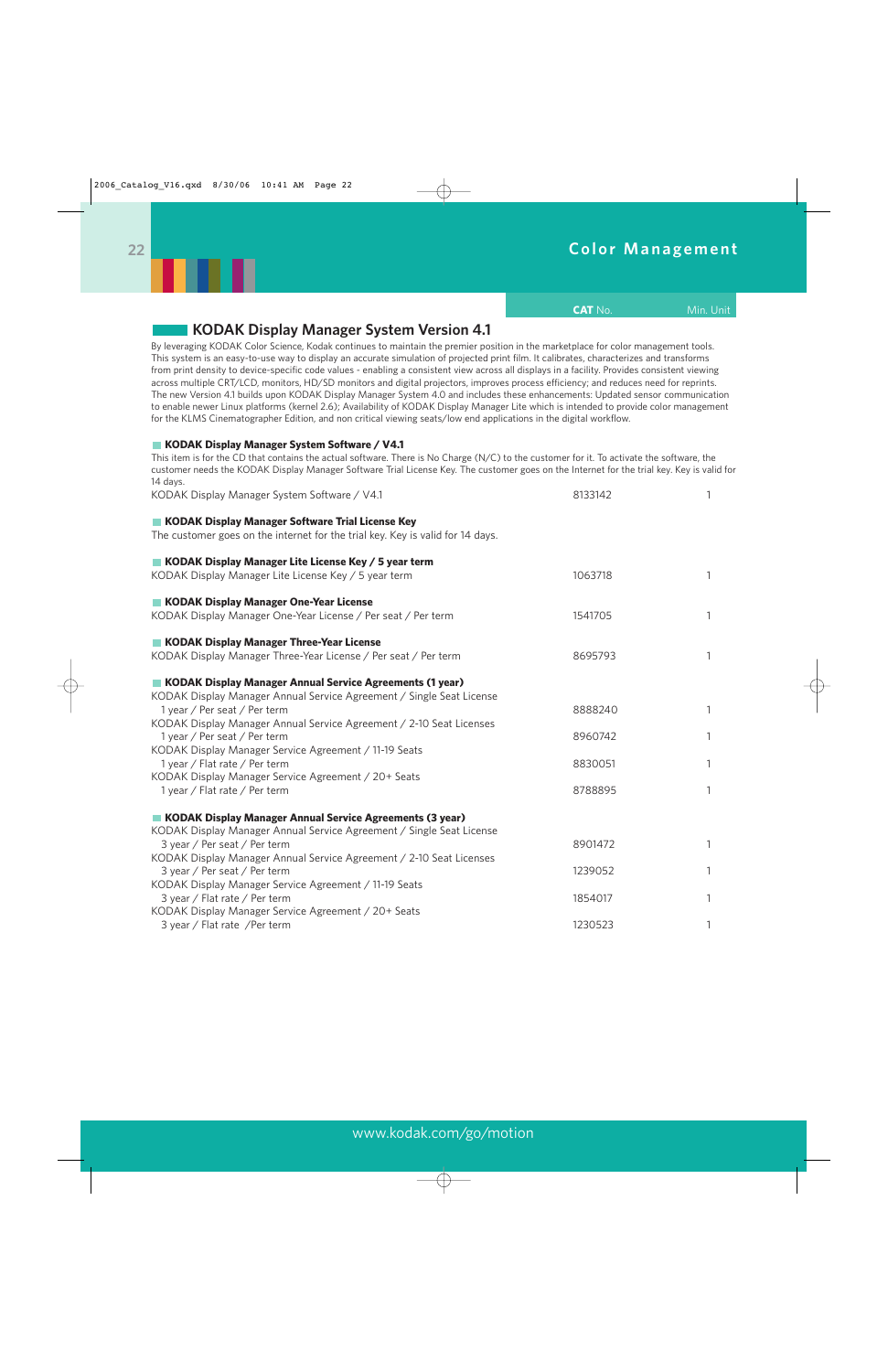# **Color Management**

**CAT** No. **Min. Unit** 



| <b>KODAK Display Manager System Version 4.1</b>                                                                                                                                                                                                                                                                                                                                                                                                                                                                                                                                                                                                                                                                                                                                                                                                                                                                                                                            |         |   |
|----------------------------------------------------------------------------------------------------------------------------------------------------------------------------------------------------------------------------------------------------------------------------------------------------------------------------------------------------------------------------------------------------------------------------------------------------------------------------------------------------------------------------------------------------------------------------------------------------------------------------------------------------------------------------------------------------------------------------------------------------------------------------------------------------------------------------------------------------------------------------------------------------------------------------------------------------------------------------|---------|---|
| By leveraging KODAK Color Science, Kodak continues to maintain the premier position in the marketplace for color management tools.<br>This system is an easy-to-use way to display an accurate simulation of projected print film. It calibrates, characterizes and transforms<br>from print density to device-specific code values - enabling a consistent view across all displays in a facility. Provides consistent viewing<br>across multiple CRT/LCD, monitors, HD/SD monitors and digital projectors, improves process efficiency; and reduces need for reprints.<br>The new Version 4.1 builds upon KODAK Display Manager System 4.0 and includes these enhancements: Updated sensor communication<br>to enable newer Linux platforms (kernel 2.6); Availability of KODAK Display Manager Lite which is intended to provide color management<br>for the KLMS Cinematographer Edition, and non critical viewing seats/low end applications in the digital workflow. |         |   |
| KODAK Display Manager System Software / V4.1<br>This item is for the CD that contains the actual software. There is No Charge (N/C) to the customer for it. To activate the software, the<br>customer needs the KODAK Display Manager Software Trial License Key. The customer goes on the Internet for the trial key. Key is valid for                                                                                                                                                                                                                                                                                                                                                                                                                                                                                                                                                                                                                                    |         |   |
| 14 days.<br>KODAK Display Manager System Software / V4.1                                                                                                                                                                                                                                                                                                                                                                                                                                                                                                                                                                                                                                                                                                                                                                                                                                                                                                                   | 8133142 | 1 |
| KODAK Display Manager Software Trial License Key<br>The customer goes on the internet for the trial key. Key is valid for 14 days.                                                                                                                                                                                                                                                                                                                                                                                                                                                                                                                                                                                                                                                                                                                                                                                                                                         |         |   |
| KODAK Display Manager Lite License Key / 5 year term<br>KODAK Display Manager Lite License Key / 5 year term                                                                                                                                                                                                                                                                                                                                                                                                                                                                                                                                                                                                                                                                                                                                                                                                                                                               | 1063718 | 1 |
| KODAK Display Manager One-Year License<br>KODAK Display Manager One-Year License / Per seat / Per term                                                                                                                                                                                                                                                                                                                                                                                                                                                                                                                                                                                                                                                                                                                                                                                                                                                                     | 1541705 | 1 |
| KODAK Display Manager Three-Year License<br>KODAK Display Manager Three-Year License / Per seat / Per term                                                                                                                                                                                                                                                                                                                                                                                                                                                                                                                                                                                                                                                                                                                                                                                                                                                                 | 8695793 | 1 |
| KODAK Display Manager Annual Service Agreements (1 year)<br>KODAK Display Manager Annual Service Agreement / Single Seat License<br>1 year / Per seat / Per term<br>KODAK Display Manager Annual Service Agreement / 2-10 Seat Licenses                                                                                                                                                                                                                                                                                                                                                                                                                                                                                                                                                                                                                                                                                                                                    | 8888240 | 1 |
| 1 year / Per seat / Per term                                                                                                                                                                                                                                                                                                                                                                                                                                                                                                                                                                                                                                                                                                                                                                                                                                                                                                                                               | 8960742 | 1 |
| KODAK Display Manager Service Agreement / 11-19 Seats<br>1 year / Flat rate / Per term                                                                                                                                                                                                                                                                                                                                                                                                                                                                                                                                                                                                                                                                                                                                                                                                                                                                                     | 8830051 | 1 |
| KODAK Display Manager Service Agreement / 20+ Seats<br>1 year / Flat rate / Per term                                                                                                                                                                                                                                                                                                                                                                                                                                                                                                                                                                                                                                                                                                                                                                                                                                                                                       | 8788895 | 1 |
| <b>KODAK Display Manager Annual Service Agreements (3 year)</b><br>KODAK Display Manager Annual Service Agreement / Single Seat License                                                                                                                                                                                                                                                                                                                                                                                                                                                                                                                                                                                                                                                                                                                                                                                                                                    |         |   |
| 3 year / Per seat / Per term<br>KODAK Display Manager Annual Service Agreement / 2-10 Seat Licenses                                                                                                                                                                                                                                                                                                                                                                                                                                                                                                                                                                                                                                                                                                                                                                                                                                                                        | 8901472 |   |
| 3 year / Per seat / Per term<br>KODAK Display Manager Service Agreement / 11-19 Seats                                                                                                                                                                                                                                                                                                                                                                                                                                                                                                                                                                                                                                                                                                                                                                                                                                                                                      | 1239052 |   |
| 3 year / Flat rate / Per term<br>KODAK Display Manager Service Agreement / 20+ Seats                                                                                                                                                                                                                                                                                                                                                                                                                                                                                                                                                                                                                                                                                                                                                                                                                                                                                       | 1854017 |   |
| 3 year / Flat rate / Per term                                                                                                                                                                                                                                                                                                                                                                                                                                                                                                                                                                                                                                                                                                                                                                                                                                                                                                                                              | 1230523 |   |

## **22**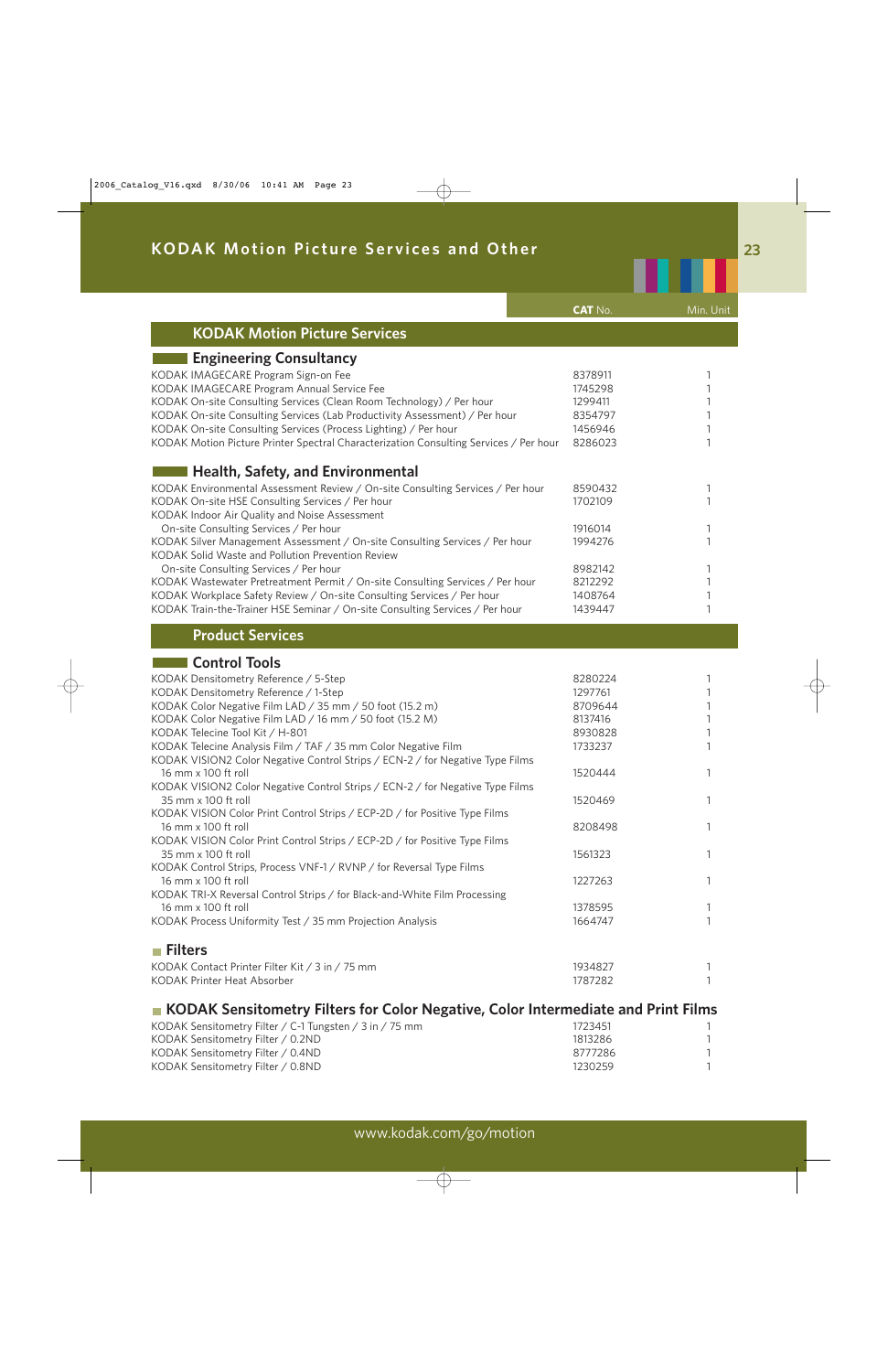|                                                                                       | <b>CAT No.</b> | Min. Unit |
|---------------------------------------------------------------------------------------|----------------|-----------|
| <b>KODAK Motion Picture Services</b>                                                  |                |           |
| <b>Engineering Consultancy</b>                                                        |                |           |
| KODAK IMAGECARE Program Sign-on Fee                                                   | 8378911        |           |
| KODAK IMAGECARE Program Annual Service Fee                                            | 1745298        |           |
| KODAK On-site Consulting Services (Clean Room Technology) / Per hour                  | 1299411        |           |
| KODAK On-site Consulting Services (Lab Productivity Assessment) / Per hour            | 8354797        |           |
|                                                                                       |                |           |
| KODAK On-site Consulting Services (Process Lighting) / Per hour                       | 1456946        |           |
| KODAK Motion Picture Printer Spectral Characterization Consulting Services / Per hour | 8286023        |           |
| <b>Health, Safety, and Environmental</b>                                              |                |           |
| KODAK Environmental Assessment Review / On-site Consulting Services / Per hour        | 8590432        |           |
| KODAK On-site HSE Consulting Services / Per hour                                      | 1702109        |           |
| KODAK Indoor Air Quality and Noise Assessment                                         |                |           |
| On-site Consulting Services / Per hour                                                | 1916014        |           |
| KODAK Silver Management Assessment / On-site Consulting Services / Per hour           | 1994276        |           |
| KODAK Solid Waste and Pollution Prevention Review                                     |                |           |
| On-site Consulting Services / Per hour                                                | 8982142        |           |
|                                                                                       |                |           |
| KODAK Wastewater Pretreatment Permit / On-site Consulting Services / Per hour         | 8212292        |           |
| KODAK Workplace Safety Review / On-site Consulting Services / Per hour                | 1408764        |           |
| KODAK Train-the-Trainer HSE Seminar / On-site Consulting Services / Per hour          | 1439447        |           |
| <b>Product Services</b>                                                               |                |           |
| <b>Control Tools</b>                                                                  |                |           |
| KODAK Densitometry Reference / 5-Step                                                 | 8280224        |           |
| KODAK Densitometry Reference / 1-Step                                                 | 1297761        |           |
| KODAK Color Negative Film LAD / 35 mm / 50 foot (15.2 m)                              | 8709644        |           |
| KODAK Color Negative Film LAD / 16 mm / 50 foot (15.2 M)                              | 8137416        |           |
| KODAK Telecine Tool Kit / H-801                                                       | 8930828        |           |
|                                                                                       |                |           |
| KODAK Telecine Analysis Film / TAF / 35 mm Color Negative Film                        | 1733237        |           |
| KODAK VISION2 Color Negative Control Strips / ECN-2 / for Negative Type Films         |                |           |
| 16 mm x 100 ft roll                                                                   | 1520444        |           |
| KODAK VISION2 Color Negative Control Strips / ECN-2 / for Negative Type Films         |                |           |
| 35 mm x 100 ft roll                                                                   | 1520469        |           |
| KODAK VISION Color Print Control Strips / ECP-2D / for Positive Type Films            |                |           |
| 16 mm x 100 ft roll                                                                   | 8208498        |           |
| KODAK VISION Color Print Control Strips / ECP-2D / for Positive Type Films            |                |           |
| 35 mm x 100 ft roll                                                                   | 1561323        |           |
| KODAK Control Strips, Process VNF-1 / RVNP / for Reversal Type Films                  |                |           |
| 16 mm x 100 ft roll                                                                   | 1227263        |           |
| KODAK TRI-X Reversal Control Strips / for Black-and-White Film Processing             |                |           |
| 16 mm x 100 ft roll                                                                   | 1378595        |           |
| KODAK Process Uniformity Test / 35 mm Projection Analysis                             |                |           |
|                                                                                       | 1664747        |           |
| <b>■ Filters</b>                                                                      |                |           |
| KODAK Contact Printer Filter Kit / 3 in / 75 mm                                       | 1934827        |           |
| KODAK Printer Heat Absorber                                                           | 1787282        |           |
|                                                                                       |                |           |

## **KODAK Sensitometry Filters for Color Negative, Color Intermediate and Print Films**

| KODAK Sensitometry Filter / C-1 Tungsten / 3 in / 75 mm | 1723451 |  |
|---------------------------------------------------------|---------|--|
| KODAK Sensitometry Filter / 0.2ND                       | 1813286 |  |
| KODAK Sensitometry Filter / 0.4ND                       | 8777286 |  |
| KODAK Sensitometry Filter / 0.8ND                       | 1230259 |  |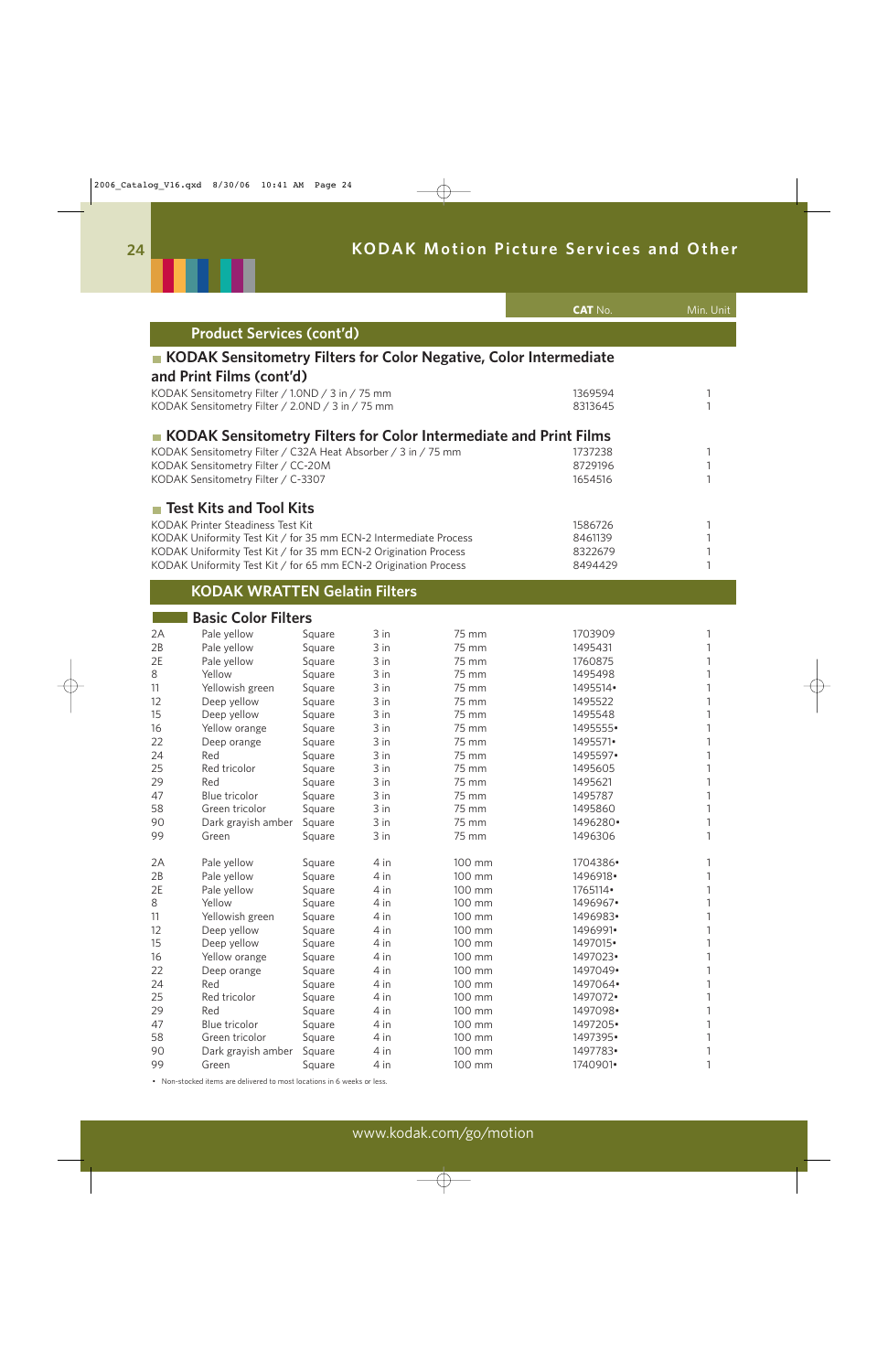

|    |                                                                          |        |      |        | <b>CAT No.</b> | Min. Unit |
|----|--------------------------------------------------------------------------|--------|------|--------|----------------|-----------|
|    | <b>Product Services (cont'd)</b>                                         |        |      |        |                |           |
|    | <b>KODAK Sensitometry Filters for Color Negative, Color Intermediate</b> |        |      |        |                |           |
|    | and Print Films (cont'd)                                                 |        |      |        |                |           |
|    | KODAK Sensitometry Filter / 1.0ND / 3 in / 75 mm                         |        |      |        | 1369594        | 1         |
|    | KODAK Sensitometry Filter / 2.0ND / 3 in / 75 mm                         |        |      |        | 8313645        | 1         |
|    | KODAK Sensitometry Filters for Color Intermediate and Print Films        |        |      |        |                |           |
|    | KODAK Sensitometry Filter / C32A Heat Absorber / 3 in / 75 mm            |        |      |        | 1737238        |           |
|    | KODAK Sensitometry Filter / CC-20M                                       |        |      |        | 8729196        |           |
|    | KODAK Sensitometry Filter / C-3307                                       |        |      |        | 1654516        |           |
|    | <b>Test Kits and Tool Kits</b>                                           |        |      |        |                |           |
|    | <b>KODAK Printer Steadiness Test Kit</b>                                 |        |      |        | 1586726        | 1         |
|    | KODAK Uniformity Test Kit / for 35 mm ECN-2 Intermediate Process         |        |      |        | 8461139        |           |
|    | KODAK Uniformity Test Kit / for 35 mm ECN-2 Origination Process          |        |      |        | 8322679        |           |
|    | KODAK Uniformity Test Kit / for 65 mm ECN-2 Origination Process          |        |      |        | 8494429        | 1         |
|    | <b>KODAK WRATTEN Gelatin Filters</b>                                     |        |      |        |                |           |
|    | <b>Basic Color Filters</b>                                               |        |      |        |                |           |
| 2A | Pale yellow                                                              | Square | 3 in | 75 mm  | 1703909        | 1         |
| 2B | Pale yellow                                                              | Square | 3 in | 75 mm  | 1495431        |           |
| 2E | Pale yellow                                                              | Square | 3 in | 75 mm  | 1760875        |           |
| 8  | Yellow                                                                   | Square | 3 in | 75 mm  | 1495498        |           |
| 11 | Yellowish green                                                          | Square | 3 in | 75 mm  | 1495514        |           |
| 12 | Deep yellow                                                              | Square | 3 in | 75 mm  | 1495522        |           |
| 15 | Deep yellow                                                              | Square | 3 in | 75 mm  | 1495548        |           |
| 16 | Yellow orange                                                            | Square | 3 in | 75 mm  | 1495555•       |           |
| 22 | Deep orange                                                              | Square | 3 in | 75 mm  | 1495571•       |           |
| 24 | Red                                                                      | Square | 3 in | 75 mm  | 1495597•       |           |
| 25 | Red tricolor                                                             | Square | 3 in | 75 mm  | 1495605        |           |
| 29 | Red                                                                      | Square | 3 in | 75 mm  | 1495621        |           |
| 47 | Blue tricolor                                                            | Square | 3 in | 75 mm  | 1495787        |           |
| 58 | Green tricolor                                                           | Square | 3 in | 75 mm  | 1495860        | 1         |
| 90 | Dark grayish amber                                                       | Square | 3 in | 75 mm  | 1496280•       |           |
| 99 | Green                                                                    | Square | 3 in | 75 mm  | 1496306        |           |
| 2A | Pale yellow                                                              | Square | 4 in | 100 mm | 1704386•       |           |
| 2B | Pale yellow                                                              | Square | 4 in | 100 mm | 1496918•       |           |
| 2E | Pale yellow                                                              | Square | 4 in | 100 mm | 1765114        |           |
| 8  | Yellow                                                                   | Square | 4 in | 100 mm | 1496967.       |           |
| 11 | Yellowish green                                                          | Square | 4 in | 100 mm | 1496983•       |           |
| 12 | Deep yellow                                                              | Square | 4 in | 100 mm | 1496991•       |           |
| 15 | Deep yellow                                                              | Square | 4 in | 100 mm | 1497015•       |           |
| 16 | Yellow orange                                                            | Square | 4 in | 100 mm | 1497023•       |           |
| 22 | Deep orange                                                              | Square | 4 in | 100 mm | 1497049.       |           |
| 24 | Red                                                                      | Square | 4 in | 100 mm | 1497064•       |           |
| 25 | Red tricolor                                                             | Square | 4 in | 100 mm | 1497072.       |           |
| 29 | Red                                                                      | Square | 4 in | 100 mm | 1497098.       |           |
| 47 | Blue tricolor                                                            | Square | 4 in | 100 mm | 1497205•       |           |
| 58 | Green tricolor                                                           | Square | 4 in | 100 mm | 1497395•       |           |
| 90 | Dark grayish amber                                                       | Square | 4 in | 100 mm | 1497783•       |           |
| 99 | Green                                                                    | Square | 4 in | 100 mm | 1740901•       | 1         |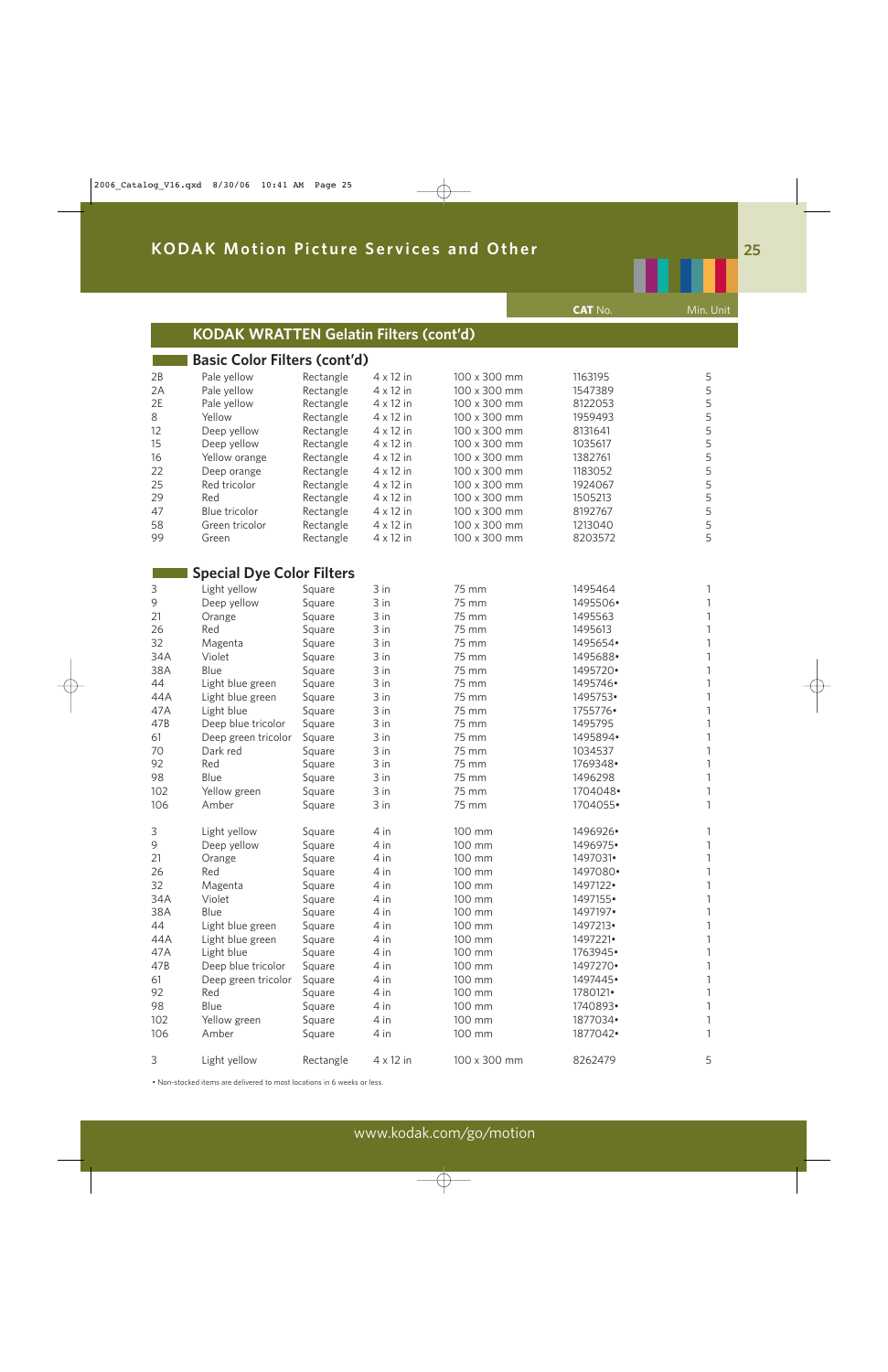|     |                                               |           |                  |              | <b>CAT No.</b> | Min. Unit    |
|-----|-----------------------------------------------|-----------|------------------|--------------|----------------|--------------|
|     | <b>KODAK WRATTEN Gelatin Filters (cont'd)</b> |           |                  |              |                |              |
|     | <b>Basic Color Filters (cont'd)</b>           |           |                  |              |                |              |
| 2B  | Pale yellow                                   | Rectangle | $4 \times 12$ in | 100 x 300 mm | 1163195        | 5            |
| 2A  | Pale yellow                                   | Rectangle | $4 \times 12$ in | 100 x 300 mm | 1547389        | 5            |
| 2E  | Pale yellow                                   | Rectangle | $4 \times 12$ in | 100 x 300 mm | 8122053        | 5            |
| 8   | Yellow                                        | Rectangle | $4 \times 12$ in | 100 x 300 mm | 1959493        | 5            |
| 12  | Deep yellow                                   | Rectangle | $4 \times 12$ in | 100 x 300 mm | 8131641        | 5            |
| 15  | Deep yellow                                   | Rectangle | $4 \times 12$ in | 100 x 300 mm | 1035617        | 5            |
| 16  | Yellow orange                                 | Rectangle | $4 \times 12$ in | 100 x 300 mm | 1382761        | 5            |
| 22  | Deep orange                                   | Rectangle | $4 \times 12$ in | 100 x 300 mm | 1183052        | 5            |
| 25  | Red tricolor                                  | Rectangle | $4 \times 12$ in | 100 x 300 mm | 1924067        | 5            |
| 29  | Red                                           | Rectangle | $4 \times 12$ in | 100 x 300 mm | 1505213        | 5            |
| 47  | <b>Blue tricolor</b>                          | Rectangle | $4 \times 12$ in | 100 x 300 mm | 8192767        | 5            |
| 58  | Green tricolor                                | Rectangle | $4 \times 12$ in | 100 x 300 mm | 1213040        | 5            |
| 99  | Green                                         | Rectangle | $4 \times 12$ in | 100 x 300 mm | 8203572        | 5            |
|     | <b>Special Dye Color Filters</b>              |           |                  |              |                |              |
| 3   | Light yellow                                  | Square    | 3 in             | 75 mm        | 1495464        | 1            |
| 9   | Deep yellow                                   | Square    | 3 in             | 75 mm        | 1495506·       | 1            |
| 21  | Orange                                        | Square    | 3 in             | 75 mm        | 1495563        | 1            |
| 26  | Red                                           | Square    | 3 in             | 75 mm        | 1495613        | 1            |
| 32  | Magenta                                       | Square    | 3 in             | 75 mm        | 1495654        | 1            |
| 34A | Violet                                        | Square    | 3 in             | 75 mm        | 1495688        | 1            |
| 38A | Blue                                          | Square    | 3 in             | 75 mm        | 1495720.       | 1            |
| 44  | Light blue green                              | Square    | 3 in             | 75 mm        | 1495746.       | 1            |
| 44A | Light blue green                              | Square    | 3 in             | 75 mm        | 1495753•       | 1            |
| 47A | Light blue                                    | Square    | 3 in             | 75 mm        | 1755776        | 1            |
| 47B | Deep blue tricolor                            | Square    | 3 in             | 75 mm        | 1495795        | 1            |
| 61  | Deep green tricolor                           | Square    | 3 in             | 75 mm        | 1495894•       | 1            |
| 70  | Dark red                                      | Square    | 3 in             | 75 mm        | 1034537        | 1            |
| 92  | Red                                           | Square    | 3 in             | 75 mm        | 1769348.       | 1            |
| 98  | Blue                                          | Square    | 3 in             | 75 mm        | 1496298        | $\mathbf{1}$ |
| 102 | Yellow green                                  | Square    | 3 in             | 75 mm        | 1704048.       | 1            |
| 106 | Amber                                         | Square    | 3 in             | 75 mm        | 1704055•       | 1            |
|     |                                               |           |                  |              |                |              |
| 3   | Light yellow                                  | Square    | 4 in             | 100 mm       | 1496926·       | 1            |
| 9   | Deep yellow                                   | Square    | 4 in             | 100 mm       | 1496975•       | 1            |
| 21  | Orange                                        | Square    | 4 in             | 100 mm       | 1497031•       | 1            |
| 26  | Red                                           | Square    | 4 in             | 100 mm       | 1497080•       | 1            |
| 32  | Magenta                                       | Square    | 4 in             | 100 mm       | 1497122.       | 1            |
| 34A | Violet                                        | Square    | 4 in             | 100 mm       | 1497155•       | 1            |
| 38A | Blue                                          | Square    | 4 in             | 100 mm       | 1497197•       | 1            |
| 44  | Light blue green                              | Square    | 4 in             | 100 mm       | 1497213•       | 1            |
| 44A | Light blue green                              | Square    | 4 in             | 100 mm       | 1497221•       | 1            |
| 47A | Light blue                                    | Square    | 4 in             | 100 mm       | 1763945.       | 1            |
| 47B | Deep blue tricolor                            | Square    | 4 in             | 100 mm       | 1497270.       | 1            |
| 61  | Deep green tricolor                           | Square    | 4 in             | 100 mm       | 1497445.       | 1            |
| 92  | Red                                           | Square    | 4 in             | 100 mm       | 1780121•       | 1            |
| 98  | Blue                                          | Square    | 4 in             | 100 mm       | 1740893.       | $\mathbf 1$  |
| 102 | Yellow green                                  | Square    | 4 in             | 100 mm       | 1877034        | 1            |
| 106 | Amber                                         | Square    | 4 in             | 100 mm       | 1877042.       | 1            |
| 3   | Light yellow                                  | Rectangle | $4 \times 12$ in | 100 x 300 mm | 8262479        | 5            |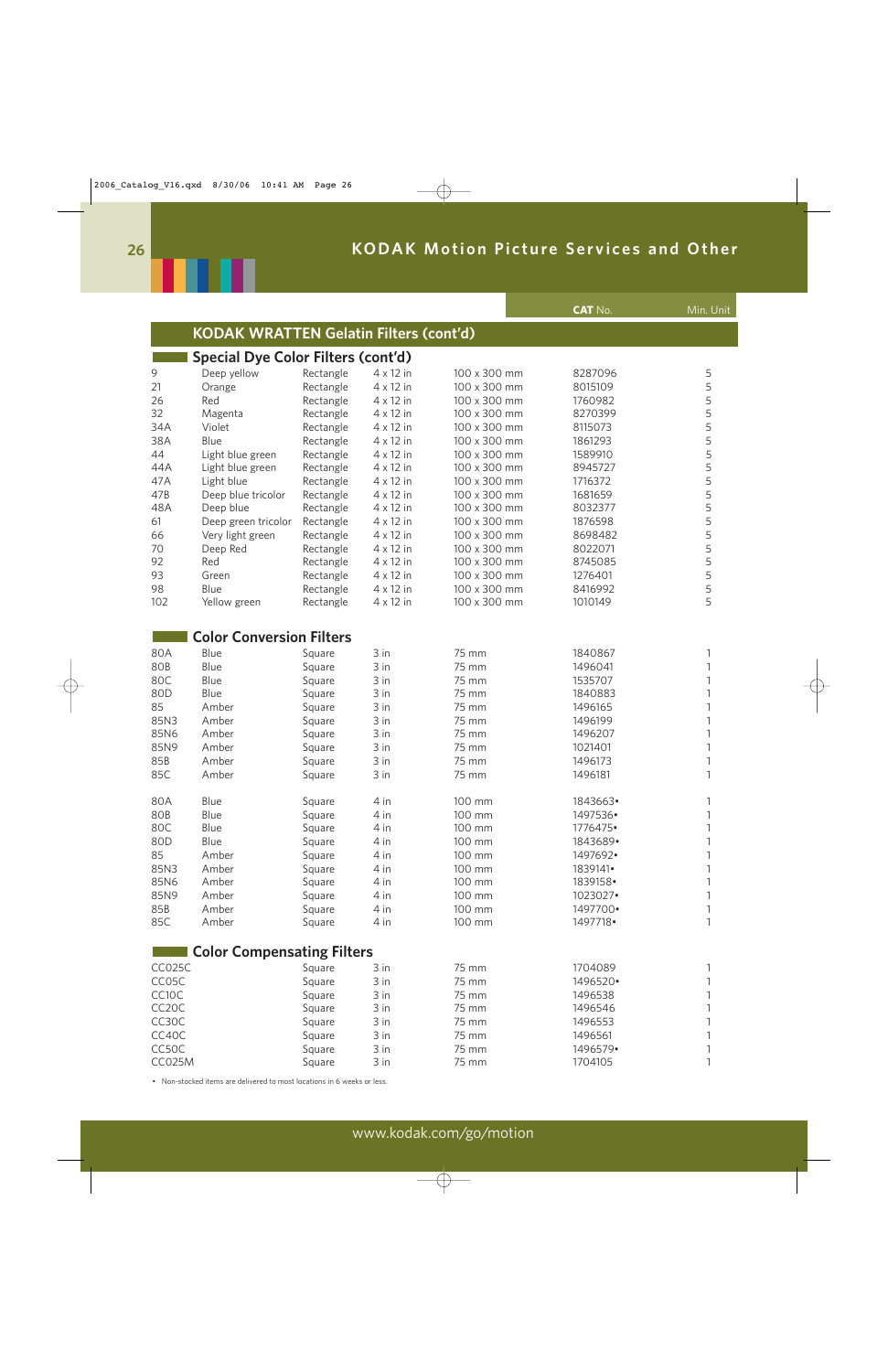

|                    |                                               |           |                  |              | <b>CAT No.</b> | Min. Unit    |
|--------------------|-----------------------------------------------|-----------|------------------|--------------|----------------|--------------|
|                    | <b>KODAK WRATTEN Gelatin Filters (cont'd)</b> |           |                  |              |                |              |
|                    | <b>Special Dye Color Filters (cont'd)</b>     |           |                  |              |                |              |
| 9                  | Deep yellow                                   | Rectangle | $4 \times 12$ in | 100 x 300 mm | 8287096        | 5            |
| 21                 | Orange                                        | Rectangle | $4 \times 12$ in | 100 x 300 mm | 8015109        | 5            |
| 26                 | Red                                           | Rectangle | $4 \times 12$ in | 100 x 300 mm | 1760982        | 5            |
| 32                 |                                               |           | $4 \times 12$ in | 100 x 300 mm | 8270399        | 5            |
|                    | Magenta                                       | Rectangle |                  |              |                | 5            |
| 34A                | Violet                                        | Rectangle | $4 \times 12$ in | 100 x 300 mm | 8115073        |              |
| 38A                | Blue                                          | Rectangle | $4 \times 12$ in | 100 x 300 mm | 1861293        | 5            |
| 44                 | Light blue green                              | Rectangle | $4 \times 12$ in | 100 x 300 mm | 1589910        | 5            |
| 44A                | Light blue green                              | Rectangle | $4 \times 12$ in | 100 x 300 mm | 8945727        | 5            |
| 47A                | Light blue                                    | Rectangle | $4 \times 12$ in | 100 x 300 mm | 1716372        | 5            |
| 47B                | Deep blue tricolor                            | Rectangle | $4 \times 12$ in | 100 x 300 mm | 1681659        | 5            |
| 48A                | Deep blue                                     | Rectangle | $4 \times 12$ in | 100 x 300 mm | 8032377        | 5            |
| 61                 | Deep green tricolor                           | Rectangle | $4 \times 12$ in | 100 x 300 mm | 1876598        | 5            |
| 66                 | Very light green                              | Rectangle | $4 \times 12$ in | 100 x 300 mm | 8698482        | 5            |
| 70                 | Deep Red                                      | Rectangle | $4 \times 12$ in | 100 x 300 mm | 8022071        | 5            |
| 92                 | Red                                           | Rectangle | $4 \times 12$ in | 100 x 300 mm | 8745085        | 5            |
| 93                 | Green                                         | Rectangle | $4 \times 12$ in | 100 x 300 mm | 1276401        | 5            |
| 98                 | Blue                                          | Rectangle | $4 \times 12$ in | 100 x 300 mm | 8416992        | 5            |
| 102                | Yellow green                                  | Rectangle | $4 \times 12$ in | 100 x 300 mm | 1010149        | 5            |
|                    |                                               |           |                  |              |                |              |
|                    | <b>Color Conversion Filters</b>               |           |                  |              |                |              |
| 80A                | Blue                                          | Square    | 3 in             | 75 mm        | 1840867        | 1            |
| 80B                | Blue                                          | Square    | 3 in             | 75 mm        | 1496041        | 1            |
|                    |                                               |           |                  |              |                | $\mathbf{1}$ |
| 80C                | Blue                                          | Square    | 3 in             | 75 mm        | 1535707        |              |
| 80D                | Blue                                          | Square    | 3 in             | 75 mm        | 1840883        | $\mathbf{1}$ |
| 85                 | Amber                                         | Square    | 3 in             | 75 mm        | 1496165        | $\mathbf{1}$ |
| 85N3               | Amber                                         | Square    | 3 in             | 75 mm        | 1496199        | $\mathbf{1}$ |
| 85N6               | Amber                                         | Square    | 3 in             | 75 mm        | 1496207        | $\mathbf{1}$ |
| 85N9               | Amber                                         | Square    | 3 in             | 75 mm        | 1021401        | $\mathbf{1}$ |
| 85B                | Amber                                         | Square    | 3 in             | 75 mm        | 1496173        | 1            |
| 85C                | Amber                                         | Square    | 3 in             | 75 mm        | 1496181        | 1            |
| 80A                | Blue                                          | Square    | 4 in             | 100 mm       | 1843663.       |              |
| 80B                | Blue                                          | Square    | 4 in             | 100 mm       | 1497536        |              |
| 80C                | Blue                                          | Square    | 4 in             | 100 mm       | 1776475.       |              |
| 80D                | Blue                                          | Square    | 4 in             | 100 mm       | 1843689.       |              |
| 85                 | Amber                                         | Square    | 4 in             | 100 mm       | 1497692.       |              |
| 85N3               | Amber                                         | Square    | 4 in             | 100 mm       | 1839141•       |              |
| 85N6               | Amber                                         | Square    | 4 in             | 100 mm       | 1839158        |              |
|                    |                                               |           |                  |              |                |              |
| 85N9               | Amber                                         | Square    | 4 in             | 100 mm       | 1023027•       |              |
| 85B                | Amber                                         | Square    | 4 in             | 100 mm       | 1497700•       |              |
| 85C                | Amber                                         | Square    | 4 in             | 100 mm       | 1497718•       | 1            |
|                    | <b>Color Compensating Filters</b>             |           |                  |              |                |              |
| CC025C             |                                               | Square    | 3 in             | 75 mm        | 1704089        | 1            |
| CC05C              |                                               | Square    | 3 in             | 75 mm        | 1496520•       | 1            |
| CC10C              |                                               | Square    | 3 in             | 75 mm        | 1496538        | 1            |
| CC <sub>2</sub> 0C |                                               | Square    | 3 in             | 75 mm        | 1496546        | 1            |
| CC30C              |                                               | Square    | 3 in             | 75 mm        | 1496553        |              |
|                    |                                               |           |                  | 75 mm        | 1496561        |              |
| CC40C              |                                               | Square    | 3 in             |              |                |              |
| CC50C              |                                               | Square    | 3 in             | 75 mm        | 1496579.       | 1            |
| <b>CC025M</b>      |                                               | Square    | 3 in             | 75 mm        | 1704105        | 1            |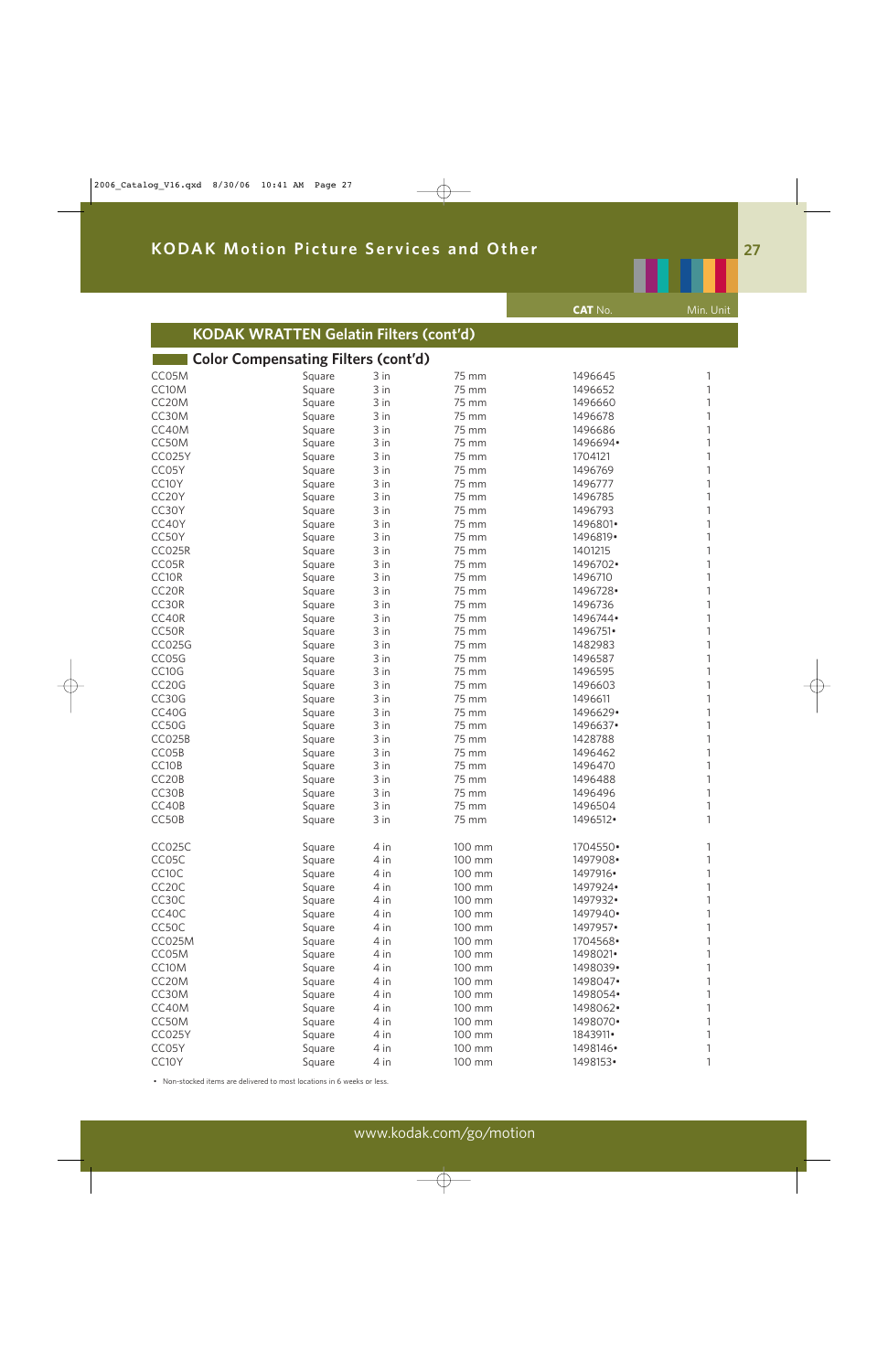|                    |                                               |      |        | <b>CAT No.</b> | Min. Unit |
|--------------------|-----------------------------------------------|------|--------|----------------|-----------|
|                    | <b>KODAK WRATTEN Gelatin Filters (cont'd)</b> |      |        |                |           |
|                    | <b>Color Compensating Filters (cont'd)</b>    |      |        |                |           |
| CC05M              | Square                                        | 3 in | 75 mm  | 1496645        | 1         |
| CC10M              | Square                                        | 3 in | 75 mm  | 1496652        | 1         |
| CC <sub>20</sub> M | Square                                        | 3 in | 75 mm  | 1496660        | 1         |
| CC30M              | Square                                        | 3 in | 75 mm  | 1496678        | 1         |
| CC40M              | Square                                        | 3 in | 75 mm  | 1496686        | 1         |
| CC50M              | Square                                        | 3 in | 75 mm  | 1496694•       | 1         |
| CC025Y             | Square                                        | 3 in | 75 mm  | 1704121        | 1         |
| CC05Y              | Square                                        | 3 in | 75 mm  | 1496769        | 1         |
| CC10Y              | Square                                        | 3 in | 75 mm  | 1496777        | 1         |
| CC20Y              | Square                                        | 3 in | 75 mm  | 1496785        | 1         |
| CC30Y              | Square                                        | 3 in | 75 mm  | 1496793        | 1         |
| CC40Y              | Square                                        | 3 in | 75 mm  | 1496801•       | 1         |
| CC50Y              | Square                                        | 3 in | 75 mm  | 1496819•       | 1         |
| CC025R             | Square                                        | 3 in | 75 mm  | 1401215        | 1         |
| CC05R              | Square                                        | 3 in | 75 mm  | 1496702.       | 1         |
| CC10R              | Square                                        | 3 in | 75 mm  | 1496710        | 1         |
| CC20R              | Square                                        | 3 in | 75 mm  | 1496728.       | 1         |
| CC30R              | Square                                        | 3 in | 75 mm  | 1496736        | 1         |
| CC40R              | Square                                        | 3 in | 75 mm  | 1496744.       | 1         |
| CC50R              | Square                                        | 3 in | 75 mm  | 1496751•       | 1         |
| <b>CC025G</b>      | Square                                        | 3 in | 75 mm  | 1482983        | 1         |
| CC05G              | Square                                        | 3 in | 75 mm  | 1496587        | 1         |
| CC10G              | Square                                        | 3 in | 75 mm  | 1496595        | 1         |
| CC <sub>20</sub> G | Square                                        | 3 in | 75 mm  | 1496603        | 1         |
| CC30G              | Square                                        | 3 in | 75 mm  | 1496611        | 1         |
| CC40G              | Square                                        | 3 in | 75 mm  | 1496629.       | 1         |
| CC50G              | Square                                        | 3 in | 75 mm  | 1496637.       | 1         |
| CC025B             | Square                                        | 3 in | 75 mm  | 1428788        | 1         |
| CC05B              | Square                                        | 3 in | 75 mm  | 1496462        | 1         |
| CC10B              | Square                                        | 3 in | 75 mm  | 1496470        | 1         |
| CC20B              | Square                                        | 3 in | 75 mm  | 1496488        | 1         |
| CC30B              | Square                                        | 3 in | 75 mm  | 1496496        | 1         |
| CC40B              | Square                                        | 3 in | 75 mm  | 1496504        | 1         |
| CC50B              | Square                                        | 3 in | 75 mm  | 1496512.       | 1         |
| CC025C             | Square                                        | 4 in | 100 mm | 1704550•       | 1         |
| CC05C              | Square                                        | 4 in | 100 mm | 1497908•       | 1         |
| CC10C              | Square                                        | 4 in | 100 mm | 1497916•       | 1         |
| CC <sub>20</sub> C | Square                                        | 4 in | 100 mm | 1497924        | 1         |
| CC30C              | Square                                        | 4 in | 100 mm | 1497932•       | 1         |
| CC40C              | Square                                        | 4 in | 100 mm | 1497940.       | 1         |
| CC50C              | Square                                        | 4 in | 100 mm | 1497957.       | 1         |
| CC025M             | Square                                        | 4 in | 100 mm | 1704568.       | 1         |
| CC05M              | Square                                        | 4 in | 100 mm | 1498021.       | 1         |
| CC10M              | Square                                        | 4 in | 100 mm | 1498039.       | 1         |
| CC20M              | Square                                        | 4 in | 100 mm | 1498047.       | 1         |
| CC30M              | Square                                        | 4 in | 100 mm | 1498054        | 1         |
| CC40M              | Square                                        | 4 in | 100 mm | 1498062.       | 1         |
| CC50M              | Square                                        | 4 in | 100 mm | 1498070.       | 1         |
| <b>CC025Y</b>      | Square                                        | 4 in | 100 mm | 1843911•       | 1         |
| CC05Y              | Square                                        | 4 in | 100 mm | 1498146        | 1         |
| CC10Y              | Square                                        | 4 in | 100 mm | 1498153•       | 1         |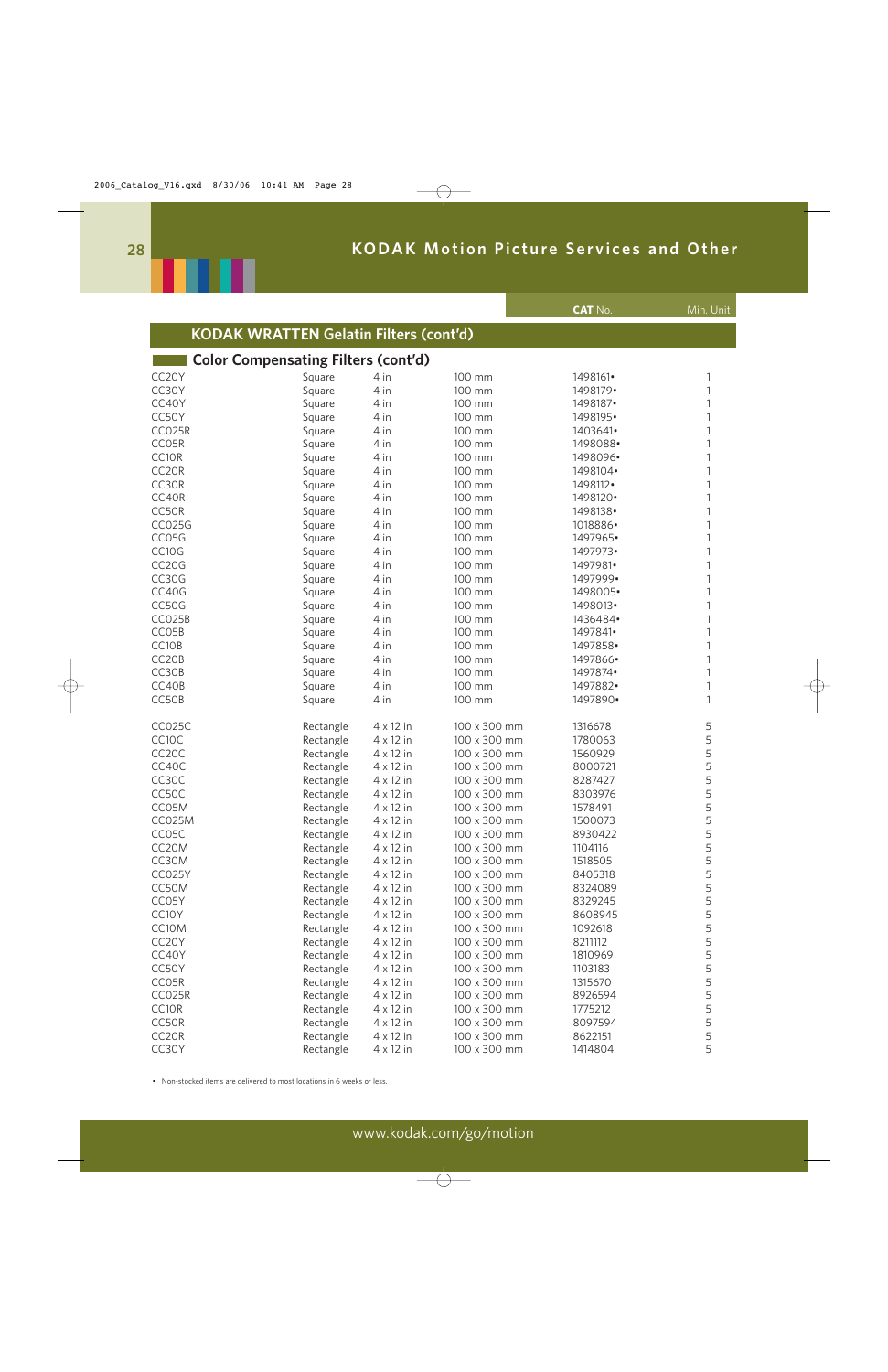

|                    |                                               |                  |              | <b>CAT No.</b> | Min. Unit |
|--------------------|-----------------------------------------------|------------------|--------------|----------------|-----------|
|                    | <b>KODAK WRATTEN Gelatin Filters (cont'd)</b> |                  |              |                |           |
|                    | <b>Color Compensating Filters (cont'd)</b>    |                  |              |                |           |
| CC20Y              | Square                                        | 4 in             | 100 mm       | 1498161•       | 1         |
| CC30Y              | Square                                        | 4 in             | 100 mm       | 1498179.       | 1         |
| CC40Y              | Square                                        | 4 in             | 100 mm       | 1498187•       |           |
| CC50Y              | Square                                        | 4 in             | 100 mm       | 1498195•       |           |
| CC025R             | Square                                        | 4 in             | 100 mm       | 1403641•       |           |
| CC05R              | Square                                        | 4 in             | 100 mm       | 1498088        | 1         |
| CC10R              | Square                                        | 4 in             | 100 mm       | 1498096·       |           |
| CC20R              | Square                                        | 4 in             | 100 mm       | 1498104•       | 1         |
| CC30R              | Square                                        | 4 in             | 100 mm       | 1498112.       |           |
| CC40R              | Square                                        | 4 in             | 100 mm       | 1498120•       |           |
| CC50R              | Square                                        | 4 in             | 100 mm       | 1498138        | 1         |
| <b>CC025G</b>      | Square                                        | 4 in             | 100 mm       | 1018886        |           |
| CC05G              | Square                                        | 4 in             | 100 mm       | 1497965•       | 1         |
| CC10G              | Square                                        | 4 in             | 100 mm       | 1497973•       |           |
| CC20G              | Square                                        | 4 in             | 100 mm       | 1497981•       | 1         |
| CC30G              | Square                                        | 4 in             | 100 mm       | 1497999•       |           |
| CC40G              |                                               | 4 in             | 100 mm       | 1498005·       | 1         |
| CC50G              | Square                                        | 4 in             | 100 mm       | 1498013.       | 1         |
| CC025B             | Square                                        |                  |              |                |           |
|                    | Square                                        | 4 in             | 100 mm       | 1436484        | 1         |
| CC05B              | Square                                        | 4 in             | 100 mm       | 1497841•       |           |
| CC10B              | Square                                        | 4 in             | 100 mm       | 1497858        | 1         |
| CC <sub>20</sub> B | Square                                        | 4 in             | 100 mm       | 1497866•       | 1         |
| CC30B              | Square                                        | 4 in             | 100 mm       | 1497874        |           |
| CC40B              | Square                                        | 4 in             | 100 mm       | 1497882•       | 1         |
| CC50B              | Square                                        | 4 in             | 100 mm       | 1497890.       | 1         |
| CC025C             | Rectangle                                     | 4 x 12 in        | 100 x 300 mm | 1316678        | 5         |
| CC10C              | Rectangle                                     | $4 \times 12$ in | 100 x 300 mm | 1780063        | 5         |
| CC <sub>2</sub> 0C | Rectangle                                     | $4 \times 12$ in | 100 x 300 mm | 1560929        | 5         |
| CC40C              | Rectangle                                     | $4 \times 12$ in | 100 x 300 mm | 8000721        | 5         |
| CC30C              | Rectangle                                     | $4 \times 12$ in | 100 x 300 mm | 8287427        | 5         |
| CC50C              | Rectangle                                     | $4 \times 12$ in | 100 x 300 mm | 8303976        | 5         |
| CC05M              | Rectangle                                     | $4 \times 12$ in | 100 x 300 mm | 1578491        | 5         |
| <b>CC025M</b>      | Rectangle                                     | $4 \times 12$ in | 100 x 300 mm | 1500073        | 5         |
| CC05C              | Rectangle                                     | $4 \times 12$ in | 100 x 300 mm | 8930422        | 5         |
| CC20M              | Rectangle                                     | $4 \times 12$ in | 100 x 300 mm | 1104116        | 5         |
| CC30M              | Rectangle                                     | $4 \times 12$ in | 100 x 300 mm | 1518505        | 5         |
| CC025Y             | Rectangle                                     | $4 \times 12$ in | 100 x 300 mm | 8405318        | 5         |
| CC50M              | Rectangle                                     | $4 \times 12$ in | 100 x 300 mm | 8324089        | 5         |
| CC05Y              | Rectangle                                     | $4 \times 12$ in | 100 x 300 mm | 8329245        | 5         |
| CC10Y              | Rectangle                                     | $4 \times 12$ in | 100 x 300 mm | 8608945        | 5         |
| CC10M              | Rectangle                                     | $4 \times 12$ in | 100 x 300 mm | 1092618        | 5         |
| CC20Y              | Rectangle                                     | $4 \times 12$ in | 100 x 300 mm | 8211112        | 5         |
| CC40Y              | Rectangle                                     | $4 \times 12$ in | 100 x 300 mm | 1810969        | 5         |
| CC50Y              | Rectangle                                     | $4 \times 12$ in | 100 x 300 mm | 1103183        | 5         |
| CC05R              | Rectangle                                     | $4 \times 12$ in | 100 x 300 mm | 1315670        | 5         |
| CC025R             | Rectangle                                     | $4 \times 12$ in | 100 x 300 mm | 8926594        | 5         |
| CC10R              | Rectangle                                     | $4 \times 12$ in | 100 x 300 mm | 1775212        | 5         |
| CC50R              | Rectangle                                     | $4 \times 12$ in | 100 x 300 mm | 8097594        | 5         |
| CC <sub>20R</sub>  | Rectangle                                     | $4 \times 12$ in | 100 x 300 mm | 8622151        | 5         |
| CC30Y              | Rectangle                                     | $4 \times 12$ in | 100 x 300 mm | 1414804        | 5         |
|                    |                                               |                  |              |                |           |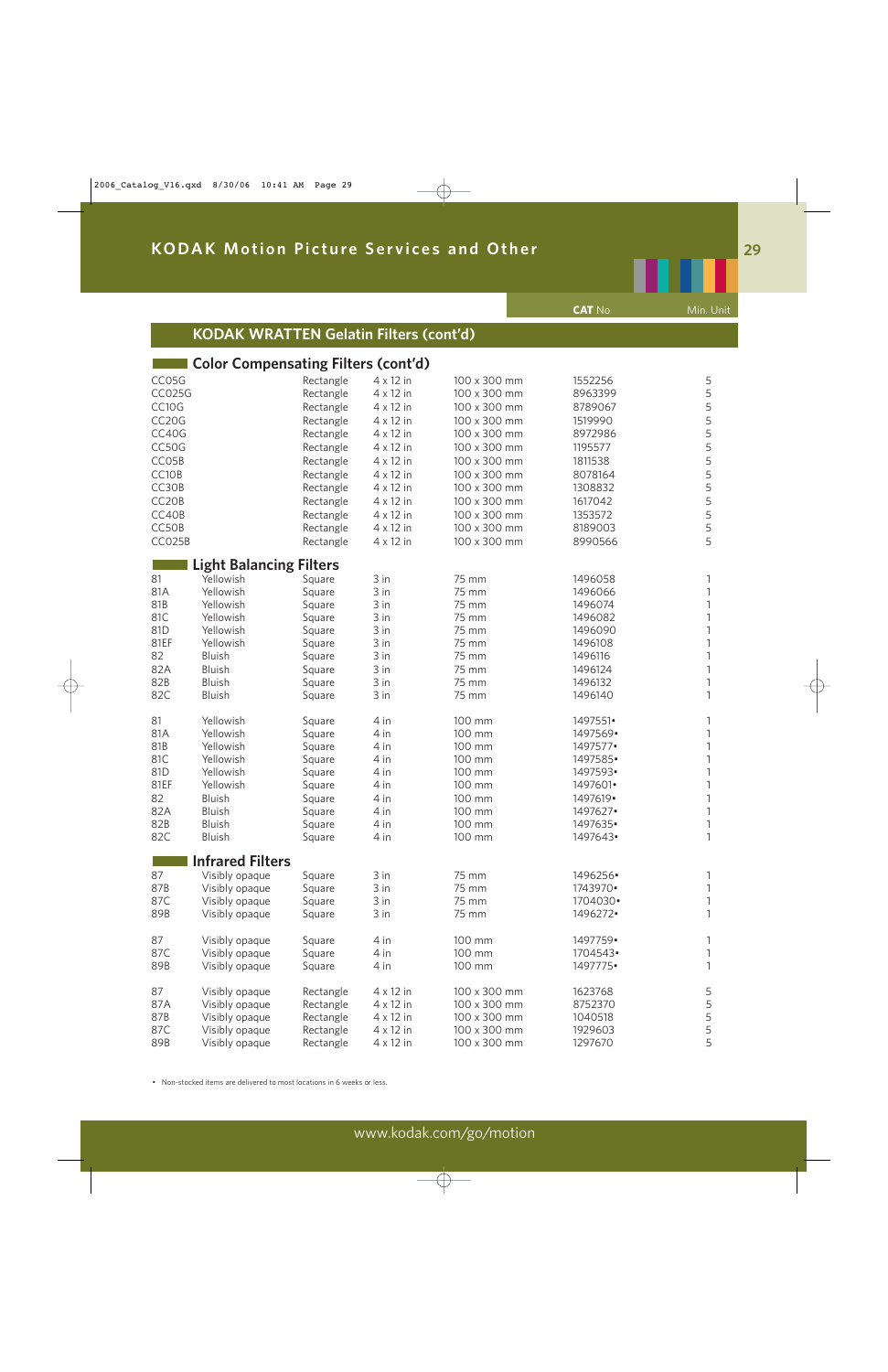|                    |                                               |                  |                  |                | <b>CAT No</b>        | Min. Unit |
|--------------------|-----------------------------------------------|------------------|------------------|----------------|----------------------|-----------|
|                    | <b>KODAK WRATTEN Gelatin Filters (cont'd)</b> |                  |                  |                |                      |           |
|                    | <b>Color Compensating Filters (cont'd)</b>    |                  |                  |                |                      |           |
| CC05G              |                                               | Rectangle        | $4 \times 12$ in | 100 x 300 mm   | 1552256              | 5         |
| <b>CC025G</b>      |                                               | Rectangle        | 4 x 12 in        | 100 x 300 mm   | 8963399              | 5         |
| CC10G              |                                               | Rectangle        | $4 \times 12$ in | 100 x 300 mm   | 8789067              | 5         |
| CC <sub>20</sub> G |                                               | Rectangle        | $4 \times 12$ in | 100 x 300 mm   | 1519990              | 5         |
| CC40G              |                                               | Rectangle        | $4 \times 12$ in | 100 x 300 mm   | 8972986              | 5         |
| CC50G              |                                               | Rectangle        | $4 \times 12$ in | 100 x 300 mm   | 1195577              | 5         |
| CC05B              |                                               | Rectangle        | $4 \times 12$ in | 100 x 300 mm   | 1811538              | 5         |
| CC10B              |                                               | Rectangle        | $4 \times 12$ in | 100 x 300 mm   | 8078164              | 5         |
| CC30B              |                                               | Rectangle        | 4 x 12 in        | 100 x 300 mm   | 1308832              | 5         |
| CC20B              |                                               | Rectangle        | $4 \times 12$ in | 100 x 300 mm   | 1617042              | 5         |
| CC40B              |                                               | Rectangle        | 4 x 12 in        | 100 x 300 mm   | 1353572              | 5         |
| CC50B              |                                               | Rectangle        | 4 x 12 in        | 100 x 300 mm   | 8189003              | 5         |
| CC025B             |                                               | Rectangle        | 4 x 12 in        | 100 x 300 mm   | 8990566              | 5         |
|                    | <b>Light Balancing Filters</b>                |                  |                  |                |                      |           |
| 81<br>81A          | Yellowish<br>Yellowish                        | Square           | 3 in<br>3 in     | 75 mm<br>75 mm | 1496058<br>1496066   | 1         |
| 81B                | Yellowish                                     | Square<br>Square | 3 in             | 75 mm          | 1496074              | 1         |
| 81C                | Yellowish                                     | Square           | 3 in             | 75 mm          | 1496082              |           |
| 81D                | Yellowish                                     | Square           | 3 in             | 75 mm          | 1496090              | 1         |
| 81EF               | Yellowish                                     | Square           | 3 in             | 75 mm          | 1496108              | 1         |
| 82                 | Bluish                                        | Square           | 3 in             | 75 mm          | 1496116              | 1         |
| 82A                | Bluish                                        | Square           | 3 in             | 75 mm          | 1496124              | 1         |
| 82B                | Bluish                                        | Square           | 3 in             | 75 mm          | 1496132              | 1         |
| 82C                | Bluish                                        | Square           | 3 in             | 75 mm          | 1496140              | 1         |
| 81                 | Yellowish                                     | Square           | 4 in             | 100 mm         | 1497551•             | 1         |
| 81A                | Yellowish                                     | Square           | 4 in             | 100 mm         | 1497569.             |           |
| 81B                | Yellowish                                     | Square           | 4 in             | 100 mm         | 1497577•             |           |
| 81C                | Yellowish                                     | Square           | 4 in             | 100 mm         | 1497585•             |           |
| 81D                | Yellowish                                     | Square           | 4 in             | 100 mm         | 1497593•             | 1         |
| 81EF               | Yellowish                                     | Square           | 4 in             | 100 mm         | 1497601•             | 1         |
| 82                 | Bluish                                        | Square           | 4 in             | 100 mm         | 1497619.             | 1         |
| 82A                | Bluish                                        | Square           | 4 in             | 100 mm         | 1497627•             | 1         |
| 82B                | Bluish                                        | Square           | 4 in             | 100 mm         | 1497635.             | 1         |
| 82C                | Bluish                                        | Square           | 4 in             | 100 mm         | 1497643.             | 1         |
|                    | <b>Infrared Filters</b>                       |                  |                  |                |                      |           |
| 87                 | Visibly opaque                                | Square           | 3 in             | 75 mm          | 1496256·             | 1         |
| 87B<br>87C         | Visibly opaque                                | Square           | 3 in             | 75 mm<br>75 mm | 1743970•<br>1704030• | 1         |
| 89B                | Visibly opaque<br>Visibly opaque              | Square           | 3 in<br>3 in     | 75 mm          | 1496272.             |           |
|                    |                                               | Square           |                  |                |                      |           |
| 87                 | Visibly opaque                                | Square           | 4 in             | 100 mm         | 1497759•             | 1         |
| 87C                | Visibly opaque                                | Square           | 4 in             | 100 mm         | 1704543.             | 1         |
| 89B                | Visibly opaque                                | Square           | 4 in             | 100 mm         | 1497775•             | 1         |
| 87                 | Visibly opaque                                | Rectangle        | $4 \times 12$ in | 100 x 300 mm   | 1623768              | 5         |
| 87A                | Visibly opaque                                | Rectangle        | $4 \times 12$ in | 100 x 300 mm   | 8752370              | 5         |
| 87B                | Visibly opaque                                | Rectangle        | $4 \times 12$ in | 100 x 300 mm   | 1040518              | 5         |
| 87C                | Visibly opaque                                | Rectangle        | $4 \times 12$ in | 100 x 300 mm   | 1929603              | 5         |
| 89B                | Visibly opaque                                | Rectangle        | $4 \times 12$ in | 100 x 300 mm   | 1297670              | 5         |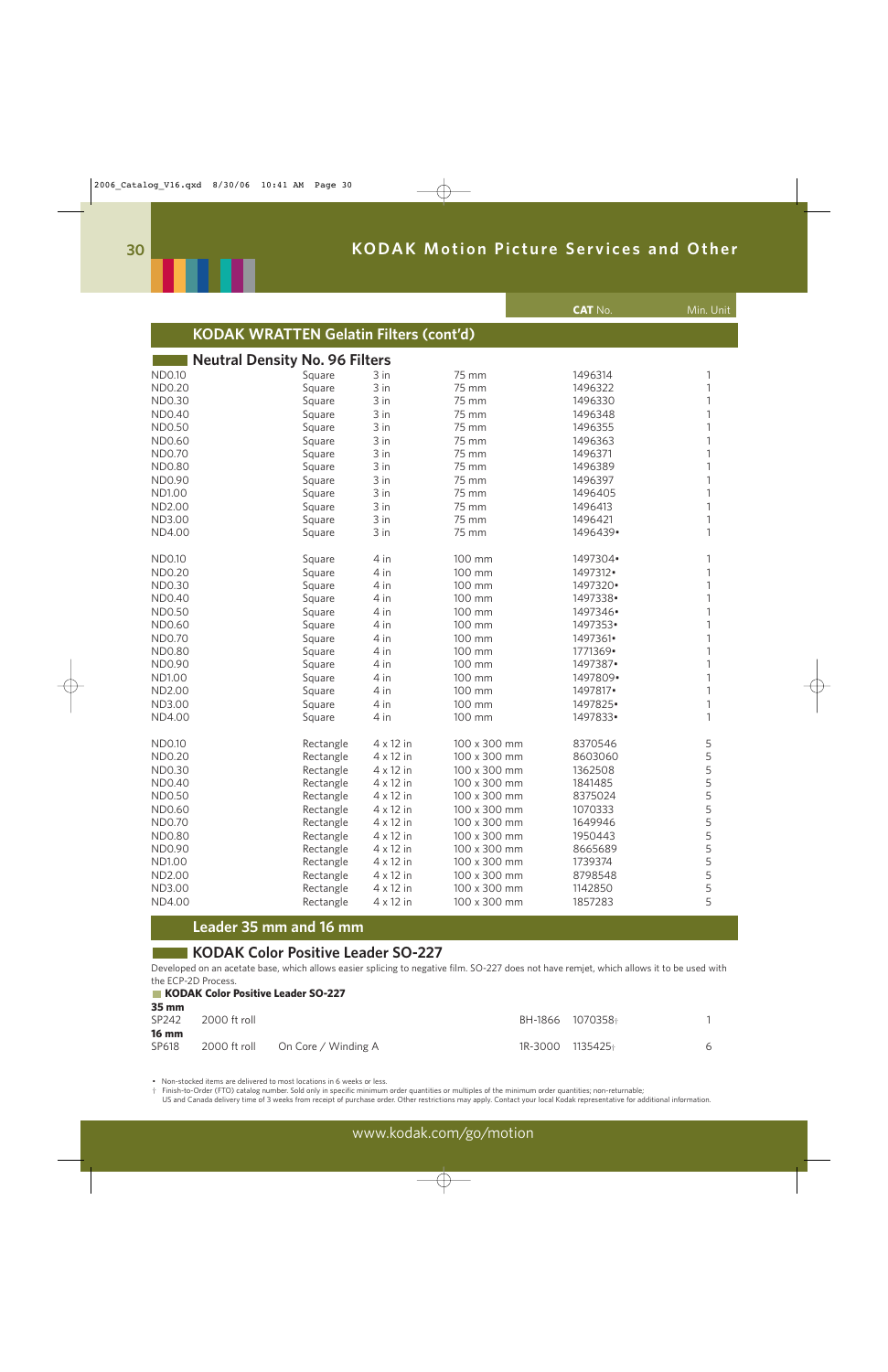

|                                               |           |                  |              | <b>CAT No.</b> | Min. Unit |
|-----------------------------------------------|-----------|------------------|--------------|----------------|-----------|
| <b>KODAK WRATTEN Gelatin Filters (cont'd)</b> |           |                  |              |                |           |
| <b>Neutral Density No. 96 Filters</b>         |           |                  |              |                |           |
| ND0.10                                        | Square    | 3 in             | 75 mm        | 1496314        |           |
| ND0.20                                        | Square    | 3 in             | 75 mm        | 1496322        |           |
| ND0.30                                        | Square    | 3 in             | 75 mm        | 1496330        |           |
| <b>ND0.40</b>                                 | Square    | 3 in             | 75 mm        | 1496348        |           |
| <b>ND0.50</b>                                 | Square    | 3 in             | 75 mm        | 1496355        |           |
| ND0.60                                        | Square    | 3 in             | 75 mm        | 1496363        |           |
| <b>ND0.70</b>                                 | Square    | 3 in             | 75 mm        | 1496371        |           |
| <b>ND0.80</b>                                 | Square    | 3 in             | 75 mm        | 1496389        |           |
| ND0.90                                        | Square    | 3 in             | 75 mm        | 1496397        |           |
| <b>ND1.00</b>                                 | Square    | 3 in             | 75 mm        | 1496405        |           |
| ND2.00                                        | Square    | 3 in             | 75 mm        | 1496413        |           |
| ND3.00                                        | Square    | 3 in             | 75 mm        | 1496421        |           |
| ND4.00                                        | Square    | 3 in             | 75 mm        | 1496439.       |           |
| <b>ND0.10</b>                                 | Square    | 4 in             | 100 mm       | 1497304•       |           |
| ND0.20                                        | Square    | 4 in             | 100 mm       | 1497312•       |           |
| ND0.30                                        | Square    | 4 in             | 100 mm       | 1497320.       |           |
| <b>ND0.40</b>                                 | Square    | 4 in             | 100 mm       | 1497338        |           |
| ND0.50                                        | Square    | 4 in             | 100 mm       | 1497346•       |           |
| ND0.60                                        | Square    | 4 in             | 100 mm       | 1497353.       |           |
| ND0.70                                        | Square    | 4 in             | 100 mm       | 1497361•       |           |
| <b>ND0.80</b>                                 | Square    | 4 in             | 100 mm       | 1771369•       |           |
| ND0.90                                        | Square    | 4 in             | 100 mm       | 1497387•       |           |
| <b>ND1.00</b>                                 | Square    | 4 in             | 100 mm       | 1497809.       |           |
| ND2.00                                        | Square    | 4 in             | 100 mm       | 1497817•       |           |
| ND3.00                                        | Square    | 4 in             | 100 mm       | 1497825        |           |
| ND4.00                                        | Square    | 4 in             | 100 mm       | 1497833.       |           |
| <b>ND0.10</b>                                 | Rectangle | $4 \times 12$ in | 100 x 300 mm | 8370546        | 5         |
| <b>ND0.20</b>                                 | Rectangle | $4 \times 12$ in | 100 x 300 mm | 8603060        | 5         |
| ND0.30                                        | Rectangle | $4 \times 12$ in | 100 x 300 mm | 1362508        | 5         |
| <b>ND0.40</b>                                 | Rectangle | 4 x 12 in        | 100 x 300 mm | 1841485        | 5         |
| ND0.50                                        | Rectangle | $4 \times 12$ in | 100 x 300 mm | 8375024        | 5         |
| ND0.60                                        | Rectangle | $4 \times 12$ in | 100 x 300 mm | 1070333        | 5         |
| ND0.70                                        | Rectangle | $4 \times 12$ in | 100 x 300 mm | 1649946        | 5         |
| <b>ND0.80</b>                                 | Rectangle | $4 \times 12$ in | 100 x 300 mm | 1950443        | 5         |
| ND0.90                                        | Rectangle | $4 \times 12$ in | 100 x 300 mm | 8665689        | 5         |
| <b>ND1.00</b>                                 | Rectangle | $4 \times 12$ in | 100 x 300 mm | 1739374        | 5         |
| ND2.00                                        | Rectangle | $4 \times 12$ in | 100 x 300 mm | 8798548        | 5         |
| ND3.00                                        | Rectangle | $4 \times 12$ in | 100 x 300 mm | 1142850        | 5         |
| ND4.00                                        | Rectangle | $4 \times 12$ in | 100 x 300 mm | 1857283        | 5         |
|                                               |           |                  |              |                |           |

### **Leader 35 mm and 16 mm**

### **KODAK Color Positive Leader SO-227**

Developed on an acetate base, which allows easier splicing to negative film. SO-227 does not have remjet, which allows it to be used with the ECP-2D Process.

#### **KODAK Color Positive Leader SO-227 35 mm**

**Contract** 

| 55 MM<br>SP242        | 2000 ft roll |                                  | BH-1866 1070358+ |   |
|-----------------------|--------------|----------------------------------|------------------|---|
| <b>16 mm</b><br>SP618 |              | 2000 ft roll On Core / Winding A | 1R-3000 1135425+ | 6 |

• Non-stocked items are delivered to most locations in 6 weeks or less.

† Finish-to-Order (FTO) catalog number. Sold only in specific minimum order quantities or multiples of the minimum order quantities; non-returnable;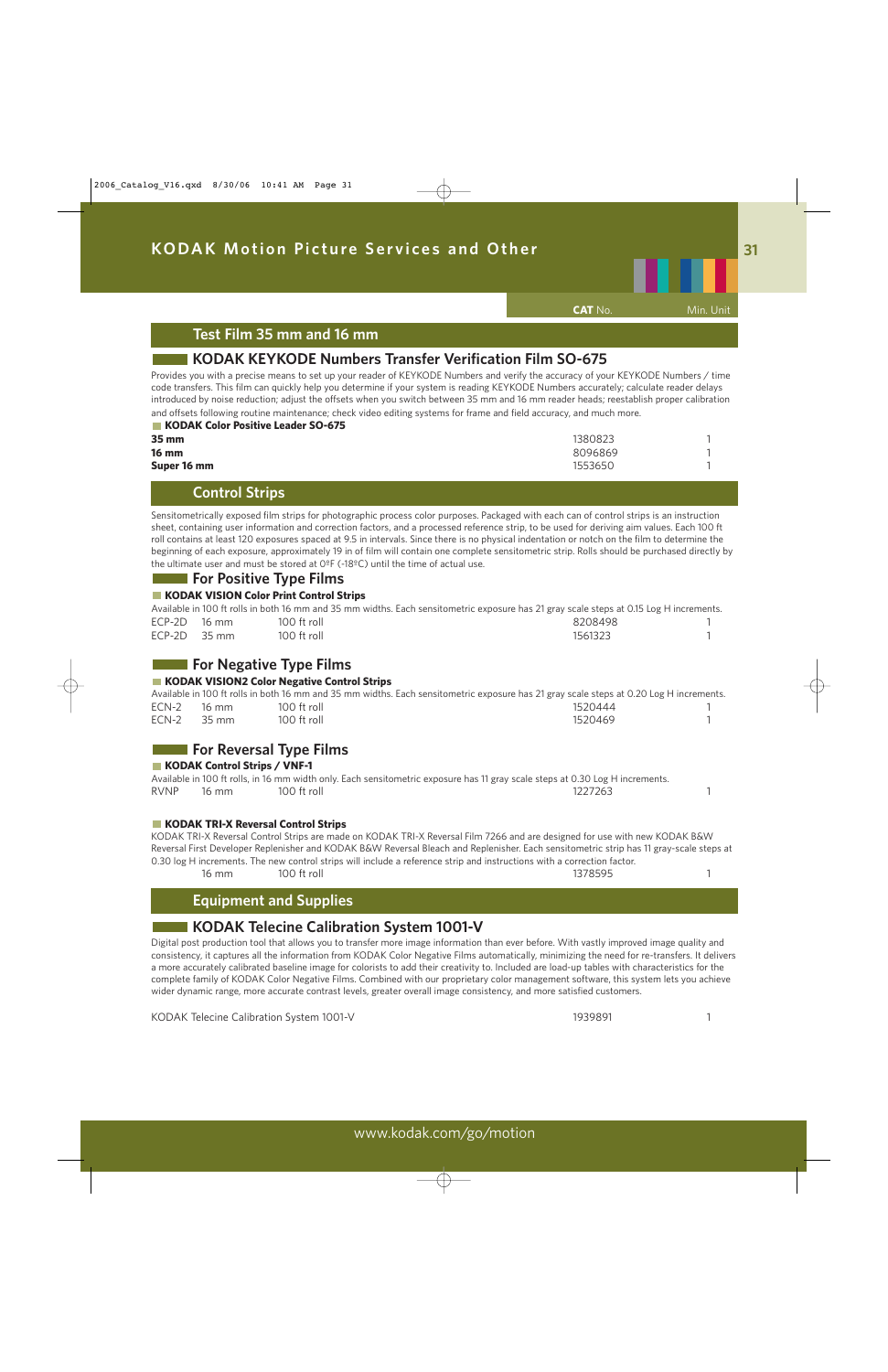

**CAT** No. Min. Unit

### **Test Film 35 mm and 16 mm**

### **KODAK KEYKODE Numbers Transfer Verification Film SO-675**

Provides you with a precise means to set up your reader of KEYKODE Numbers and verify the accuracy of your KEYKODE Numbers / time code transfers. This film can quickly help you determine if your system is reading KEYKODE Numbers accurately; calculate reader delays introduced by noise reduction; adjust the offsets when you switch between 35 mm and 16 mm reader heads; reestablish proper calibration and offsets following routine maintenance; check video editing systems for frame and field accuracy, and much more.

| KODAK Color Positive Leader SO-675 |         |  |
|------------------------------------|---------|--|
| 35 mm                              | 1380823 |  |
| <b>16 mm</b>                       | 8096869 |  |
| Super 16 mm                        | 1553650 |  |

### **Control Strips**

Sensitometrically exposed film strips for photographic process color purposes. Packaged with each can of control strips is an instruction sheet, containing user information and correction factors, and a processed reference strip, to be used for deriving aim values. Each 100 ft roll contains at least 120 exposures spaced at 9.5 in intervals. Since there is no physical indentation or notch on the film to determine the beginning of each exposure, approximately 19 in of film will contain one complete sensitometric strip. Rolls should be purchased directly by the ultimate user and must be stored at 0ºF (-18ºC) until the time of actual use.

### **For Positive Type Films**

### **KODAK VISION Color Print Control Strips**

|                | Available in 100 ft rolls in both 16 mm and 35 mm widths. Each sensitometric exposure has 21 gray scale steps at 0.15 Log H increments. |         |  |
|----------------|-----------------------------------------------------------------------------------------------------------------------------------------|---------|--|
| $ECP-2D$ 16 mm | 100 ft roll                                                                                                                             | 8208498 |  |
| $ECP-2D$ 35 mm | 100 ft roll                                                                                                                             | 1561323 |  |

### **For Negative Type Films**

#### **KODAK VISION2 Color Negative Control Strips**

|       |       |               | Available in 100 ft rolls in both 16 mm and 35 mm widths. Each sensitometric exposure has 21 gray scale steps at 0.20 Log H increments. |  |
|-------|-------|---------------|-----------------------------------------------------------------------------------------------------------------------------------------|--|
| ECN-2 | 16 mm | 100 ft roll   | 1520444                                                                                                                                 |  |
| ECN-2 | 35 mm | $100$ ft roll | 1520469                                                                                                                                 |  |

### **For Reversal Type Films**

#### **KODAK Control Strips / VNF-1**

|             |       |             | Available in 100 ft rolls, in 16 mm width only. Each sensitometric exposure has 11 gray scale steps at 0.30 Log H increments. |  |
|-------------|-------|-------------|-------------------------------------------------------------------------------------------------------------------------------|--|
| <b>RVNP</b> | 16 mm | 100 ft roll | 1227263                                                                                                                       |  |

#### **KODAK TRI-X Reversal Control Strips**

KODAK TRI-X Reversal Control Strips are made on KODAK TRI-X Reversal Film 7266 and are designed for use with new KODAK B&W Reversal First Developer Replenisher and KODAK B&W Reversal Bleach and Replenisher. Each sensitometric strip has 11 gray-scale steps at 0.30 log H increments. The new control strips will include a reference strip and instructions with a correction factor. 16 mm 100 ft roll 1378595 1

### **Equipment and Supplies**

### **KODAK Telecine Calibration System 1001-V**

Digital post production tool that allows you to transfer more image information than ever before. With vastly improved image quality and consistency, it captures all the information from KODAK Color Negative Films automatically, minimizing the need for re-transfers. It delivers a more accurately calibrated baseline image for colorists to add their creativity to. Included are load-up tables with characteristics for the complete family of KODAK Color Negative Films. Combined with our proprietary color management software, this system lets you achieve wider dynamic range, more accurate contrast levels, greater overall image consistency, and more satisfied customers.

KODAK Telecine Calibration System 1001-V 1939891 1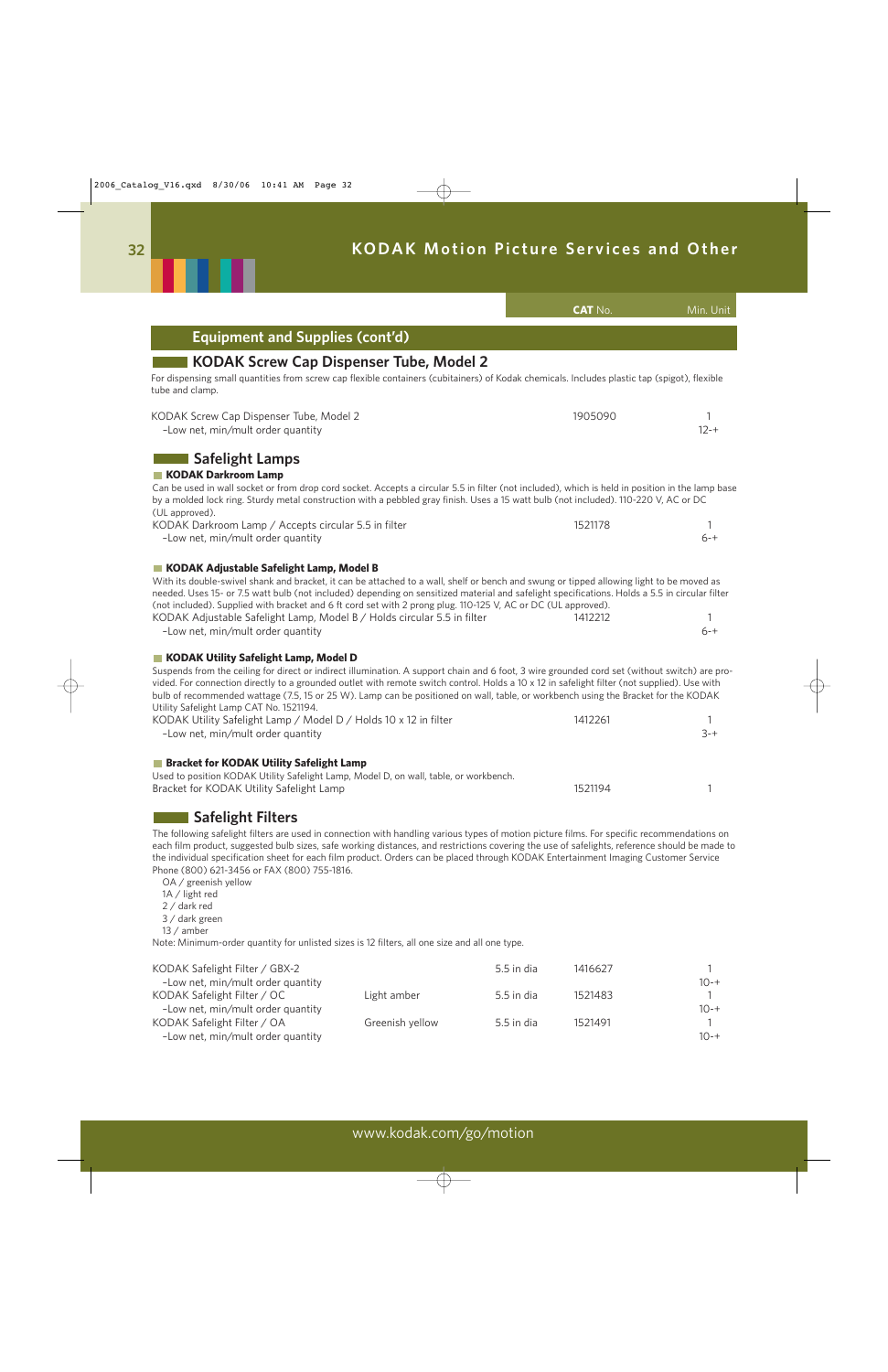|                                                                                                                                                                                                                                                                                                                                                                                                                                                                                                                                                                                             | <b>CAT No.</b> | Min. Unit     |
|---------------------------------------------------------------------------------------------------------------------------------------------------------------------------------------------------------------------------------------------------------------------------------------------------------------------------------------------------------------------------------------------------------------------------------------------------------------------------------------------------------------------------------------------------------------------------------------------|----------------|---------------|
| <b>Equipment and Supplies (cont'd)</b>                                                                                                                                                                                                                                                                                                                                                                                                                                                                                                                                                      |                |               |
| <b>KODAK Screw Cap Dispenser Tube, Model 2</b><br>For dispensing small quantities from screw cap flexible containers (cubitainers) of Kodak chemicals. Includes plastic tap (spigot), flexible<br>tube and clamp.                                                                                                                                                                                                                                                                                                                                                                           |                |               |
| KODAK Screw Cap Dispenser Tube, Model 2<br>-Low net, min/mult order quantity                                                                                                                                                                                                                                                                                                                                                                                                                                                                                                                | 1905090        | 1<br>$12 - +$ |
| <b>Safelight Lamps</b><br>KODAK Darkroom Lamp<br>Can be used in wall socket or from drop cord socket. Accepts a circular 5.5 in filter (not included), which is held in position in the lamp base<br>by a molded lock ring. Sturdy metal construction with a pebbled gray finish. Uses a 15 watt bulb (not included). 110-220 V, AC or DC                                                                                                                                                                                                                                                   |                |               |
| (UL approved).<br>KODAK Darkroom Lamp / Accepts circular 5.5 in filter<br>-Low net, min/mult order quantity                                                                                                                                                                                                                                                                                                                                                                                                                                                                                 | 1521178        | $6 - +$       |
| KODAK Adjustable Safelight Lamp, Model B<br>With its double-swivel shank and bracket, it can be attached to a wall, shelf or bench and swung or tipped allowing light to be moved as<br>needed. Uses 15- or 7.5 watt bulb (not included) depending on sensitized material and safelight specifications. Holds a 5.5 in circular filter<br>(not included). Supplied with bracket and 6 ft cord set with 2 prong plug. 110-125 V, AC or DC (UL approved).<br>KODAK Adjustable Safelight Lamp, Model B / Holds circular 5.5 in filter<br>-Low net, min/mult order quantity                     | 1412212        | 1<br>$6 - +$  |
| KODAK Utility Safelight Lamp, Model D<br>Suspends from the ceiling for direct or indirect illumination. A support chain and 6 foot, 3 wire grounded cord set (without switch) are pro-<br>vided. For connection directly to a grounded outlet with remote switch control. Holds a 10 x 12 in safelight filter (not supplied). Use with<br>bulb of recommended wattage (7.5, 15 or 25 W). Lamp can be positioned on wall, table, or workbench using the Bracket for the KODAK<br>Utility Safelight Lamp CAT No. 1521194.<br>KODAK Utility Safelight Lamp / Model D / Holds 10 x 12 in filter | 1412261        |               |
| -Low net, min/mult order quantity<br><b>Bracket for KODAK Utility Safelight Lamp</b><br>Used to position KODAK Utility Safelight Lamp, Model D, on wall, table, or workbench.<br>Bracket for KODAK Utility Safelight Lamp                                                                                                                                                                                                                                                                                                                                                                   | 1521194        | $3 - +$       |
| <b>Safelight Filters</b><br>The following safelight filters are used in connection with handling various types of motion picture films. For specific recommendations on<br>each film product, suggested bulb sizes, safe working distances, and restrictions covering the use of safelights, reference should be made to<br>the individual specification sheet for each film product. Orders can be placed through KODAK Entertainment Imaging Customer Service<br>Phone (800) 621-3456 or FAX (800) 755-1816.<br>OA / greenish yellow                                                      |                |               |
| 1A / light red<br>2 / dark red                                                                                                                                                                                                                                                                                                                                                                                                                                                                                                                                                              |                |               |

- 3 / dark green
- 13 / amber

Note: Minimum-order quantity for unlisted sizes is 12 filters, all one size and all one type.

| KODAK Safelight Filter / GBX-2    |                 | $5.5$ in dia | 1416627 |              |
|-----------------------------------|-----------------|--------------|---------|--------------|
| -Low net, min/mult order quantity |                 |              |         | $10 - +$     |
| KODAK Safelight Filter / OC       | Light amber     | 5.5 in dia   | 1521483 | $\mathbf{1}$ |
| -Low net, min/mult order quantity |                 |              |         | $10 - +$     |
| KODAK Safelight Filter / OA       | Greenish yellow | 5.5 in dia   | 1521491 | $\mathbf{1}$ |
| -Low net, min/mult order quantity |                 |              |         | $10 - +$     |

. .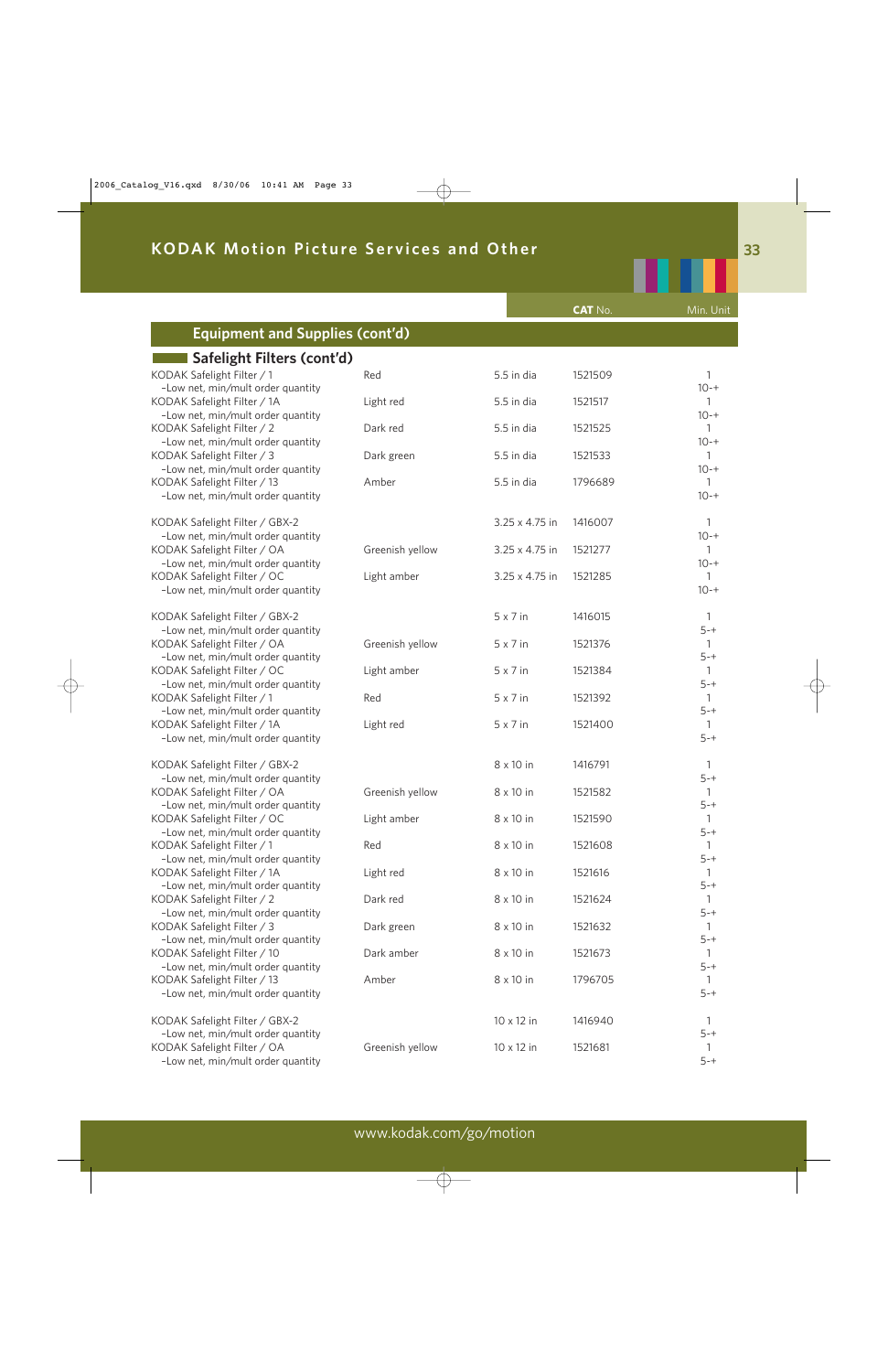|                                                                  |                 |                 | <b>CAT No.</b> | Min. Unit                |
|------------------------------------------------------------------|-----------------|-----------------|----------------|--------------------------|
| <b>Equipment and Supplies (cont'd)</b>                           |                 |                 |                |                          |
|                                                                  |                 |                 |                |                          |
| Safelight Filters (cont'd)                                       |                 |                 |                |                          |
| KODAK Safelight Filter / 1<br>-Low net, min/mult order quantity  | Red             | 5.5 in dia      | 1521509        | 1<br>$10 - +$            |
| KODAK Safelight Filter / 1A                                      | Light red       | 5.5 in dia      | 1521517        | $\mathbf{1}$             |
| -Low net, min/mult order quantity                                |                 |                 |                | $10 - +$                 |
| KODAK Safelight Filter / 2                                       | Dark red        | 5.5 in dia      | 1521525        | $\mathbf{1}$             |
| -Low net, min/mult order quantity                                |                 |                 |                | $10 - +$                 |
| KODAK Safelight Filter / 3                                       | Dark green      | 5.5 in dia      | 1521533        | 1                        |
| -Low net, min/mult order quantity<br>KODAK Safelight Filter / 13 | Amber           | 5.5 in dia      | 1796689        | $10 - +$<br>$\mathbf{1}$ |
| -Low net, min/mult order quantity                                |                 |                 |                | $10 - +$                 |
|                                                                  |                 |                 |                |                          |
| KODAK Safelight Filter / GBX-2                                   |                 | 3.25 x 4.75 in  | 1416007        | $\mathbf{1}$             |
| -Low net, min/mult order quantity                                |                 |                 |                | $10 - +$                 |
| KODAK Safelight Filter / OA                                      | Greenish yellow | 3.25 x 4.75 in  | 1521277        | 1                        |
| -Low net, min/mult order quantity<br>KODAK Safelight Filter / OC | Light amber     | 3.25 x 4.75 in  | 1521285        | $10 - +$<br>$\mathbf{1}$ |
| -Low net, min/mult order quantity                                |                 |                 |                | $10 - +$                 |
|                                                                  |                 |                 |                |                          |
| KODAK Safelight Filter / GBX-2                                   |                 | $5 \times 7$ in | 1416015        | $\mathbf{1}$             |
| -Low net, min/mult order quantity                                |                 |                 |                | $5 - +$                  |
| KODAK Safelight Filter / OA<br>-Low net, min/mult order quantity | Greenish yellow | $5 \times 7$ in | 1521376        | $\mathbf{1}$<br>$5 - +$  |
| KODAK Safelight Filter / OC                                      | Light amber     | $5 \times 7$ in | 1521384        | $\mathbf{1}$             |
| -Low net, min/mult order quantity                                |                 |                 |                | $5 - +$                  |
| KODAK Safelight Filter / 1                                       | Red             | $5 \times 7$ in | 1521392        | $\mathbf{1}$             |
| -Low net, min/mult order quantity                                |                 |                 |                | $5 - +$                  |
| KODAK Safelight Filter / 1A                                      | Light red       | $5 \times 7$ in | 1521400        | 1                        |
| -Low net, min/mult order quantity                                |                 |                 |                | $5 - +$                  |
| KODAK Safelight Filter / GBX-2                                   |                 | 8 x 10 in       | 1416791        | 1                        |
| -Low net, min/mult order quantity                                |                 |                 |                | $5 - +$                  |
| KODAK Safelight Filter / OA                                      | Greenish yellow | 8 x 10 in       | 1521582        | $\mathbf{1}$             |
| -Low net, min/mult order quantity                                |                 |                 |                | $5 - +$                  |
| KODAK Safelight Filter / OC<br>-Low net, min/mult order quantity | Light amber     | 8 x 10 in       | 1521590        | $5 - +$                  |
| KODAK Safelight Filter / 1                                       | Red             | 8 x 10 in       | 1521608        |                          |
| -Low net, min/mult order quantity                                |                 |                 |                | $5 - +$                  |
| KODAK Safelight Filter / 1A                                      | Light red       | 8 x 10 in       | 1521616        |                          |
| -Low net, min/mult order quantity                                |                 |                 |                | $5 - +$                  |
| KODAK Safelight Filter / 2<br>-Low net, min/mult order quantity  | Dark red        | 8 x 10 in       | 1521624        |                          |
| KODAK Safelight Filter / 3                                       | Dark green      | 8 x 10 in       | 1521632        | $5 - +$                  |
| -Low net, min/mult order quantity                                |                 |                 |                | $5 - +$                  |
| KODAK Safelight Filter / 10                                      | Dark amber      | 8 x 10 in       | 1521673        |                          |
| -Low net, min/mult order quantity                                |                 |                 |                | $5 - +$                  |
| KODAK Safelight Filter / 13                                      | Amber           | 8 x 10 in       | 1796705        |                          |
| -Low net, min/mult order quantity                                |                 |                 |                | $5 - +$                  |
| KODAK Safelight Filter / GBX-2                                   |                 | 10 x 12 in      | 1416940        |                          |
| -Low net, min/mult order quantity                                |                 |                 |                | $5 - +$                  |
| KODAK Safelight Filter / OA                                      | Greenish yellow | 10 x 12 in      | 1521681        |                          |
| -Low net, min/mult order quantity                                |                 |                 |                | $5 - +$                  |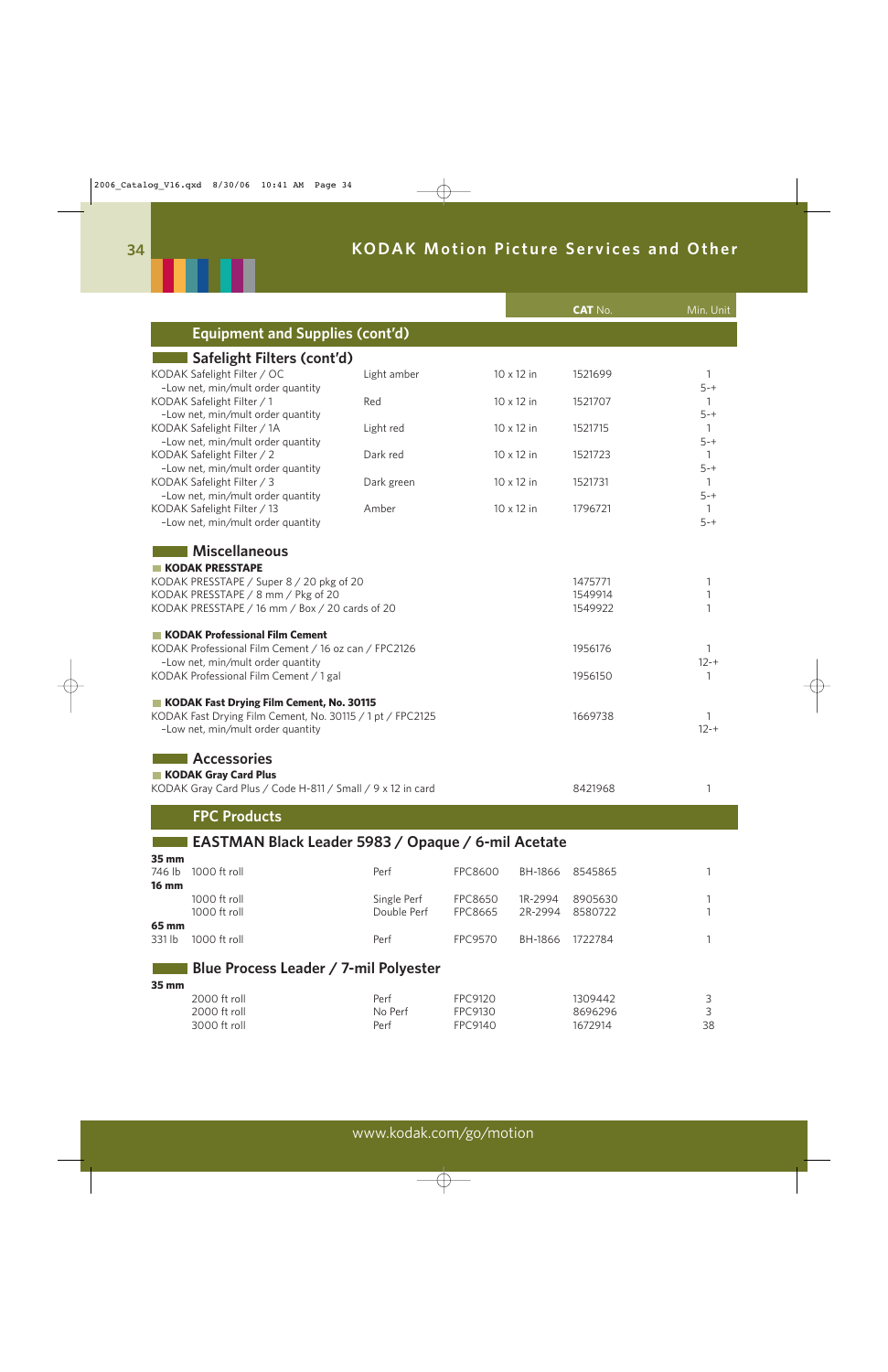

|                                                                                                |                 |                    |            | <b>CAT No.</b>     | Min. Unit               |
|------------------------------------------------------------------------------------------------|-----------------|--------------------|------------|--------------------|-------------------------|
| <b>Equipment and Supplies (cont'd)</b>                                                         |                 |                    |            |                    |                         |
| Safelight Filters (cont'd)                                                                     |                 |                    |            |                    |                         |
| KODAK Safelight Filter / OC                                                                    | Light amber     |                    | 10 x 12 in | 1521699            | 1                       |
| -Low net, min/mult order quantity                                                              |                 |                    |            |                    | $5 - +$                 |
| KODAK Safelight Filter / 1<br>-Low net, min/mult order quantity                                | Red             |                    | 10 x 12 in | 1521707            | 1<br>$5 - +$            |
| KODAK Safelight Filter / 1A                                                                    | Light red       |                    | 10 x 12 in | 1521715            | $\mathbf{1}$            |
| -Low net, min/mult order quantity                                                              |                 |                    |            |                    | $5 - +$                 |
| KODAK Safelight Filter / 2<br>-Low net, min/mult order quantity                                | Dark red        |                    | 10 x 12 in | 1521723            | $\mathbf{1}$<br>$5 - +$ |
| KODAK Safelight Filter / 3                                                                     | Dark green      |                    | 10 x 12 in | 1521731            | $\mathbf{1}$            |
| -Low net, min/mult order quantity                                                              |                 |                    |            |                    | $5 - +$                 |
| KODAK Safelight Filter / 13                                                                    | Amber           |                    | 10 x 12 in | 1796721            | 1<br>$5 - +$            |
| -Low net, min/mult order quantity                                                              |                 |                    |            |                    |                         |
| <b>Miscellaneous</b>                                                                           |                 |                    |            |                    |                         |
| <b>KODAK PRESSTAPE</b>                                                                         |                 |                    |            |                    |                         |
| KODAK PRESSTAPE / Super 8 / 20 pkg of 20                                                       |                 |                    |            | 1475771            | 1                       |
| KODAK PRESSTAPE / 8 mm / Pkg of 20<br>KODAK PRESSTAPE / 16 mm / Box / 20 cards of 20           |                 |                    |            | 1549914<br>1549922 | 1<br>1                  |
|                                                                                                |                 |                    |            |                    |                         |
| KODAK Professional Film Cement                                                                 |                 |                    |            |                    |                         |
| KODAK Professional Film Cement / 16 oz can / FPC2126                                           |                 |                    |            | 1956176            | 1                       |
| -Low net, min/mult order quantity<br>KODAK Professional Film Cement / 1 gal                    |                 |                    |            | 1956150            | $12 - +$<br>1           |
|                                                                                                |                 |                    |            |                    |                         |
| KODAK Fast Drying Film Cement, No. 30115                                                       |                 |                    |            |                    |                         |
| KODAK Fast Drying Film Cement, No. 30115 / 1 pt / FPC2125<br>-Low net, min/mult order quantity |                 |                    |            | 1669738            | 1<br>$12 - +$           |
|                                                                                                |                 |                    |            |                    |                         |
| <b>Accessories</b>                                                                             |                 |                    |            |                    |                         |
| KODAK Gray Card Plus                                                                           |                 |                    |            |                    |                         |
| KODAK Gray Card Plus / Code H-811 / Small / 9 x 12 in card                                     |                 |                    |            | 8421968            | 1                       |
| <b>FPC Products</b>                                                                            |                 |                    |            |                    |                         |
|                                                                                                |                 |                    |            |                    |                         |
| EASTMAN Black Leader 5983 / Opaque / 6-mil Acetate                                             |                 |                    |            |                    |                         |
| 35 mm<br>1000 ft roll<br>746 lb                                                                | Perf            | <b>FPC8600</b>     | BH-1866    | 8545865            | 1                       |
| <b>16 mm</b>                                                                                   |                 |                    |            |                    |                         |
| 1000 ft roll                                                                                   | Single Perf     | <b>FPC8650</b>     | 1R-2994    | 8905630            |                         |
| 1000 ft roll                                                                                   | Double Perf     | <b>FPC8665</b>     | 2R-2994    | 8580722            |                         |
| 65 mm<br>331 lb<br>1000 ft roll                                                                | Perf            | <b>FPC9570</b>     | BH-1866    | 1722784            |                         |
|                                                                                                |                 |                    |            |                    |                         |
| Blue Process Leader / 7-mil Polyester                                                          |                 |                    |            |                    |                         |
| 35 mm                                                                                          |                 |                    |            |                    |                         |
| 2000 ft roll<br>2000 ft roll                                                                   | Perf<br>No Perf | FPC9120<br>FPC9130 |            | 1309442<br>8696296 | 3<br>3                  |

3000 ft roll Perf FPC9140 1672914 38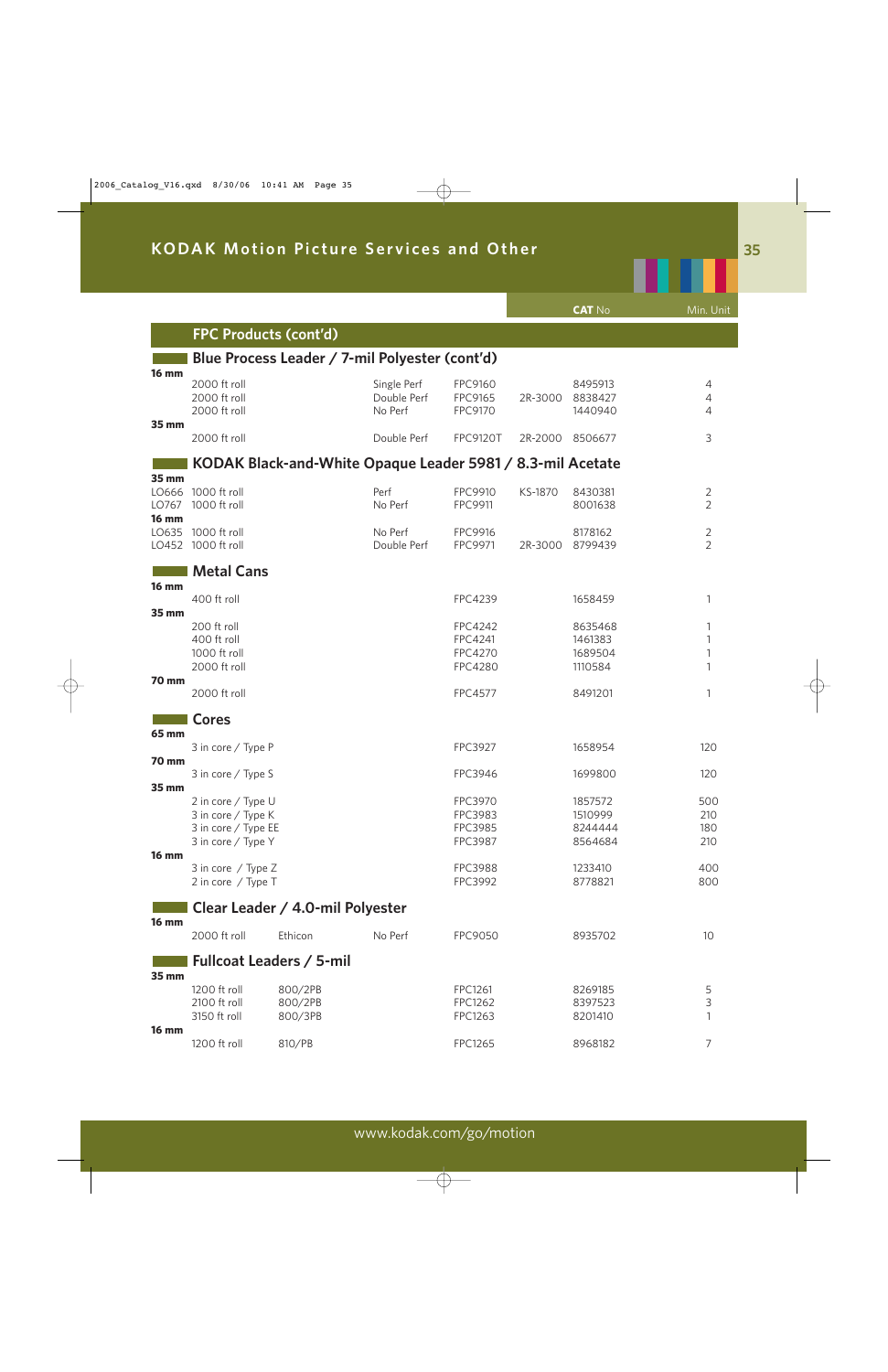|                                         |                                                                                       |                                                            |                                       |                                                               |         | <b>CAT No</b>                            | Min. Unit                        |
|-----------------------------------------|---------------------------------------------------------------------------------------|------------------------------------------------------------|---------------------------------------|---------------------------------------------------------------|---------|------------------------------------------|----------------------------------|
|                                         | <b>FPC Products (cont'd)</b>                                                          |                                                            |                                       |                                                               |         |                                          |                                  |
| <b>16 mm</b>                            |                                                                                       | Blue Process Leader / 7-mil Polyester (cont'd)             |                                       |                                                               |         |                                          |                                  |
|                                         | 2000 ft roll<br>2000 ft roll<br>2000 ft roll                                          |                                                            | Single Perf<br>Double Perf<br>No Perf | FPC9160<br>FPC9165<br>FPC9170                                 | 2R-3000 | 8495913<br>8838427<br>1440940            | 4<br>4<br>4                      |
| 35 mm                                   | 2000 ft roll                                                                          |                                                            | Double Perf                           | <b>FPC9120T</b>                                               | 2R-2000 | 8506677                                  | 3                                |
|                                         |                                                                                       | KODAK Black-and-White Opaque Leader 5981 / 8.3-mil Acetate |                                       |                                                               |         |                                          |                                  |
| 35 mm<br>LO666<br>LO767<br><b>16 mm</b> | 1000 ft roll<br>1000 ft roll                                                          |                                                            | Perf<br>No Perf                       | FPC9910<br>FPC9911                                            | KS-1870 | 8430381<br>8001638                       | $\overline{c}$<br>$\overline{2}$ |
| LO635<br>LO452                          | 1000 ft roll<br>1000 ft roll                                                          |                                                            | No Perf<br>Double Perf                | FPC9916<br>FPC9971                                            | 2R-3000 | 8178162<br>8799439                       | $\overline{c}$<br>$\overline{2}$ |
| <b>16 mm</b>                            | <b>Metal Cans</b>                                                                     |                                                            |                                       |                                                               |         |                                          |                                  |
|                                         | 400 ft roll                                                                           |                                                            |                                       | FPC4239                                                       |         | 1658459                                  | 1                                |
| 35 mm                                   | 200 ft roll<br>400 ft roll<br>1000 ft roll<br>2000 ft roll                            |                                                            |                                       | <b>FPC4242</b><br>FPC4241<br><b>FPC4270</b><br><b>FPC4280</b> |         | 8635468<br>1461383<br>1689504<br>1110584 | 1<br>1<br>1<br>1                 |
| 70 mm                                   | 2000 ft roll                                                                          |                                                            |                                       | <b>FPC4577</b>                                                |         | 8491201                                  | 1                                |
|                                         | <b>Cores</b>                                                                          |                                                            |                                       |                                                               |         |                                          |                                  |
| 65 mm                                   | 3 in core / Type P                                                                    |                                                            |                                       | FPC3927                                                       |         | 1658954                                  | 120                              |
| 70 mm                                   | 3 in core / Type S                                                                    |                                                            |                                       | FPC3946                                                       |         | 1699800                                  | 120                              |
| 35 mm                                   | 2 in core / Type U<br>3 in core / Type K<br>3 in core / Type EE<br>3 in core / Type Y |                                                            |                                       | FPC3970<br>FPC3983<br><b>FPC3985</b><br>FPC3987               |         | 1857572<br>1510999<br>8244444<br>8564684 | 500<br>210<br>180<br>210         |
| <b>16 mm</b>                            | 3 in core / Type Z<br>2 in core / Type T                                              |                                                            |                                       | <b>FPC3988</b><br>FPC3992                                     |         | 1233410<br>8778821                       | 400<br>800                       |
|                                         |                                                                                       | Clear Leader / 4.0-mil Polyester                           |                                       |                                                               |         |                                          |                                  |
| <b>16 mm</b>                            | 2000 ft roll                                                                          | Ethicon                                                    | No Perf                               | <b>FPC9050</b>                                                |         | 8935702                                  | 10                               |
|                                         |                                                                                       | <b>Fullcoat Leaders / 5-mil</b>                            |                                       |                                                               |         |                                          |                                  |
| 35 mm                                   | 1200 ft roll<br>2100 ft roll<br>3150 ft roll                                          | 800/2PB<br>800/2PB<br>800/3PB                              |                                       | FPC1261<br>FPC1262<br>FPC1263                                 |         | 8269185<br>8397523<br>8201410            | 5<br>3<br>1                      |
| <b>16 mm</b>                            | 1200 ft roll                                                                          | 810/PB                                                     |                                       | FPC1265                                                       |         | 8968182                                  | 7                                |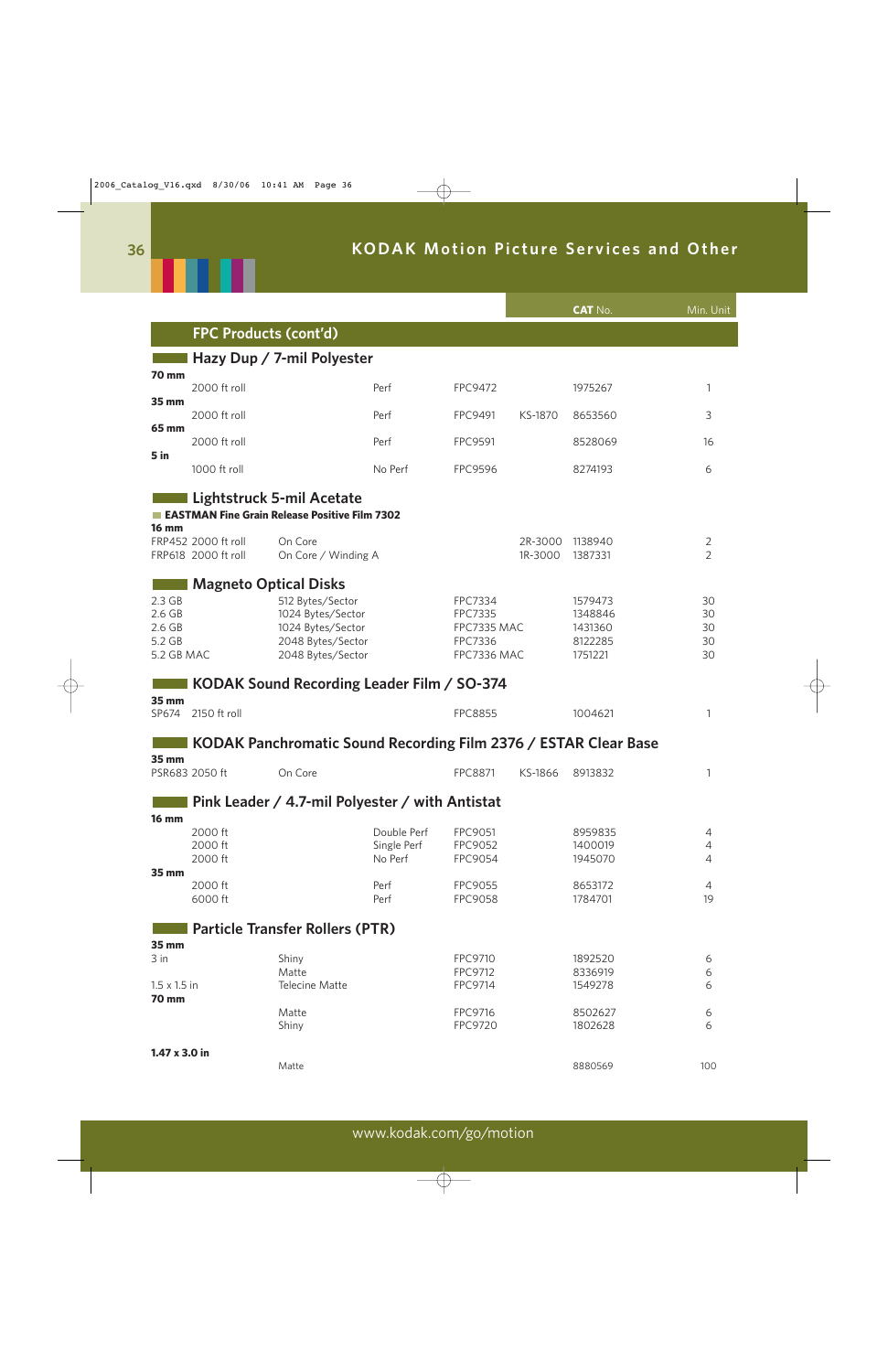

|                                                               |                                            |                                                                                                      |                                       |                                                             |                    | <b>CAT No.</b>                                      | Min. Unit                             |
|---------------------------------------------------------------|--------------------------------------------|------------------------------------------------------------------------------------------------------|---------------------------------------|-------------------------------------------------------------|--------------------|-----------------------------------------------------|---------------------------------------|
|                                                               | <b>FPC Products (cont'd)</b>               |                                                                                                      |                                       |                                                             |                    |                                                     |                                       |
|                                                               |                                            | Hazy Dup / 7-mil Polyester                                                                           |                                       |                                                             |                    |                                                     |                                       |
| 70 mm                                                         | 2000 ft roll                               |                                                                                                      | Perf                                  | <b>FPC9472</b>                                              |                    | 1975267                                             | 1                                     |
| 35 mm                                                         | 2000 ft roll                               |                                                                                                      | Perf                                  | FPC9491                                                     | KS-1870            | 8653560                                             | 3                                     |
| 65 mm                                                         | 2000 ft roll                               |                                                                                                      | Perf                                  | <b>FPC9591</b>                                              |                    | 8528069                                             | 16                                    |
| 5 in                                                          | 1000 ft roll                               |                                                                                                      | No Perf                               | FPC9596                                                     |                    | 8274193                                             | 6                                     |
| <b>16 mm</b>                                                  |                                            | Lightstruck 5-mil Acetate<br>EASTMAN Fine Grain Release Positive Film 7302                           |                                       |                                                             |                    |                                                     |                                       |
|                                                               | FRP452 2000 ft roll<br>FRP618 2000 ft roll | On Core<br>On Core / Winding A                                                                       |                                       |                                                             | 2R-3000<br>1R-3000 | 1138940<br>1387331                                  | $\overline{2}$<br>$\overline{2}$      |
| 2.3 <sub>GB</sub><br>2.6 GB<br>2.6 GB<br>5.2 GB<br>5.2 GB MAC | <b>Magneto Optical Disks</b>               | 512 Bytes/Sector<br>1024 Bytes/Sector<br>1024 Bytes/Sector<br>2048 Bytes/Sector<br>2048 Bytes/Sector |                                       | FPC7334<br>FPC7335<br>FPC7335 MAC<br>FPC7336<br>FPC7336 MAC |                    | 1579473<br>1348846<br>1431360<br>8122285<br>1751221 | 30<br>30<br>30<br>30<br>30            |
|                                                               |                                            | KODAK Sound Recording Leader Film / SO-374                                                           |                                       |                                                             |                    |                                                     |                                       |
| <b>35 mm</b><br>SP674                                         | 2150 ft roll                               |                                                                                                      |                                       | <b>FPC8855</b>                                              |                    | 1004621                                             | 1                                     |
|                                                               |                                            | KODAK Panchromatic Sound Recording Film 2376 / ESTAR Clear Base                                      |                                       |                                                             |                    |                                                     |                                       |
| 35 mm                                                         | PSR683 2050 ft                             | On Core                                                                                              |                                       | <b>FPC8871</b>                                              | KS-1866            | 8913832                                             | 1                                     |
| <b>16 mm</b>                                                  |                                            | Pink Leader / 4.7-mil Polyester / with Antistat                                                      |                                       |                                                             |                    |                                                     |                                       |
| 35 mm                                                         | 2000 ft<br>2000 ft<br>2000 ft              |                                                                                                      | Double Perf<br>Single Perf<br>No Perf | FPC9051<br>FPC9052<br>FPC9054                               |                    | 8959835<br>1400019<br>1945070                       | 4<br>$\overline{4}$<br>$\overline{4}$ |
|                                                               | 2000 ft<br>6000 ft                         |                                                                                                      | Perf<br>Perf                          | FPC9055<br><b>FPC9058</b>                                   |                    | 8653172<br>1784701                                  | 4<br>19                               |
| 35 mm                                                         |                                            | <b>Particle Transfer Rollers (PTR)</b>                                                               |                                       |                                                             |                    |                                                     |                                       |
| 3 in<br>$1.5 \times 1.5$ in<br><b>70 mm</b>                   |                                            | Shiny<br>Matte<br><b>Telecine Matte</b>                                                              |                                       | FPC9710<br>FPC9712<br>FPC9714                               |                    | 1892520<br>8336919<br>1549278                       | $\epsilon$<br>6<br>6                  |
|                                                               |                                            | Matte<br>Shiny                                                                                       |                                       | FPC9716<br>FPC9720                                          |                    | 8502627<br>1802628                                  | 6<br>6                                |
| $1.47 \times 3.0$ in                                          |                                            | Matte                                                                                                |                                       |                                                             |                    | 8880569                                             | 100                                   |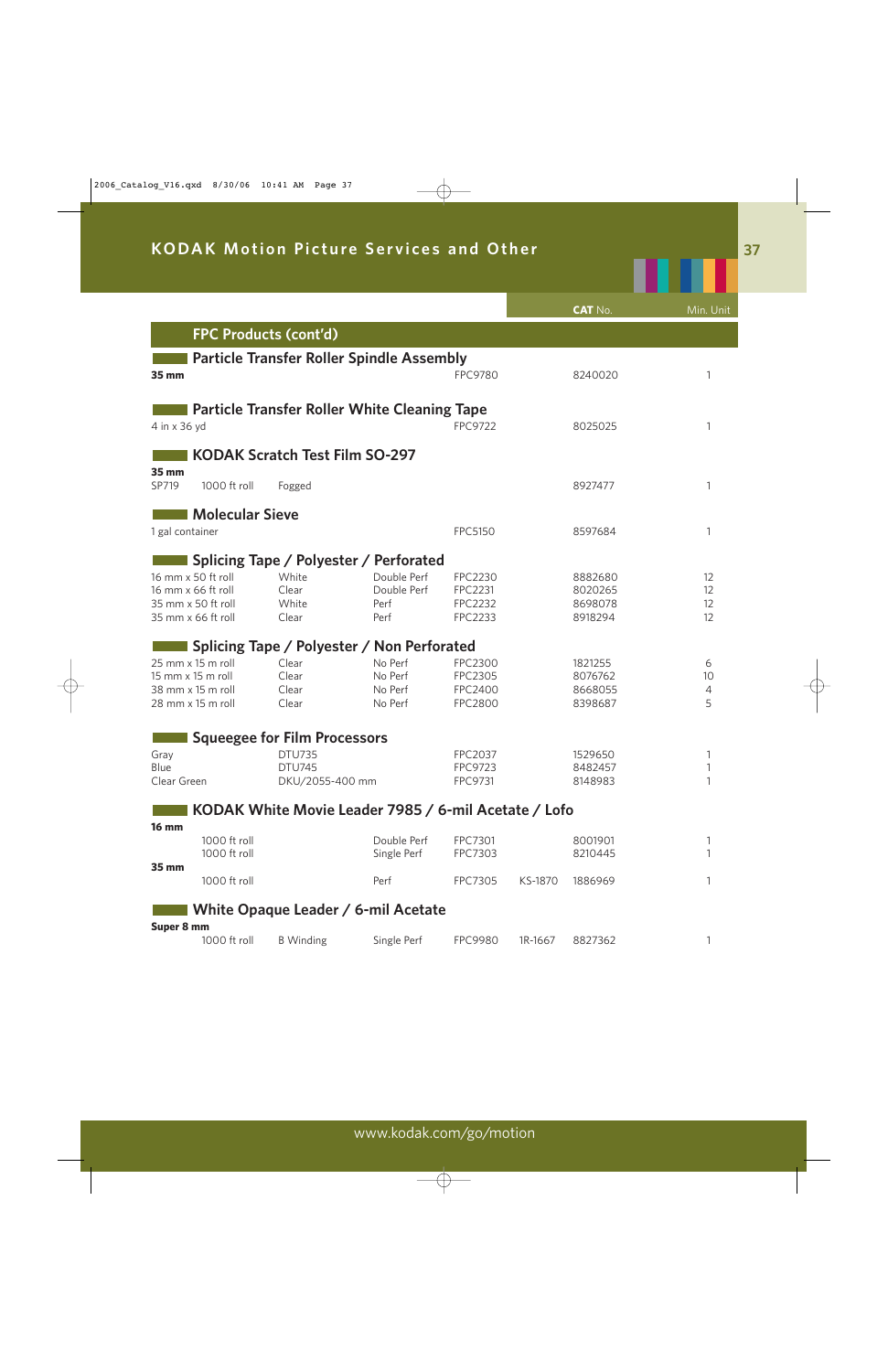|                 |                                          |                                       |                                                      |                    |         | <b>CAT No.</b>     | Min. Unit |
|-----------------|------------------------------------------|---------------------------------------|------------------------------------------------------|--------------------|---------|--------------------|-----------|
|                 | <b>FPC Products (cont'd)</b>             |                                       |                                                      |                    |         |                    |           |
|                 |                                          |                                       | <b>Particle Transfer Roller Spindle Assembly</b>     |                    |         |                    |           |
| 35 mm           |                                          |                                       |                                                      | <b>FPC9780</b>     |         | 8240020            | 1         |
|                 |                                          |                                       | <b>Particle Transfer Roller White Cleaning Tape</b>  |                    |         |                    |           |
| 4 in x 36 yd    |                                          |                                       |                                                      | <b>FPC9722</b>     |         | 8025025            | 1         |
|                 |                                          | <b>KODAK Scratch Test Film SO-297</b> |                                                      |                    |         |                    |           |
| 35 mm<br>SP719  | 1000 ft roll                             | Fogged                                |                                                      |                    |         | 8927477            | 1         |
|                 | <b>Molecular Sieve</b>                   |                                       |                                                      |                    |         |                    |           |
| 1 gal container |                                          |                                       |                                                      | FPC5150            |         | 8597684            | 1         |
|                 |                                          |                                       | Splicing Tape / Polyester / Perforated               |                    |         |                    |           |
|                 | 16 mm x 50 ft roll                       | White                                 | Double Perf                                          | <b>FPC2230</b>     |         | 8882680            | 12        |
|                 | 16 mm x 66 ft roll                       | Clear                                 | Double Perf                                          | FPC2231            |         | 8020265            | 12        |
|                 | 35 mm x 50 ft roll<br>35 mm x 66 ft roll | White<br>Clear                        | Perf<br>Perf                                         | FPC2232<br>FPC2233 |         | 8698078<br>8918294 | 12<br>12  |
|                 |                                          |                                       |                                                      |                    |         |                    |           |
|                 |                                          |                                       | Splicing Tape / Polyester / Non Perforated           |                    |         |                    |           |
|                 | 25 mm x 15 m roll                        | Clear                                 | No Perf                                              | <b>FPC2300</b>     |         | 1821255            | 6         |
|                 | 15 mm x 15 m roll                        | Clear                                 | No Perf                                              | FPC2305            |         | 8076762            | 10        |
|                 | 38 mm x 15 m roll                        | Clear                                 | No Perf                                              | <b>FPC2400</b>     |         | 8668055            | 4         |
|                 | 28 mm x 15 m roll                        | Clear                                 | No Perf                                              | <b>FPC2800</b>     |         | 8398687            | 5         |
|                 |                                          | <b>Squeegee for Film Processors</b>   |                                                      |                    |         |                    |           |
| Gray            |                                          | <b>DTU735</b>                         |                                                      | FPC2037            |         | 1529650            | 1         |
| Blue            |                                          | <b>DTU745</b>                         |                                                      | FPC9723            |         | 8482457            | 1         |
| Clear Green     |                                          | DKU/2055-400 mm                       |                                                      | FPC9731            |         | 8148983            | 1         |
|                 |                                          |                                       | KODAK White Movie Leader 7985 / 6-mil Acetate / Lofo |                    |         |                    |           |
| <b>16 mm</b>    | 1000 ft roll                             |                                       | Double Perf                                          | FPC7301            |         | 8001901            | 1         |
| 35 mm           | 1000 ft roll                             |                                       | Single Perf                                          | FPC7303            |         | 8210445            |           |
|                 | 1000 ft roll                             |                                       | Perf                                                 | FPC7305            | KS-1870 | 1886969            | 1         |
|                 |                                          |                                       | White Opaque Leader / 6-mil Acetate                  |                    |         |                    |           |
| Super 8 mm      | 1000 ft roll                             | <b>B</b> Winding                      | Single Perf                                          | <b>FPC9980</b>     | 1R-1667 | 8827362            | 1         |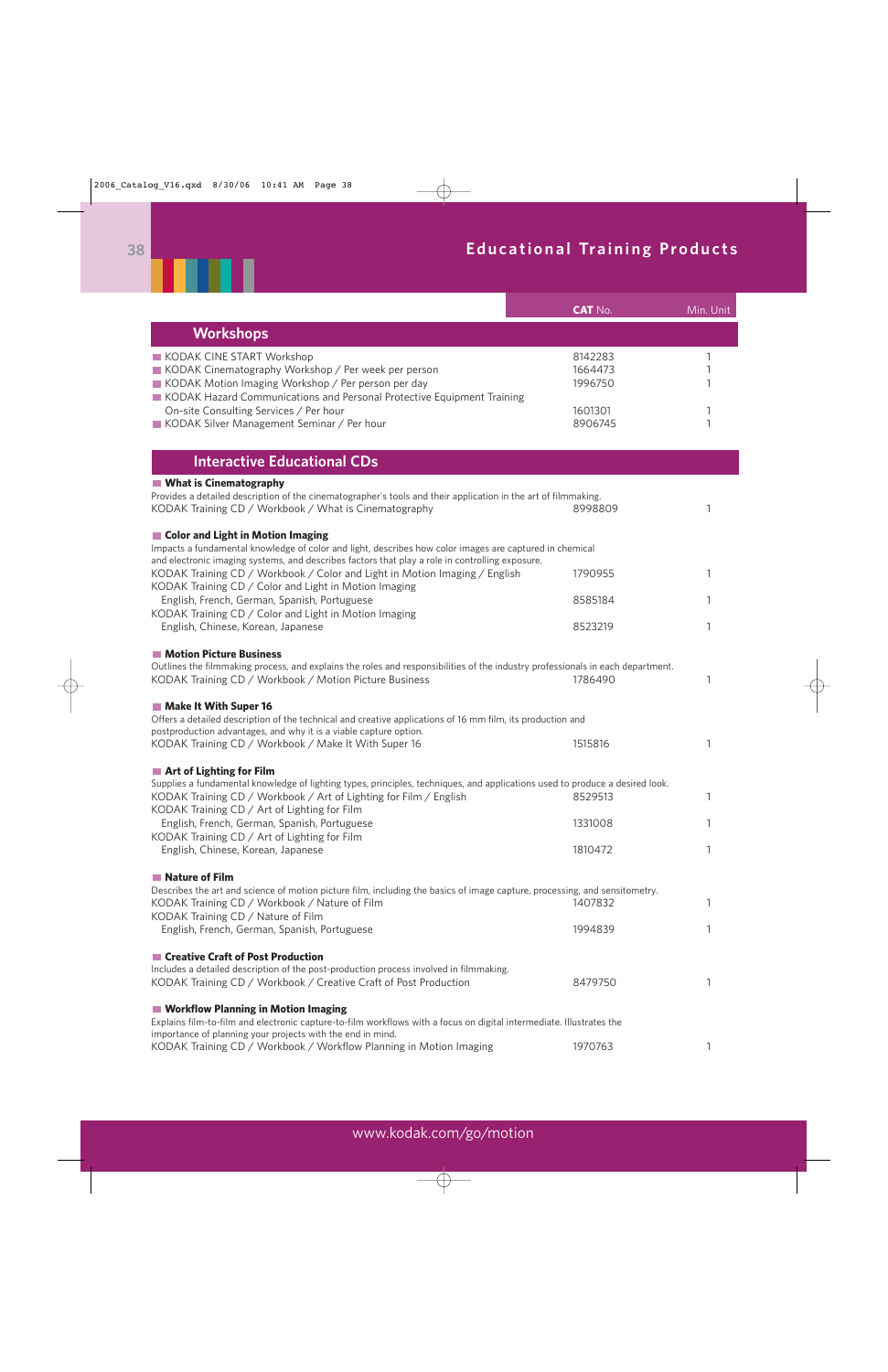# **38 Educational Training Products**



|                                                                                                                                                                                                                                                                               | <b>CAT No.</b>                           | Min. Unit        |
|-------------------------------------------------------------------------------------------------------------------------------------------------------------------------------------------------------------------------------------------------------------------------------|------------------------------------------|------------------|
| <b>Workshops</b>                                                                                                                                                                                                                                                              |                                          |                  |
| KODAK CINE START Workshop<br>KODAK Cinematography Workshop / Per week per person<br>KODAK Motion Imaging Workshop / Per person per day<br>KODAK Hazard Communications and Personal Protective Equipment Training<br>On-site Consulting Services / Per hour                    | 8142283<br>1664473<br>1996750<br>1601301 | 1<br>1<br>1<br>1 |
| KODAK Silver Management Seminar / Per hour                                                                                                                                                                                                                                    | 8906745                                  | 1                |
| <b>Interactive Educational CDs</b>                                                                                                                                                                                                                                            |                                          |                  |
| <b>What is Cinematography</b><br>Provides a detailed description of the cinematographer's tools and their application in the art of filmmaking.<br>KODAK Training CD / Workbook / What is Cinematography                                                                      | 8998809                                  | 1                |
| Color and Light in Motion Imaging<br>Impacts a fundamental knowledge of color and light, describes how color images are captured in chemical<br>and electronic imaging systems, and describes factors that play a role in controlling exposure.                               |                                          |                  |
| KODAK Training CD / Workbook / Color and Light in Motion Imaging / English<br>KODAK Training CD / Color and Light in Motion Imaging                                                                                                                                           | 1790955                                  | 1                |
| English, French, German, Spanish, Portuguese<br>KODAK Training CD / Color and Light in Motion Imaging                                                                                                                                                                         | 8585184                                  | 1                |
| English, Chinese, Korean, Japanese                                                                                                                                                                                                                                            | 8523219                                  |                  |
| <b>Motion Picture Business</b><br>Outlines the filmmaking process, and explains the roles and responsibilities of the industry professionals in each department.<br>KODAK Training CD / Workbook / Motion Picture Business                                                    | 1786490                                  | 1                |
| <b>Make It With Super 16</b><br>Offers a detailed description of the technical and creative applications of 16 mm film, its production and<br>postproduction advantages, and why it is a viable capture option.                                                               |                                          |                  |
| KODAK Training CD / Workbook / Make It With Super 16                                                                                                                                                                                                                          | 1515816                                  | 1                |
| Art of Lighting for Film<br>Supplies a fundamental knowledge of lighting types, principles, techniques, and applications used to produce a desired look.<br>KODAK Training CD / Workbook / Art of Lighting for Film / English<br>KODAK Training CD / Art of Lighting for Film | 8529513                                  | T                |
| English, French, German, Spanish, Portuguese<br>KODAK Training CD / Art of Lighting for Film                                                                                                                                                                                  | 1331008                                  | 1                |
| English, Chinese, Korean, Japanese                                                                                                                                                                                                                                            | 1810472                                  | 1                |
| Nature of Film<br>Describes the art and science of motion picture film, including the basics of image capture, processing, and sensitometry.<br>KODAK Training CD / Workbook / Nature of Film                                                                                 | 1407832                                  | 1                |
| KODAK Training CD / Nature of Film<br>English, French, German, Spanish, Portuguese                                                                                                                                                                                            | 1994839                                  | 1                |
| Creative Craft of Post Production<br>Includes a detailed description of the post-production process involved in filmmaking.<br>KODAK Training CD / Workbook / Creative Craft of Post Production                                                                               | 8479750                                  | 1                |
| ■ Workflow Planning in Motion Imaging<br>Explains film-to-film and electronic capture-to-film workflows with a focus on digital intermediate. Illustrates the                                                                                                                 |                                          |                  |
| importance of planning your projects with the end in mind.<br>KODAK Training CD / Workbook / Workflow Planning in Motion Imaging                                                                                                                                              | 1970763                                  | 1                |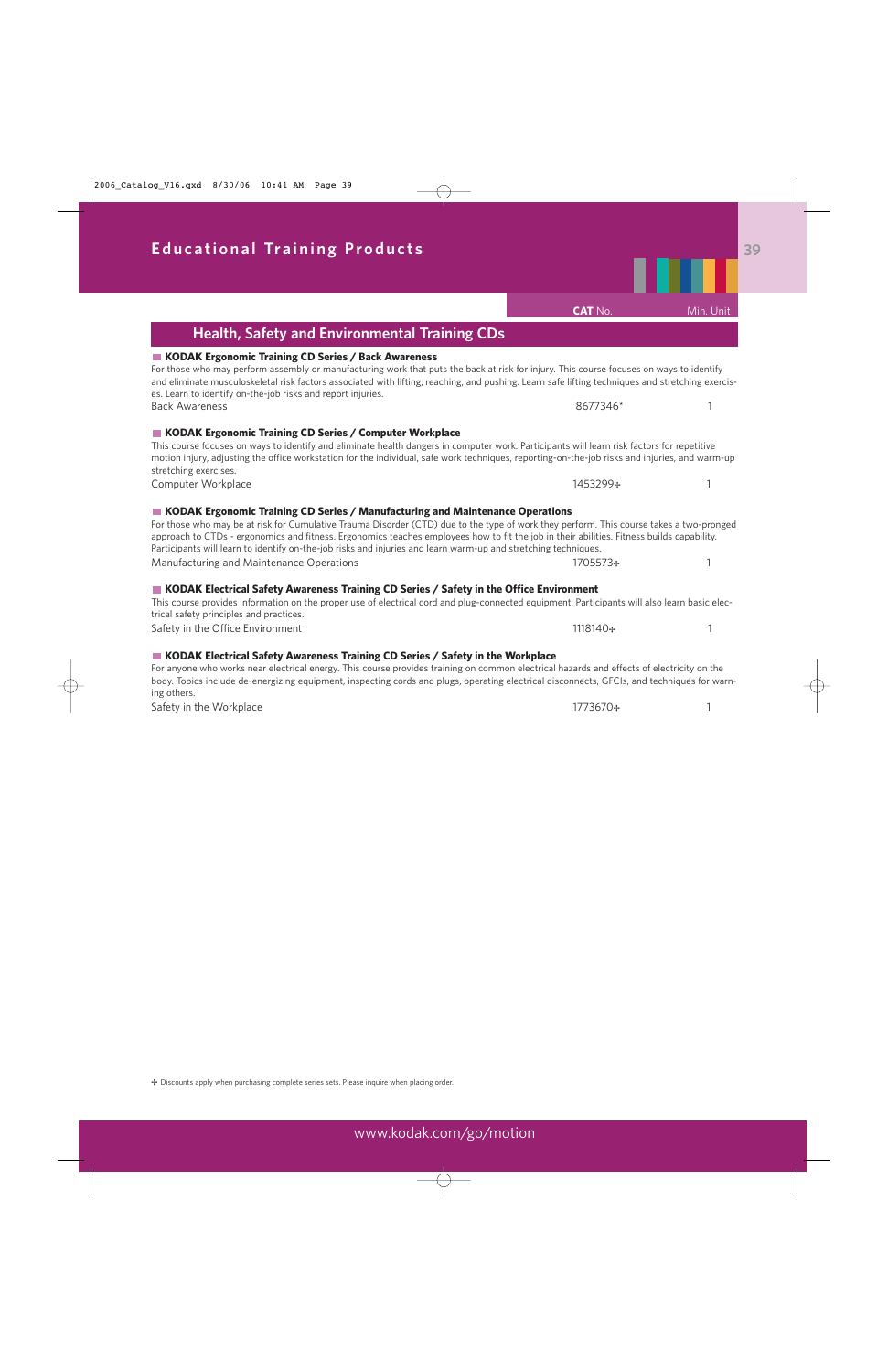■ KODAK Ergonomic Training CD Series / Back Awareness

**Health, Safety and Environmental Training CDs**

### and eliminate musculoskeletal risk factors associated with lifting, reaching, and pushing. Learn safe lifting techniques and stretching exercises. Learn to identify on-the-job risks and report injuries. Back Awareness 1 and 1 and 1 and 1 and 1 and 1 and 1 and 1 and 1 and 1 and 1 and 1 and 1 and 1 and 1 and 1 and 1 and 1 and 1 and 1 and 1 and 1 and 1 and 1 and 1 and 1 and 1 and 1 and 1 and 1 and 1 and 1 and 1 and 1 and 1 a **KODAK Ergonomic Training CD Series / Computer Workplace**  This course focuses on ways to identify and eliminate health dangers in computer work. Participants will learn risk factors for repetitive motion injury, adjusting the office workstation for the individual, safe work techniques, reporting-on-the-job risks and injuries, and warm-up stretching exercises. Computer Workplace 1453299⊹ 1453299⊹ 1453299⊹ 1453299⊹ 1453299⊹ 1453299⊹ 1453299⊹ 1453299⊹ 1453299⊹ 1453299⊹ 1 **KODAK Ergonomic Training CD Series / Manufacturing and Maintenance Operations**  For those who may be at risk for Cumulative Trauma Disorder (CTD) due to the type of work they perform. This course takes a two-pronged approach to CTDs - ergonomics and fitness. Ergonomics teaches employees how to fit the job in their abilities. Fitness builds capability. Participants will learn to identify on-the-job risks and injuries and learn warm-up and stretching techniques. Manufacturing and Maintenance Operations 1705573÷ 1705573÷ **KODAK Electrical Safety Awareness Training CD Series / Safety in the Office Environment**  This course provides information on the proper use of electrical cord and plug-connected equipment. Participants will also learn basic electrical safety principles and practices.

For those who may perform assembly or manufacturing work that puts the back at risk for injury. This course focuses on ways to identify

Safety in the Office Environment 1118140÷ 1118140÷ 1118140÷

**KODAK Electrical Safety Awareness Training CD Series / Safety in the Workplace** 

For anyone who works near electrical energy. This course provides training on common electrical hazards and effects of electricity on the body. Topics include de-energizing equipment, inspecting cords and plugs, operating electrical disconnects, GFCIs, and techniques for warning others.

Safety in the Workplace 1773670÷

✢ Discounts apply when purchasing complete series sets. Please inquire when placing order.



**CAT** No. Min. Unit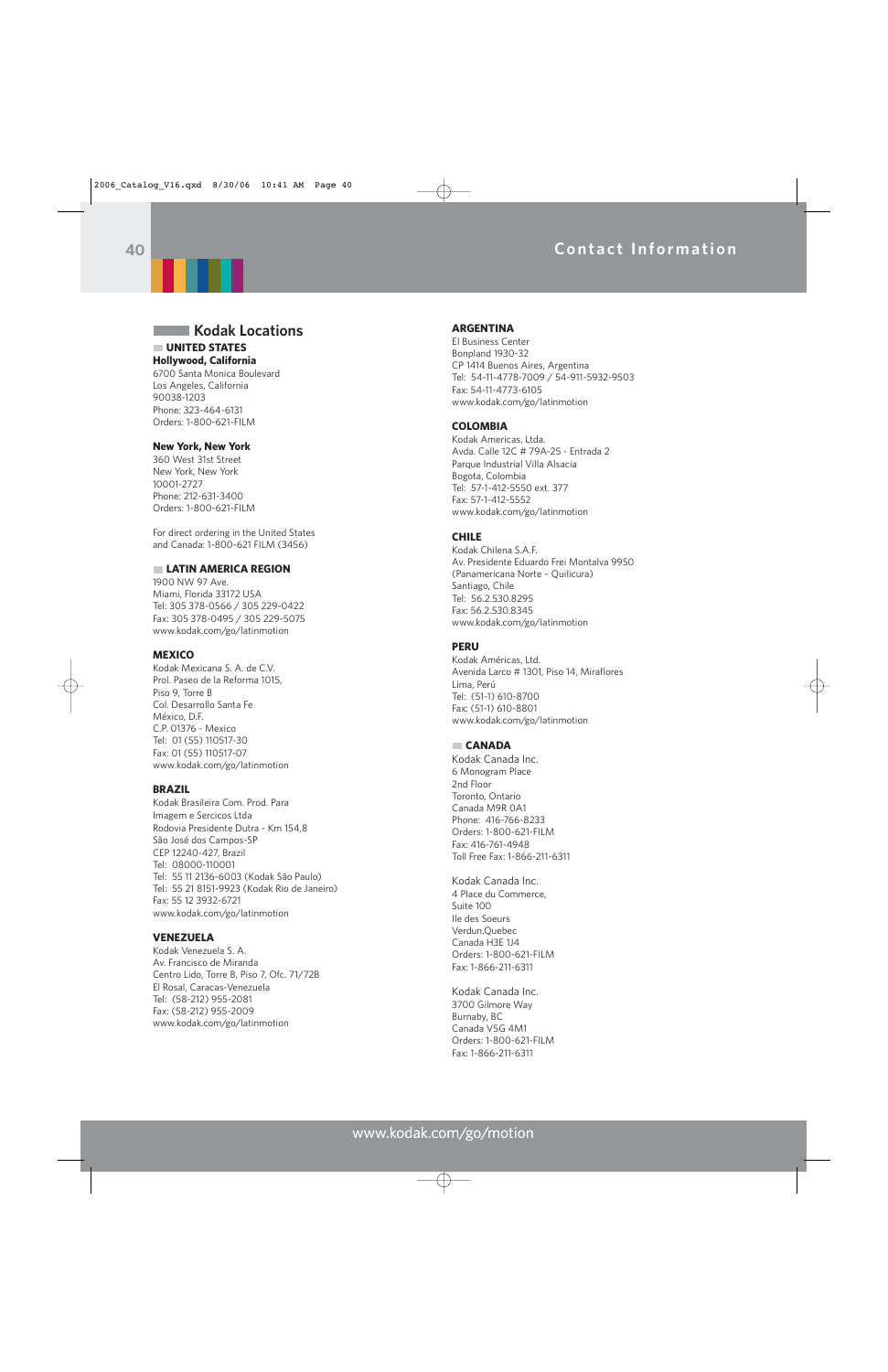## **Contact Information**



### **Kodak Locations UNITED STATES**

**Hollywood, California** 6700 Santa Monica Boulevard Los Angeles, California 90038-1203 Phone: 323-464-6131 Orders: 1-800-621-FILM

#### **New York, New York**

360 West 31st Street New York, New York 10001-2727 Phone: 212-631-3400 Orders: 1-800-621-FILM

For direct ordering in the United States and Canada: 1-800-621 FILM (3456)

#### **LATIN AMERICA REGION**

1900 NW 97 Ave. Miami, Florida 33172 USA Tel: 305 378-0566 / 305 229-0422 Fax: 305 378-0495 / 305 229-5075 www.kodak.com/go/latinmotion

#### **MEXICO**

Kodak Mexicana S. A. de C.V. Prol. Paseo de la Reforma 1015, Piso 9, Torre B Col. Desarrollo Santa Fe México, D.F. C.P. 01376 - Mexico Tel: 01 (55) 110517-30 Fax: 01 (55) 110517-07 www.kodak.com/go/latinmotion

#### **BRAZIL**

Kodak Brasileira Com. Prod. Para Imagem e Sercicos Ltda Rodovia Presidente Dutra - Km 154,8 São José dos Campos-SP CEP 12240-427, Brazil Tel: 08000-110001 Tel: 55 11 2136-6003 (Kodak São Paulo) Tel: 55 21 8151-9923 (Kodak Rio de Janeiro) Fax: 55 12 3932-6721 www.kodak.com/go/latinmotion

#### **VENEZUELA**

Kodak Venezuela S. A. Av. Francisco de Miranda Centro Lido, Torre B, Piso 7, Ofc. 71/72B El Rosal, Caracas-Venezuela Tel: (58-212) 955-2081 Fax: (58-212) 955-2009 www.kodak.com/go/latinmotion

#### **ARGENTINA**

EI Business Center Bonpland 1930-32 CP 1414 Buenos Aires, Argentina Tel: 54-11-4778-7009 / 54-911-5932-9503 Fax: 54-11-4773-6105 www.kodak.com/go/latinmotion

#### **COLOMBIA**

Kodak Americas, Ltda. Avda. Calle 12C # 79A-25 - Entrada 2 Parque Industrial Villa Alsacia Bogota, Colombia Tel: 57-1-412-5550 ext. 377 Fax: 57-1-412-5552 www.kodak.com/go/latinmotion

#### **CHILE**

Kodak Chilena S.A.F. Av. Presidente Eduardo Frei Montalva 9950 (Panamericana Norte – Quilicura) Santiago, Chile Tel: 56.2.530.8295 Fax: 56.2.530.8345 www.kodak.com/go/latinmotion

#### **PERU**

Kodak Américas, Ltd. Avenida Larco # 1301, Piso 14, Miraflores Lima, Perú Tel: (51-1) 610-8700 Fax: (51-1) 610-8801 www.kodak.com/go/latinmotion

#### **CANADA**

Kodak Canada Inc. 6 Monogram Place 2nd Floor Toronto, Ontario Canada M9R 0A1 Phone: 416-766-8233 Orders: 1-800-621-FILM Fax: 416-761-4948 Toll Free Fax: 1-866-211-6311

Kodak Canada Inc. 4 Place du Commerce, Suite 100 Ile des Soeurs Verdun,Quebec Canada H3E 1J4 Orders: 1-800-621-FILM Fax: 1-866-211-6311

Kodak Canada Inc. 3700 Gilmore Way Burnaby, BC Canada V5G 4M1 Orders: 1-800-621-FILM Fax: 1-866-211-6311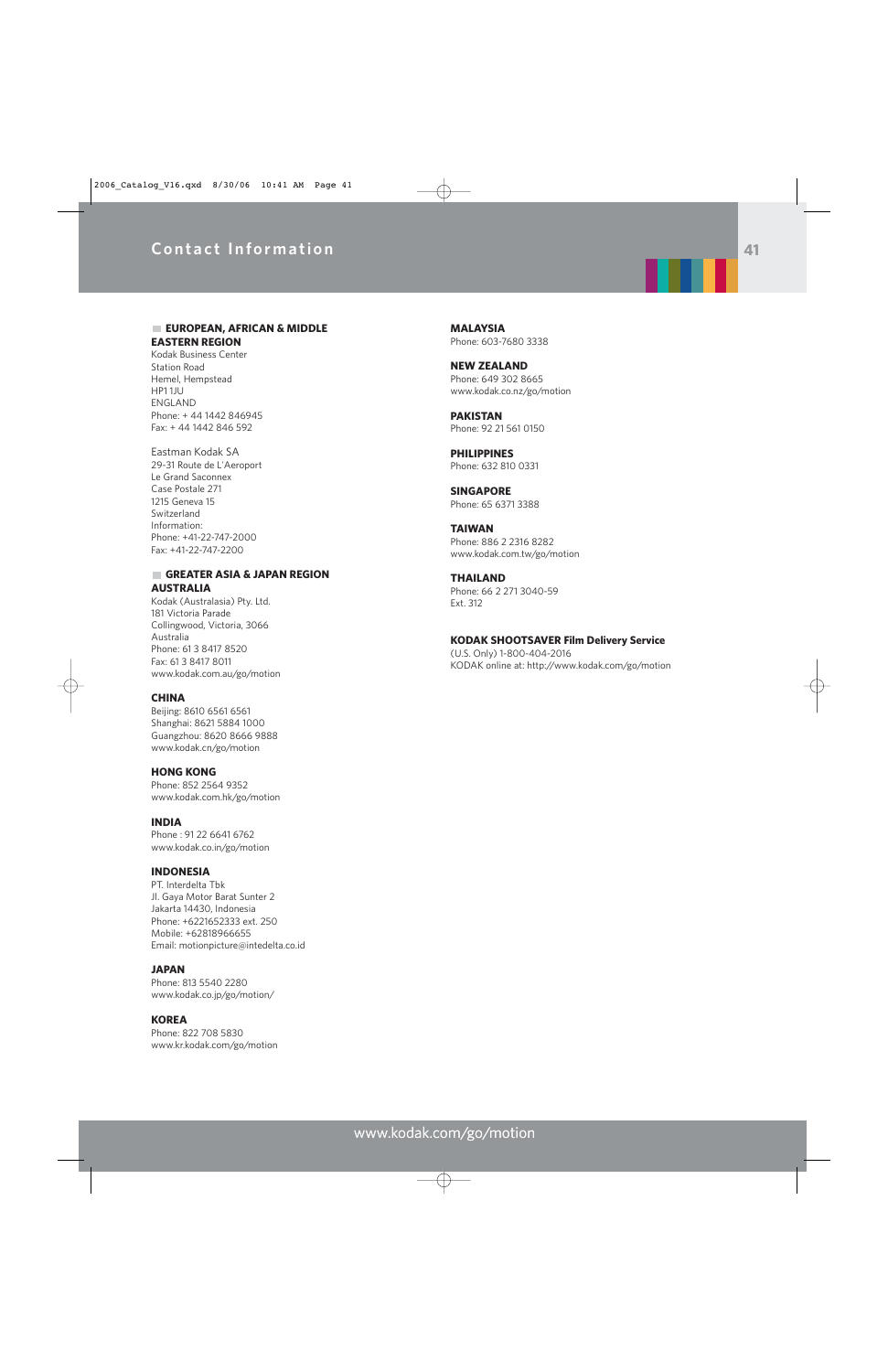## **Contact Information**



#### **EUROPEAN, AFRICAN & MIDDLE EASTERN REGION**

Kodak Business Center Station Road Hemel, Hempstead HP1 1JU ENGLAND Phone: + 44 1442 846945 Fax: + 44 1442 846 592

Eastman Kodak SA 29-31 Route de L'Aeroport Le Grand Saconnex Case Postale 271 1215 Geneva 15 Switzerland Information: Phone: +41-22-747-2000 Fax: +41-22-747-2200

### **GREATER ASIA & JAPAN REGION AUSTRALIA**

Kodak (Australasia) Pty. Ltd. 181 Victoria Parade Collingwood, Victoria, 3066 Australia Phone: 61 3 8417 8520 Fax: 61 3 8417 8011 www.kodak.com.au/go/motion

#### **CHINA**

Beijing: 8610 6561 6561 Shanghai: 8621 5884 1000 Guangzhou: 8620 8666 9888 www.kodak.cn/go/motion

**HONG KONG** Phone: 852 2564 9352 www.kodak.com.hk/go/motion

**INDIA** Phone : 91 22 6641 6762 www.kodak.co.in/go/motion

#### **INDONESIA**

PT. Interdelta Tbk Jl. Gaya Motor Barat Sunter 2 Jakarta 14430, Indonesia Phone: +6221652333 ext. 250 Mobile: +62818966655 Email: motionpicture@intedelta.co.id

### **JAPAN**

Phone: 813 5540 2280 www.kodak.co.jp/go/motion/

#### **KOREA**

Phone: 822 708 5830 www.kr.kodak.com/go/motion

**MALAYSIA** Phone: 603-7680 3338

**NEW ZEALAND** Phone: 649 302 8665 www.kodak.co.nz/go/motion

**PAKISTAN** Phone: 92 21 561 0150

**PHILIPPINES** Phone: 632 810 0331

**SINGAPORE** Phone: 65 6371 3388

**TAIWAN** Phone: 886 2 2316 8282 www.kodak.com.tw/go/motion

**THAILAND** Phone: 66 2 271 3040-59 Ext. 312

**KODAK SHOOTSAVER Film Delivery Service**

(U.S. Only) 1-800-404-2016 KODAK online at: http://www.kodak.com/go/motion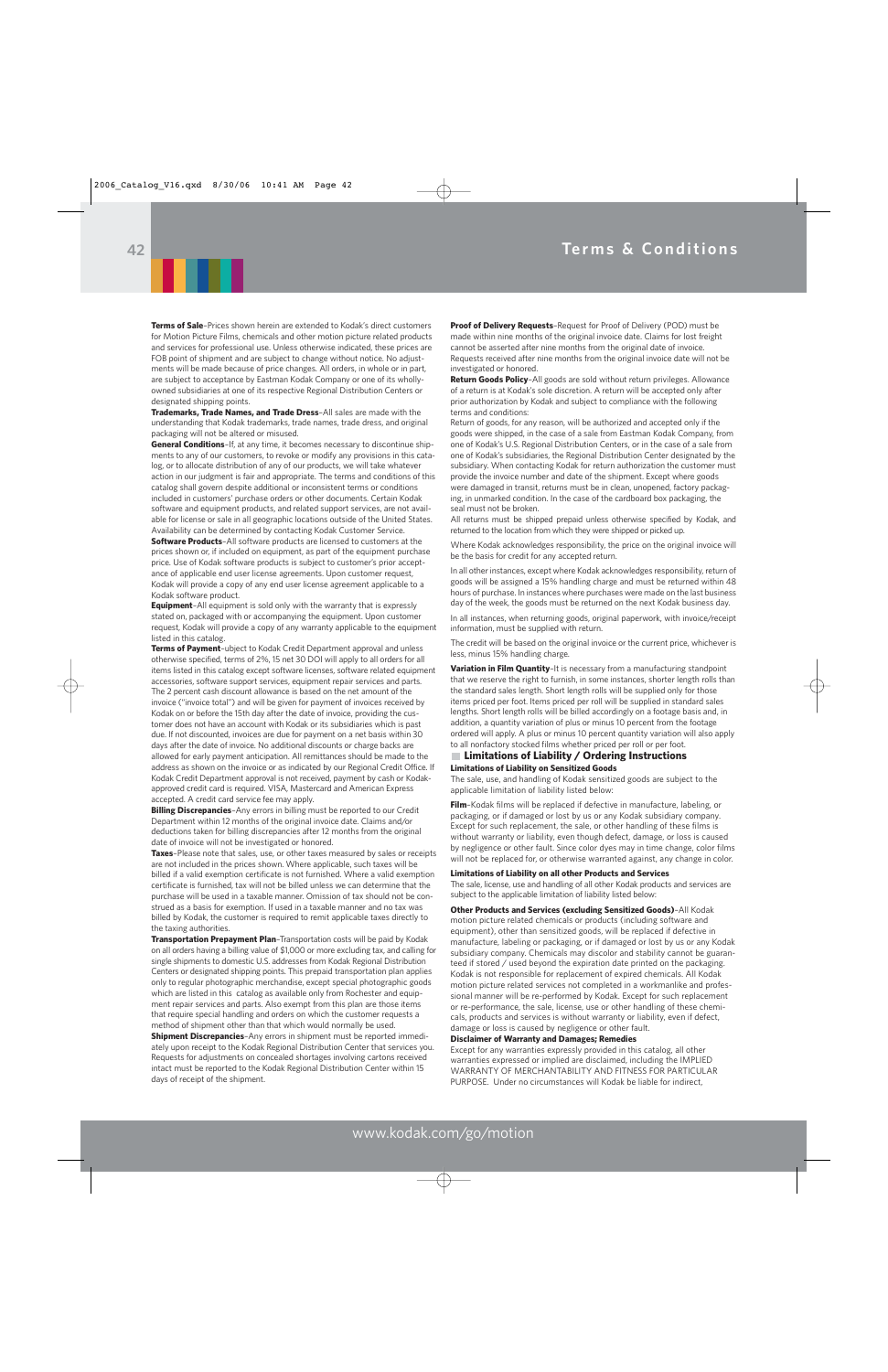

**Terms of Sale**–Prices shown herein are extended to Kodak's direct customers for Motion Picture Films, chemicals and other motion picture related products and services for professional use. Unless otherwise indicated, these prices are FOB point of shipment and are subject to change without notice. No adjustments will be made because of price changes. All orders, in whole or in part, are subject to acceptance by Eastman Kodak Company or one of its whollyowned subsidiaries at one of its respective Regional Distribution Centers or designated shipping points.

**Trademarks, Trade Names, and Trade Dress**–All sales are made with the understanding that Kodak trademarks, trade names, trade dress, and original packaging will not be altered or misused.

**General Conditions**–If, at any time, it becomes necessary to discontinue shipments to any of our customers, to revoke or modify any provisions in this catalog, or to allocate distribution of any of our products, we will take whatever action in our judgment is fair and appropriate. The terms and conditions of this catalog shall govern despite additional or inconsistent terms or conditions included in customers' purchase orders or other documents. Certain Kodak software and equipment products, and related support services, are not available for license or sale in all geographic locations outside of the United States. Availability can be determined by contacting Kodak Customer Service.

**Software Products**–All software products are licensed to customers at the prices shown or, if included on equipment, as part of the equipment purchase price. Use of Kodak software products is subject to customer's prior acceptance of applicable end user license agreements. Upon customer request, Kodak will provide a copy of any end user license agreement applicable to a Kodak software product.

**Equipment**–All equipment is sold only with the warranty that is expressly stated on, packaged with or accompanying the equipment. Upon customer request, Kodak will provide a copy of any warranty applicable to the equipment listed in this catalog.

**Terms of Payment**–ubject to Kodak Credit Department approval and unless otherwise specified, terms of 2%, 15 net 30 DOI will apply to all orders for all items listed in this catalog except software licenses, software related equipment accessories, software support services, equipment repair services and parts. The 2 percent cash discount allowance is based on the net amount of the invoice ("invoice total'') and will be given for payment of invoices received by Kodak on or before the 15th day after the date of invoice, providing the customer does not have an account with Kodak or its subsidiaries which is past due. If not discounted, invoices are due for payment on a net basis within 30 days after the date of invoice. No additional discounts or charge backs are allowed for early payment anticipation. All remittances should be made to the address as shown on the invoice or as indicated by our Regional Credit Office. If Kodak Credit Department approval is not received, payment by cash or Kodakapproved credit card is required. VISA, Mastercard and American Express accepted. A credit card service fee may apply.

**Billing Discrepancies**–Any errors in billing must be reported to our Credit Department within 12 months of the original invoice date. Claims and/or deductions taken for billing discrepancies after 12 months from the original date of invoice will not be investigated or honored.

**Taxes**–Please note that sales, use, or other taxes measured by sales or receipts are not included in the prices shown. Where applicable, such taxes will be billed if a valid exemption certificate is not furnished. Where a valid exemption certificate is furnished, tax will not be billed unless we can determine that the purchase will be used in a taxable manner. Omission of tax should not be construed as a basis for exemption. If used in a taxable manner and no tax was billed by Kodak, the customer is required to remit applicable taxes directly to the taxing authorities.

**Transportation Prepayment Plan**–Transportation costs will be paid by Kodak on all orders having a billing value of \$1,000 or more excluding tax, and calling for single shipments to domestic U.S. addresses from Kodak Regional Distribution Centers or designated shipping points. This prepaid transportation plan applies only to regular photographic merchandise, except special photographic goods which are listed in this catalog as available only from Rochester and equipment repair services and parts. Also exempt from this plan are those items that require special handling and orders on which the customer requests a method of shipment other than that which would normally be used. **Shipment Discrepancies**–Any errors in shipment must be reported immediately upon receipt to the Kodak Regional Distribution Center that services you. Requests for adjustments on concealed shortages involving cartons received intact must be reported to the Kodak Regional Distribution Center within 15 days of receipt of the shipment.

**Proof of Delivery Requests**–Request for Proof of Delivery (POD) must be made within nine months of the original invoice date. Claims for lost freight cannot be asserted after nine months from the original date of invoice. Requests received after nine months from the original invoice date will not be investigated or honored.

**Return Goods Policy**–All goods are sold without return privileges. Allowance of a return is at Kodak's sole discretion. A return will be accepted only after prior authorization by Kodak and subject to compliance with the following terms and conditions:

Return of goods, for any reason, will be authorized and accepted only if the goods were shipped, in the case of a sale from Eastman Kodak Company, from one of Kodak's U.S. Regional Distribution Centers, or in the case of a sale from one of Kodak's subsidiaries, the Regional Distribution Center designated by the subsidiary. When contacting Kodak for return authorization the customer must provide the invoice number and date of the shipment. Except where goods were damaged in transit, returns must be in clean, unopened, factory packaging, in unmarked condition. In the case of the cardboard box packaging, the seal must not be broken.

All returns must be shipped prepaid unless otherwise specified by Kodak, and returned to the location from which they were shipped or picked up.

Where Kodak acknowledges responsibility, the price on the original invoice will be the basis for credit for any accepted return.

In all other instances, except where Kodak acknowledges responsibility, return of goods will be assigned a 15% handling charge and must be returned within 48 hours of purchase. In instances where purchases were made on the last business day of the week, the goods must be returned on the next Kodak business day.

In all instances, when returning goods, original paperwork, with invoice/receipt information, must be supplied with return.

The credit will be based on the original invoice or the current price, whichever is less, minus 15% handling charge.

**Variation in Film Quantity**–It is necessary from a manufacturing standpoint that we reserve the right to furnish, in some instances, shorter length rolls than the standard sales length. Short length rolls will be supplied only for those items priced per foot. Items priced per roll will be supplied in standard sales lengths. Short length rolls will be billed accordingly on a footage basis and, in addition, a quantity variation of plus or minus 10 percent from the footage ordered will apply. A plus or minus 10 percent quantity variation will also apply to all nonfactory stocked films whether priced per roll or per foot.

#### **Limitations of Liability / Ordering Instructions Limitations of Liability on Sensitized Goods**

The sale, use, and handling of Kodak sensitized goods are subject to the applicable limitation of liability listed below:

**Film**–Kodak films will be replaced if defective in manufacture, labeling, or packaging, or if damaged or lost by us or any Kodak subsidiary company. Except for such replacement, the sale, or other handling of these films is without warranty or liability, even though defect, damage, or loss is caused by negligence or other fault. Since color dyes may in time change, color films will not be replaced for, or otherwise warranted against, any change in color.

#### **Limitations of Liability on all other Products and Services**

The sale, license, use and handling of all other Kodak products and services are subject to the applicable limitation of liability listed below:

**Other Products and Services (excluding Sensitized Goods)**–All Kodak motion picture related chemicals or products (including software and equipment), other than sensitized goods, will be replaced if defective in manufacture, labeling or packaging, or if damaged or lost by us or any Kodak subsidiary company. Chemicals may discolor and stability cannot be guaranteed if stored / used beyond the expiration date printed on the packaging. Kodak is not responsible for replacement of expired chemicals. All Kodak motion picture related services not completed in a workmanlike and professional manner will be re-performed by Kodak. Except for such replacement or re-performance, the sale, license, use or other handling of these chemicals, products and services is without warranty or liability, even if defect, damage or loss is caused by negligence or other fault.

#### **Disclaimer of Warranty and Damages; Remedies**

Except for any warranties expressly provided in this catalog, all other warranties expressed or implied are disclaimed, including the IMPLIED WARRANTY OF MERCHANTABILITY AND FITNESS FOR PARTICULAR PURPOSE. Under no circumstances will Kodak be liable for indirect,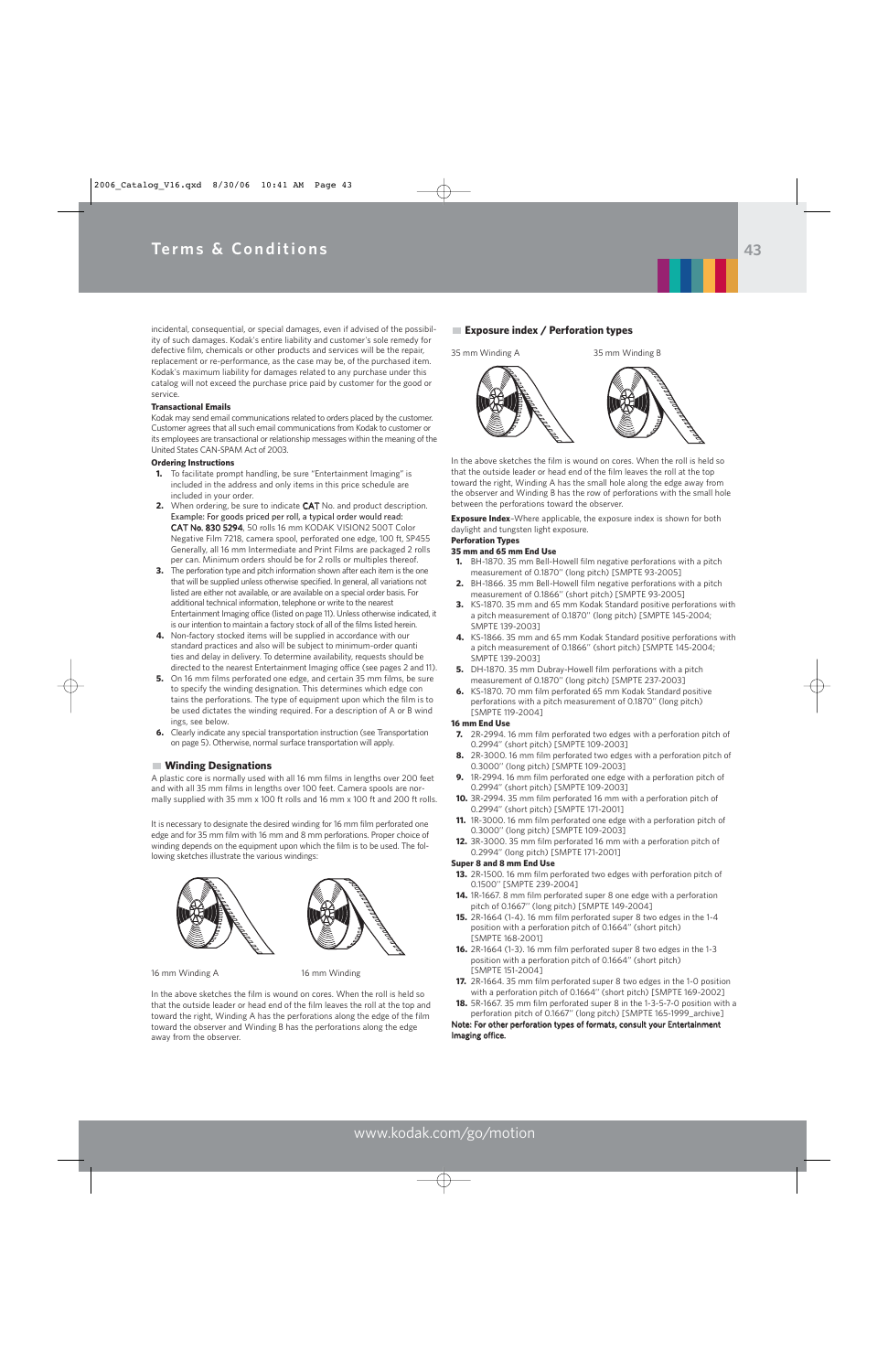incidental, consequential, or special damages, even if advised of the possibility of such damages. Kodak's entire liability and customer's sole remedy for defective film, chemicals or other products and services will be the repair, replacement or re-performance, as the case may be, of the purchased item. Kodak's maximum liability for damages related to any purchase under this catalog will not exceed the purchase price paid by customer for the good or service.

#### **Transactional Emails**

Kodak may send email communications related to orders placed by the customer. Customer agrees that all such email communications from Kodak to customer or its employees are transactional or relationship messages within the meaning of the United States CAN-SPAM Act of 2003.

#### **Ordering Instructions**

- **1.** To facilitate prompt handling, be sure "Entertainment Imaging" is included in the address and only items in this price schedule are included in your order.
- **2.** When ordering, be sure to indicate CAT No. and product description. Example: For goods priced per roll, a typical order would read: CAT No. 830 5294, 50 rolls 16 mm KODAK VISION2 500T Color Negative Film 7218, camera spool, perforated one edge, 100 ft, SP455 Generally, all 16 mm Intermediate and Print Films are packaged 2 rolls per can. Minimum orders should be for 2 rolls or multiples thereof.
- **3.** The perforation type and pitch information shown after each item is the one that will be supplied unless otherwise specified. In general, all variations not listed are either not available, or are available on a special order basis. For additional technical information, telephone or write to the nearest Entertainment Imaging office (listed on page 11). Unless otherwise indicated, it is our intention to maintain a factory stock of all of the films listed herein.
- **4.** Non-factory stocked items will be supplied in accordance with our standard practices and also will be subject to minimum-order quanti ties and delay in delivery. To determine availability, requests should be directed to the nearest Entertainment Imaging office (see pages 2 and 11).
- **5.** On 16 mm films perforated one edge, and certain 35 mm films, be sure to specify the winding designation. This determines which edge con tains the perforations. The type of equipment upon which the film is to be used dictates the winding required. For a description of A or B wind ings, see below.
- **6.** Clearly indicate any special transportation instruction (see Transportation on page 5). Otherwise, normal surface transportation will apply.

#### **Winding Designations**

A plastic core is normally used with all 16 mm films in lengths over 200 feet and with all 35 mm films in lengths over 100 feet. Camera spools are normally supplied with 35 mm x 100 ft rolls and 16 mm x 100 ft and 200 ft rolls.

It is necessary to designate the desired winding for 16 mm film perforated one edge and for 35 mm film with 16 mm and 8 mm perforations. Proper choice of winding depends on the equipment upon which the film is to be used. The following sketches illustrate the various windings:



16 mm Winding A 16 mm Winding

In the above sketches the film is wound on cores. When the roll is held so that the outside leader or head end of the film leaves the roll at the top and toward the right, Winding A has the perforations along the edge of the film toward the observer and Winding B has the perforations along the edge away from the observer.

#### **Exposure index / Perforation types**



In the above sketches the film is wound on cores. When the roll is held so that the outside leader or head end of the film leaves the roll at the top toward the right, Winding A has the small hole along the edge away from the observer and Winding B has the row of perforations with the small hole between the perforations toward the observer.

**Exposure Index**–Where applicable, the exposure index is shown for both daylight and tungsten light exposure.

#### **Perforation Types**

#### **35 mm and 65 mm End Use**

- **1.** BH-1870. 35 mm Bell-Howell film negative perforations with a pitch measurement of 0.1870'' (long pitch) [SMPTE 93-2005]
- **2.** BH-1866. 35 mm Bell-Howell film negative perforations with a pitch measurement of 0.1866'' (short pitch) [SMPTE 93-2005]
- **3.** KS-1870. 35 mm and 65 mm Kodak Standard positive perforations with a pitch measurement of 0.1870'' (long pitch) [SMPTE 145-2004; SMPTE 139-2003]
- **4.** KS-1866. 35 mm and 65 mm Kodak Standard positive perforations with a pitch measurement of 0.1866'' (short pitch) [SMPTE 145-2004; SMPTE 139-2003]
- **5.** DH-1870. 35 mm Dubray-Howell film perforations with a pitch measurement of 0.1870'' (long pitch) [SMPTE 237-2003]
- **6.** KS-1870. 70 mm film perforated 65 mm Kodak Standard positive perforations with a pitch measurement of 0.1870'' (long pitch) [SMPTE 119-2004]

#### **16 mm End Use**

- **7.** 2R-2994. 16 mm film perforated two edges with a perforation pitch of 0.2994'' (short pitch) [SMPTE 109-2003]
- **8.** 2R-3000. 16 mm film perforated two edges with a perforation pitch of 0.3000'' (long pitch) [SMPTE 109-2003]
- **9.** 1R-2994. 16 mm film perforated one edge with a perforation pitch of 0.2994'' (short pitch) [SMPTE 109-2003]
- **10.** 3R-2994. 35 mm film perforated 16 mm with a perforation pitch of 0.2994'' (short pitch) [SMPTE 171-2001]
- **11.** 1R-3000. 16 mm film perforated one edge with a perforation pitch of 0.3000'' (long pitch) [SMPTE 109-2003]
- **12.** 3R-3000. 35 mm film perforated 16 mm with a perforation pitch of 0.2994'' (long pitch) [SMPTE 171-2001]

#### **Super 8 and 8 mm End Use**

- **13.** 2R-1500. 16 mm film perforated two edges with perforation pitch of 0.1500'' [SMPTE 239-2004]
- **14.** 1R-1667. 8 mm film perforated super 8 one edge with a perforation pitch of 0.1667'' (long pitch) [SMPTE 149-2004]
- **15.** 2R-1664 (1-4). 16 mm film perforated super 8 two edges in the 1-4 position with a perforation pitch of 0.1664'' (short pitch) [SMPTE 168-2001]
- **16.** 2R-1664 (1-3). 16 mm film perforated super 8 two edges in the 1-3 position with a perforation pitch of 0.1664'' (short pitch) [SMPTE 151-2004]
- **17.** 2R-1664. 35 mm film perforated super 8 two edges in the 1-0 position with a perforation pitch of 0.1664'' (short pitch) [SMPTE 169-2002]
- **18.** 5R-1667. 35 mm film perforated super 8 in the 1-3-5-7-0 position with a perforation pitch of 0.1667'' (long pitch) [SMPTE 165-1999\_archive]

Note: For other perforation types of formats, consult your Entertainment Imaging office.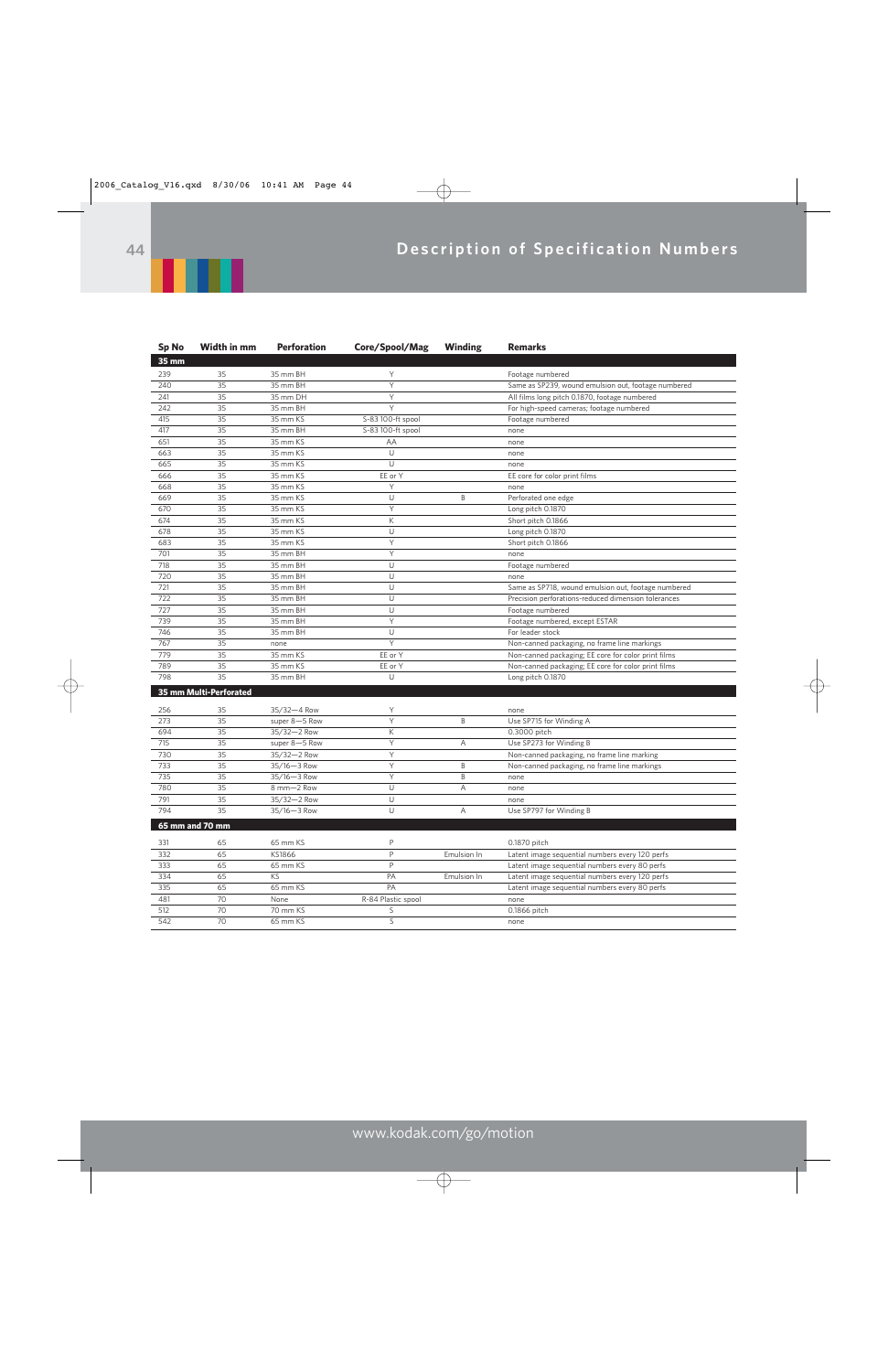

| <b>Sp No</b> | Width in mm            | <b>Perforation</b> | Core/Spool/Mag     | Winding     | Remarks                                             |
|--------------|------------------------|--------------------|--------------------|-------------|-----------------------------------------------------|
| 35 mm        |                        |                    |                    |             |                                                     |
| 239          | 35                     | 35 mm BH           | Υ                  |             | Footage numbered                                    |
| 240          | 35                     | 35 mm BH           | Y                  |             | Same as SP239, wound emulsion out, footage numbered |
| 241          | 35                     | 35 mm DH           | Y                  |             | All films long pitch 0.1870, footage numbered       |
| 242          | 35                     | 35 mm BH           | Y                  |             | For high-speed cameras; footage numbered            |
| 415          | 35                     | 35 mm KS           | S-83 100-ft spool  |             | Footage numbered                                    |
| 417          | 35                     | 35 mm BH           | S-83 100-ft spool  |             | none                                                |
| 651          | 35                     | 35 mm KS           | AA                 |             | none                                                |
| 663          | 35                     | 35 mm KS           | U                  |             | none                                                |
| 665          | 35                     | 35 mm KS           | U                  |             | none                                                |
| 666          | 35                     | 35 mm KS           | EE or Y            |             | EE core for color print films                       |
| 668          | 35                     | 35 mm KS           | Y                  |             | none                                                |
| 669          | 35                     | 35 mm KS           | $\cup$             | B           | Perforated one edge                                 |
| 670          | 35                     | 35 mm KS           | Y                  |             | Long pitch 0.1870                                   |
| 674          | 35                     | 35 mm KS           | К                  |             | Short pitch 0.1866                                  |
| 678          | 35                     | 35 mm KS           | $\cup$             |             | Long pitch 0.1870                                   |
| 683          | 35                     | 35 mm KS           | Y                  |             | Short pitch 0.1866                                  |
| 701          | 35                     | 35 mm BH           | Y                  |             | none                                                |
| 718          | 35                     | 35 mm BH           | $\cup$             |             | Footage numbered                                    |
| 720          | 35                     | 35 mm BH           | Ü                  |             | none                                                |
| 721          | 35                     | 35 mm BH           | U                  |             | Same as SP718, wound emulsion out, footage numbered |
| 722          | 35                     | 35 mm BH           | $\cup$             |             | Precision perforations-reduced dimension tolerances |
| 727          | 35                     | 35 mm BH           | $\cup$             |             | Footage numbered                                    |
| 739          | 35                     | 35 mm BH           | $\overline{Y}$     |             | Footage numbered, except ESTAR                      |
| 746          | 35                     | 35 mm BH           | U                  |             | For leader stock                                    |
| 767          | 35                     | none               | Y                  |             | Non-canned packaging, no frame line markings        |
| 779          | 35                     | 35 mm KS           | EE or Y            |             | Non-canned packaging; EE core for color print films |
| 789          | 35                     | 35 mm KS           | EE or Y            |             | Non-canned packaging; EE core for color print films |
| 798          | 35                     | 35 mm BH           | U                  |             | Long pitch 0.1870                                   |
|              | 35 mm Multi-Perforated |                    |                    |             |                                                     |
|              |                        |                    |                    |             |                                                     |
| 256          | 35                     | 35/32-4 Row        | Y                  |             | none                                                |
| 273          | 35                     | super 8-5 Row      | Υ                  | B           | Use SP715 for Winding A                             |
| 694          | 35                     | 35/32-2 Row        | К                  |             | 0.3000 pitch                                        |
| 715          | 35                     | super 8-5 Row      | Y                  | Α           | Use SP273 for Winding B                             |
| 730          | 35                     | 35/32-2 Row        | Υ                  |             | Non-canned packaging, no frame line marking         |
| 733          | 35                     | 35/16-3 Row        | Y                  | B           | Non-canned packaging, no frame line markings        |
| 735          | 35                     | 35/16-3 Row        | Y                  | B           | none                                                |
| 780          | 35                     | 8 mm-2 Row         | $\cup$             | A           | none                                                |
| 791          | 35                     | 35/32-2 Row        | U                  |             | none                                                |
| 794          | 35                     | 35/16-3 Row        | U                  | A           | Use SP797 for Winding B                             |
|              | 65 mm and 70 mm        |                    |                    |             |                                                     |
|              |                        |                    | P                  |             |                                                     |
| 331          | 65                     | 65 mm KS           | P                  |             | 0.1870 pitch                                        |
| 332          | 65<br>65               | KS1866             | $\mathsf{P}$       | Emulsion In | Latent image sequential numbers every 120 perfs     |
| 333<br>334   | 65                     | 65 mm KS<br>KS     | PA                 | Emulsion In | Latent image sequential numbers every 80 perfs      |
| 335          | 65                     | 65 mm KS           | PA                 |             | Latent image sequential numbers every 120 perfs     |
| 481          | 70                     | None               | R-84 Plastic spool |             | Latent image sequential numbers every 80 perfs      |
| 512          | 70                     | 70 mm KS           | S                  |             | none<br>0.1866 pitch                                |
| 542          | 70                     | 65 mm KS           | S                  |             | none                                                |
|              |                        |                    |                    |             |                                                     |